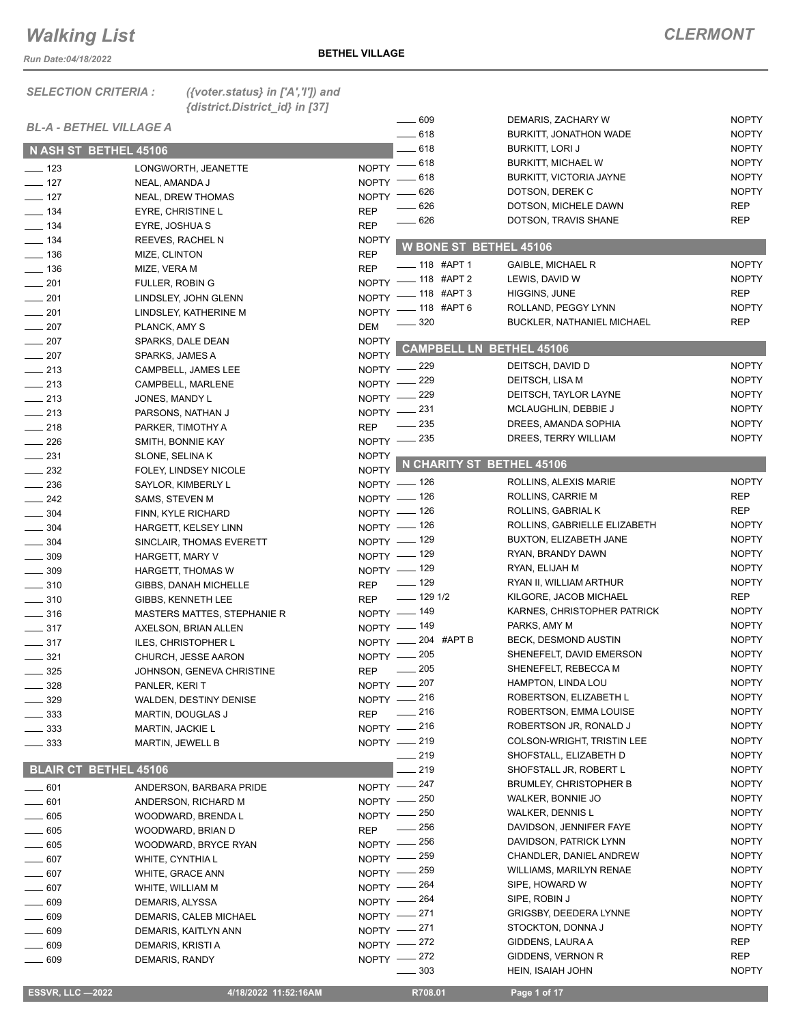*Run Date:04/18/2022*

*SELECTION CRITERIA : ({voter.status} in ['A','I']) and {district.District\_id} in [37]*

| <b>BL-A - BETHEL VILLAGE A</b> |                             |              | $\frac{1}{2}$ 609                   | DEMARIS, ZACHARY W                                  | <b>NOPTY</b>                 |
|--------------------------------|-----------------------------|--------------|-------------------------------------|-----------------------------------------------------|------------------------------|
| N ASH ST BETHEL 45106          |                             |              | $-618$<br>$-618$                    | BURKITT, JONATHON WADE                              | <b>NOPTY</b><br><b>NOPTY</b> |
|                                |                             |              | $-618$                              | <b>BURKITT, LORI J</b><br><b>BURKITT, MICHAEL W</b> | <b>NOPTY</b>                 |
| $\frac{1}{2}$ 123              | LONGWORTH, JEANETTE         | <b>NOPTY</b> | - 618                               | <b>BURKITT, VICTORIA JAYNE</b>                      | <b>NOPTY</b>                 |
| $-127$                         | NEAL, AMANDA J              | <b>NOPTY</b> | 626                                 | DOTSON, DEREK C                                     | <b>NOPTY</b>                 |
| $- 127$                        | <b>NEAL, DREW THOMAS</b>    | <b>NOPTY</b> | 626                                 | DOTSON, MICHELE DAWN                                | <b>REP</b>                   |
| $\frac{1}{2}$ 134              | EYRE, CHRISTINE L           | <b>REP</b>   | 626                                 | DOTSON, TRAVIS SHANE                                | <b>REP</b>                   |
| $- 134$                        | EYRE, JOSHUA S              | <b>REP</b>   |                                     |                                                     |                              |
| $\frac{1}{2}$ 134              | REEVES, RACHEL N            | <b>NOPTY</b> | <b>W BONE ST BETHEL 45106</b>       |                                                     |                              |
| $\frac{1}{2}$ 136              | MIZE, CLINTON               | <b>REP</b>   |                                     |                                                     | <b>NOPTY</b>                 |
| $\frac{1}{2}$ 136              | MIZE, VERA M                | <b>REP</b>   | $-$ 118 #APT 1                      | GAIBLE, MICHAEL R                                   | <b>NOPTY</b>                 |
| $-201$                         | <b>FULLER, ROBIN G</b>      |              | NOPTY - 118 #APT 2<br>$-118$ #APT 3 | LEWIS, DAVID W<br>HIGGINS, JUNE                     | <b>REP</b>                   |
| $\frac{1}{201}$                | LINDSLEY, JOHN GLENN        | $N$ OPTY -   |                                     |                                                     | <b>NOPTY</b>                 |
| $-201$                         | LINDSLEY, KATHERINE M       | <b>NOPTY</b> | $-118$ #APT 6                       | ROLLAND, PEGGY LYNN                                 |                              |
| $\frac{1}{207}$                | PLANCK, AMY S               | <b>DEM</b>   | - 320                               | <b>BUCKLER, NATHANIEL MICHAEL</b>                   | <b>REP</b>                   |
| $\sim$ 207                     | SPARKS, DALE DEAN           | <b>NOPTY</b> | <b>CAMPBELL LN BETHEL 45106</b>     |                                                     |                              |
| $-207$                         | SPARKS, JAMES A             | <b>NOPTY</b> |                                     |                                                     |                              |
| $\frac{1}{213}$                | CAMPBELL, JAMES LEE         |              | NOPTY -229                          | DEITSCH, DAVID D                                    | <b>NOPTY</b>                 |
| $\frac{1}{213}$                | CAMPBELL, MARLENE           | NOPTY -      | 229                                 | DEITSCH, LISA M                                     | <b>NOPTY</b>                 |
| $\frac{1}{213}$                | JONES, MANDY L              | $N$ OPTY $-$ | _ 229                               | DEITSCH, TAYLOR LAYNE                               | <b>NOPTY</b>                 |
| $\frac{1}{213}$                | PARSONS, NATHAN J           |              | NOPTY -231                          | MCLAUGHLIN, DEBBIE J                                | <b>NOPTY</b>                 |
| $\frac{1}{218}$                | PARKER, TIMOTHY A           | <b>REP</b>   | _ 235                               | DREES, AMANDA SOPHIA                                | <b>NOPTY</b>                 |
| $\frac{1}{226}$                | SMITH, BONNIE KAY           |              | NOPTY - 235                         | DREES, TERRY WILLIAM                                | <b>NOPTY</b>                 |
| $\frac{1}{2}$ 231              | SLONE, SELINA K             | <b>NOPTY</b> |                                     |                                                     |                              |
| $\sim$ 232                     | FOLEY, LINDSEY NICOLE       |              | NOPTY N CHARITY ST BETHEL 45106     |                                                     |                              |
| $\frac{1}{236}$                | SAYLOR, KIMBERLY L          |              | NOPTY - 126                         | ROLLINS, ALEXIS MARIE                               | <b>NOPTY</b>                 |
| $\frac{242}{2}$                | SAMS, STEVEN M              |              | NOPTY - 126                         | ROLLINS, CARRIE M                                   | <b>REP</b>                   |
| $- 304$                        | FINN, KYLE RICHARD          |              | NOPTY $-$ 126                       | ROLLINS, GABRIAL K                                  | <b>REP</b>                   |
| $- 304$                        | HARGETT, KELSEY LINN        |              | NOPTY $-$ 126                       | ROLLINS, GABRIELLE ELIZABETH                        | <b>NOPTY</b>                 |
| $\frac{1}{2}$ 304              | SINCLAIR, THOMAS EVERETT    |              | NOPTY - 129                         | BUXTON, ELIZABETH JANE                              | <b>NOPTY</b>                 |
| $\frac{1}{2}$ 309              | HARGETT, MARY V             |              | NOPTY - 129                         | RYAN, BRANDY DAWN                                   | <b>NOPTY</b>                 |
| .309                           | HARGETT, THOMAS W           |              | NOPTY - 129                         | RYAN, ELIJAH M                                      | <b>NOPTY</b>                 |
| $\frac{1}{2}$ 310              | GIBBS, DANAH MICHELLE       | <b>REP</b>   | $- 129$                             | RYAN II, WILLIAM ARTHUR                             | <b>NOPTY</b>                 |
| $\frac{1}{2}$ 310              | GIBBS, KENNETH LEE          | <b>REP</b>   | $\frac{1}{2}$ 129 1/2               | KILGORE, JACOB MICHAEL                              | <b>REP</b>                   |
| $\frac{1}{2}$ 316              | MASTERS MATTES, STEPHANIE R |              | NOPTY - 149                         | KARNES, CHRISTOPHER PATRICK                         | <b>NOPTY</b>                 |
| $\frac{1}{2}$ 317              | AXELSON, BRIAN ALLEN        |              | NOPTY - 149                         | PARKS, AMY M                                        | <b>NOPTY</b>                 |
| $\frac{1}{2}$ 317              | ILES, CHRISTOPHER L         |              | NOPTY -204 #APT B                   | BECK, DESMOND AUSTIN                                | <b>NOPTY</b>                 |
| $- 321$                        | CHURCH, JESSE AARON         |              | NOPTY - 205                         | SHENEFELT, DAVID EMERSON                            | <b>NOPTY</b>                 |
| $\frac{1}{2}$ 325              | JOHNSON, GENEVA CHRISTINE   | <b>REP</b>   | $\frac{1}{205}$                     | SHENEFELT, REBECCA M                                | <b>NOPTY</b>                 |
| $=$ 328                        | PANLER, KERIT               |              | NOPTY - 207                         | HAMPTON, LINDA LOU                                  | <b>NOPTY</b>                 |
| _ 329                          | WALDEN, DESTINY DENISE      |              | NOPTY - 216                         | ROBERTSON, ELIZABETH L                              | <b>NOPTY</b>                 |
| 333                            | MARTIN, DOUGLAS J           | <b>REP</b>   | $\frac{1}{216}$                     | ROBERTSON, EMMA LOUISE                              | <b>NOPTY</b>                 |
| $\frac{1}{2}$ 333              | <b>MARTIN, JACKIE L</b>     |              | NOPTY -216                          | ROBERTSON JR, RONALD J                              | <b>NOPTY</b>                 |
| $\frac{1}{2}$ 333              | <b>MARTIN, JEWELL B</b>     |              | NOPTY - 219                         | <b>COLSON-WRIGHT, TRISTIN LEE</b>                   | <b>NOPTY</b>                 |
|                                |                             |              | $-219$                              | SHOFSTALL, ELIZABETH D                              | <b>NOPTY</b>                 |
| <b>BLAIR CT BETHEL 45106</b>   |                             |              | 219                                 | SHOFSTALL JR, ROBERT L                              | <b>NOPTY</b>                 |
| $-601$                         | ANDERSON, BARBARA PRIDE     |              | NOPTY -247                          | <b>BRUMLEY, CHRISTOPHER B</b>                       | <b>NOPTY</b>                 |
| $-601$                         | ANDERSON, RICHARD M         |              | NOPTY - 250                         | WALKER, BONNIE JO                                   | <b>NOPTY</b>                 |
| $-605$                         | WOODWARD, BRENDA L          |              | NOPTY - 250                         | <b>WALKER, DENNIS L</b>                             | <b>NOPTY</b>                 |
| 605                            | WOODWARD, BRIAN D           | <b>REP</b>   | - 256                               | DAVIDSON, JENNIFER FAYE                             | <b>NOPTY</b>                 |
| 605                            | WOODWARD, BRYCE RYAN        | $NOPTY -$    | _ 256                               | DAVIDSON, PATRICK LYNN                              | <b>NOPTY</b>                 |
| 607                            | WHITE, CYNTHIA L            | $NOPTY -$    | - 259                               | CHANDLER, DANIEL ANDREW                             | <b>NOPTY</b>                 |
| 607                            | WHITE, GRACE ANN            | $N$ OPTY $-$ | $-259$                              | <b>WILLIAMS, MARILYN RENAE</b>                      | <b>NOPTY</b>                 |
| $-607$                         | WHITE, WILLIAM M            |              | NOPTY - 264                         | SIPE, HOWARD W                                      | <b>NOPTY</b>                 |
| 609                            | DEMARIS, ALYSSA             |              | NOPTY $-$ 264                       | SIPE, ROBIN J                                       | <b>NOPTY</b>                 |
| . 609                          | DEMARIS, CALEB MICHAEL      |              | NOPTY -271                          | <b>GRIGSBY, DEEDERA LYNNE</b>                       | <b>NOPTY</b>                 |
| 609                            | DEMARIS, KAITLYN ANN        |              | NOPTY -271                          | STOCKTON, DONNA J                                   | <b>NOPTY</b>                 |
| $-609$                         | DEMARIS, KRISTI A           |              | NOPTY - 272                         | GIDDENS, LAURA A                                    | <b>REP</b>                   |
| $-609$                         | DEMARIS, RANDY              |              | NOPTY -272                          | GIDDENS, VERNON R                                   | <b>REP</b>                   |
|                                |                             |              | $\sim$ 303                          | HEIN, ISAIAH JOHN                                   | <b>NOPTY</b>                 |
|                                |                             |              |                                     |                                                     |                              |
| <b>ESSVR, LLC -2022</b>        | 4/18/2022 11:52:16AM        |              | R708.01                             | Page 1 of 17                                        |                              |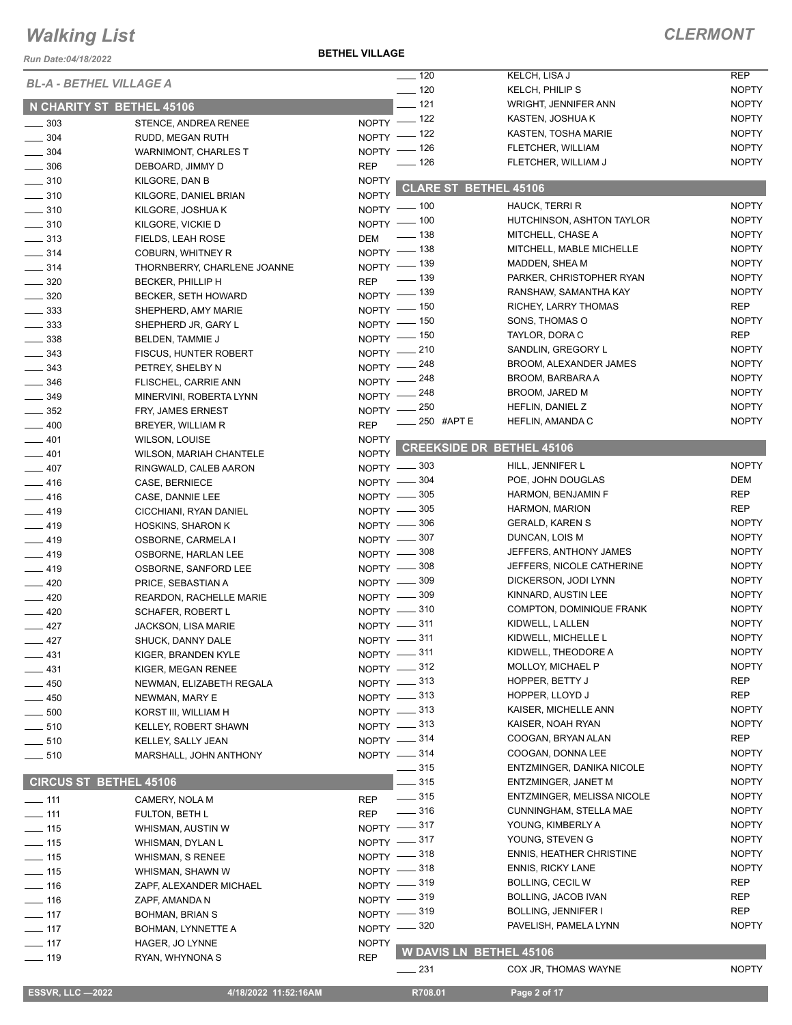*Run Date:04/18/2022*

**BETHEL VILLAGE**

|                                      |                             |              | $\frac{1}{2}$ 120      | KELCH, LISA J                    | <b>REP</b>   |
|--------------------------------------|-----------------------------|--------------|------------------------|----------------------------------|--------------|
| <b>BL-A - BETHEL VILLAGE A</b>       |                             |              | $- 120$                | KELCH, PHILIP S                  | <b>NOPTY</b> |
|                                      |                             |              | $\frac{1}{2}$ 121      | <b>WRIGHT, JENNIFER ANN</b>      | <b>NOPTY</b> |
| N CHARITY ST BETHEL 45106            |                             |              |                        | KASTEN, JOSHUA K                 | <b>NOPTY</b> |
| $\frac{1}{2}$ 303                    | STENCE, ANDREA RENEE        |              | NOPTY - 122            | KASTEN, TOSHA MARIE              | <b>NOPTY</b> |
| $\frac{1}{2}$ 304                    | RUDD, MEGAN RUTH            |              | NOPTY - 122            | FLETCHER, WILLIAM                | <b>NOPTY</b> |
| $\frac{1}{2}$ 304                    | <b>WARNIMONT, CHARLES T</b> |              | NOPTY $-$ 126<br>— 126 | FLETCHER, WILLIAM J              | <b>NOPTY</b> |
| $\frac{1}{2}$ 306                    | DEBOARD, JIMMY D            | <b>REP</b>   |                        |                                  |              |
| $\frac{1}{2}$ 310                    | KILGORE, DAN B              | <b>NOPTY</b> |                        | <b>CLARE ST BETHEL 45106</b>     |              |
| $\frac{1}{2}$ 310                    | KILGORE, DANIEL BRIAN       | <b>NOPTY</b> |                        |                                  |              |
| $- 310$                              | KILGORE, JOSHUA K           |              | NOPTY - 100            | HAUCK, TERRI R                   | <b>NOPTY</b> |
| $\frac{1}{2}$ 310                    | KILGORE, VICKIE D           |              | NOPTY - 100            | HUTCHINSON, ASHTON TAYLOR        | <b>NOPTY</b> |
| $\frac{1}{2}$ 313                    | FIELDS, LEAH ROSE           | <b>DEM</b>   | $\frac{1}{2}$ 138      | MITCHELL, CHASE A                | <b>NOPTY</b> |
| $- 314$                              | <b>COBURN, WHITNEY R</b>    |              | NOPTY - 138            | MITCHELL, MABLE MICHELLE         | <b>NOPTY</b> |
| $- 314$                              | THORNBERRY, CHARLENE JOANNE |              | NOPTY - 139            | MADDEN, SHEA M                   | <b>NOPTY</b> |
| $\frac{1}{2}$ 320                    | BECKER, PHILLIP H           |              | REP - 139              | PARKER, CHRISTOPHER RYAN         | <b>NOPTY</b> |
| $\frac{1}{2}$ 320                    | <b>BECKER, SETH HOWARD</b>  |              | NOPTY - 139            | RANSHAW, SAMANTHA KAY            | <b>NOPTY</b> |
| $\frac{1}{2}$ 333                    | SHEPHERD, AMY MARIE         |              | NOPTY - 150            | RICHEY, LARRY THOMAS             | REP          |
| $\frac{1}{2}$ 333                    | SHEPHERD JR, GARY L         |              | NOPTY - 150            | SONS, THOMAS O                   | <b>NOPTY</b> |
| $\frac{1}{2}$ 338                    | BELDEN, TAMMIE J            |              | NOPTY - 150            | TAYLOR, DORA C                   | <b>REP</b>   |
| $\frac{1}{2}$ 343                    | FISCUS, HUNTER ROBERT       |              | $NOPTY$ -210           | SANDLIN, GREGORY L               | <b>NOPTY</b> |
| $\frac{1}{2}$ 343                    | PETREY, SHELBY N            |              | NOPTY -248             | <b>BROOM, ALEXANDER JAMES</b>    | <b>NOPTY</b> |
| $- 346$                              | FLISCHEL, CARRIE ANN        |              | NOPTY - 248            | BROOM, BARBARA A                 | <b>NOPTY</b> |
| $- 349$                              | MINERVINI, ROBERTA LYNN     |              | NOPTY - 248            | BROOM, JARED M                   | <b>NOPTY</b> |
| $\frac{1}{2}$ 352                    | FRY, JAMES ERNEST           |              | NOPTY -250             | HEFLIN, DANIEL Z                 | <b>NOPTY</b> |
| $-400$                               | BREYER, WILLIAM R           | <b>REP</b>   | <b>250 #APT E</b>      | HEFLIN, AMANDA C                 | <b>NOPTY</b> |
|                                      |                             | <b>NOPTY</b> |                        |                                  |              |
| $-401$                               | <b>WILSON, LOUISE</b>       | <b>NOPTY</b> |                        | <b>CREEKSIDE DR_BETHEL 45106</b> |              |
| $-401$                               | WILSON, MARIAH CHANTELE     |              | NOPTY -803             | HILL, JENNIFER L                 | <b>NOPTY</b> |
| $-407$                               | RINGWALD, CALEB AARON       |              |                        | POE, JOHN DOUGLAS                | DEM          |
| $-416$                               | CASE, BERNIECE              |              | NOPTY -804             |                                  | REP          |
| $-416$                               | CASE, DANNIE LEE            |              | NOPTY -805             | HARMON, BENJAMIN F               | REP          |
| $-419$                               | CICCHIANI, RYAN DANIEL      |              | NOPTY -805             | HARMON, MARION                   |              |
| $-419$                               | <b>HOSKINS, SHARON K</b>    |              | NOPTY -806             | <b>GERALD, KAREN S</b>           | <b>NOPTY</b> |
| $-419$                               | OSBORNE, CARMELA I          |              | NOPTY -807             | DUNCAN, LOIS M                   | <b>NOPTY</b> |
| $-419$                               | OSBORNE, HARLAN LEE         |              | NOPTY -808             | JEFFERS, ANTHONY JAMES           | <b>NOPTY</b> |
| $-419$                               | OSBORNE, SANFORD LEE        |              | NOPTY $-$ 308          | JEFFERS, NICOLE CATHERINE        | <b>NOPTY</b> |
| $-420$                               | PRICE, SEBASTIAN A          |              | NOPTY - 309            | DICKERSON, JODI LYNN             | <b>NOPTY</b> |
| $\frac{1}{2}$ 420                    | REARDON, RACHELLE MARIE     |              | NOPTY -809             | KINNARD, AUSTIN LEE              | <b>NOPTY</b> |
| $-420$                               | <b>SCHAFER, ROBERT L</b>    |              | NOPTY -810             | COMPTON, DOMINIQUE FRANK         | <b>NOPTY</b> |
| $\frac{1}{2}$ 427                    | <b>JACKSON, LISA MARIE</b>  |              | NOPTY -811             | KIDWELL, L ALLEN                 | <b>NOPTY</b> |
| 427                                  | SHUCK, DANNY DALE           |              | NOPTY -811             | KIDWELL, MICHELLE L              | <b>NOPTY</b> |
| $-431$                               | KIGER, BRANDEN KYLE         |              | NOPTY -811             | KIDWELL, THEODORE A              | <b>NOPTY</b> |
| $-431$                               | KIGER, MEGAN RENEE          |              | NOPTY -812             | MOLLOY, MICHAEL P                | <b>NOPTY</b> |
| —— 450                               | NEWMAN, ELIZABETH REGALA    |              | NOPTY -813             | HOPPER, BETTY J                  | REP          |
| —— 450                               | NEWMAN, MARY E              |              | NOPTY -813             | HOPPER, LLOYD J                  | REP          |
| $\_\_$ 500                           | KORST III, WILLIAM H        |              | NOPTY -813             | KAISER, MICHELLE ANN             | <b>NOPTY</b> |
| $\rule{1em}{0.15mm} \vspace{0.05mm}$ | KELLEY, ROBERT SHAWN        |              | NOPTY -813             | KAISER, NOAH RYAN                | <b>NOPTY</b> |
| $\frac{1}{2}$ 510                    | KELLEY, SALLY JEAN          |              | NOPTY -814             | COOGAN, BRYAN ALAN               | REP          |
| $\frac{1}{2}$ 510                    | MARSHALL, JOHN ANTHONY      |              | NOPTY -814             | COOGAN, DONNA LEE                | <b>NOPTY</b> |
|                                      |                             |              | $\frac{1}{2}$ 315      | ENTZMINGER, DANIKA NICOLE        | <b>NOPTY</b> |
| <b>CIRCUS ST BETHEL 45106</b>        |                             |              | $-315$                 | ENTZMINGER, JANET M              | <b>NOPTY</b> |
|                                      |                             |              | $\frac{1}{2}$ 315      | ENTZMINGER, MELISSA NICOLE       | <b>NOPTY</b> |
| $-111$                               | CAMERY, NOLA M              | <b>REP</b>   | $\frac{1}{2}$ 316      | CUNNINGHAM, STELLA MAE           | <b>NOPTY</b> |
| $\frac{1}{111}$                      | FULTON, BETH L              | <b>REP</b>   |                        |                                  |              |
| $\frac{1}{2}$ 115                    | WHISMAN, AUSTIN W           |              | NOPTY -817             | YOUNG, KIMBERLY A                | <b>NOPTY</b> |
| $\frac{1}{15}$                       | WHISMAN, DYLAN L            |              | NOPTY -817             | YOUNG, STEVEN G                  | <b>NOPTY</b> |
| $\frac{1}{2}$ 115                    | WHISMAN, S RENEE            |              | NOPTY -818             | <b>ENNIS, HEATHER CHRISTINE</b>  | <b>NOPTY</b> |
| $- 115$                              | WHISMAN, SHAWN W            |              | NOPTY -818             | <b>ENNIS, RICKY LANE</b>         | <b>NOPTY</b> |
| $- 116$                              | ZAPF, ALEXANDER MICHAEL     |              | NOPTY -819             | <b>BOLLING, CECIL W</b>          | REP          |
| $\frac{1}{16}$                       | ZAPF, AMANDA N              |              | NOPTY -819             | <b>BOLLING, JACOB IVAN</b>       | REP          |
| $- 117$                              | <b>BOHMAN, BRIAN S</b>      |              | NOPTY -819             | BOLLING, JENNIFER I              | REP          |
| $- 117$                              | BOHMAN, LYNNETTE A          |              | NOPTY -820             | PAVELISH, PAMELA LYNN            | <b>NOPTY</b> |
| $\frac{1}{2}$ 117                    | HAGER, JO LYNNE             | <b>NOPTY</b> |                        |                                  |              |
| $\frac{1}{2}$ 119                    | RYAN, WHYNONA S             | <b>REP</b>   |                        | W DAVIS LN BETHEL 45106          |              |
|                                      |                             |              | $\equiv$ 231           | COX JR, THOMAS WAYNE             | <b>NOPTY</b> |
| <b>ESSVR, LLC-2022</b>               | 4/18/2022 11:52:16AM        |              | R708.01                | Page 2 of 17                     |              |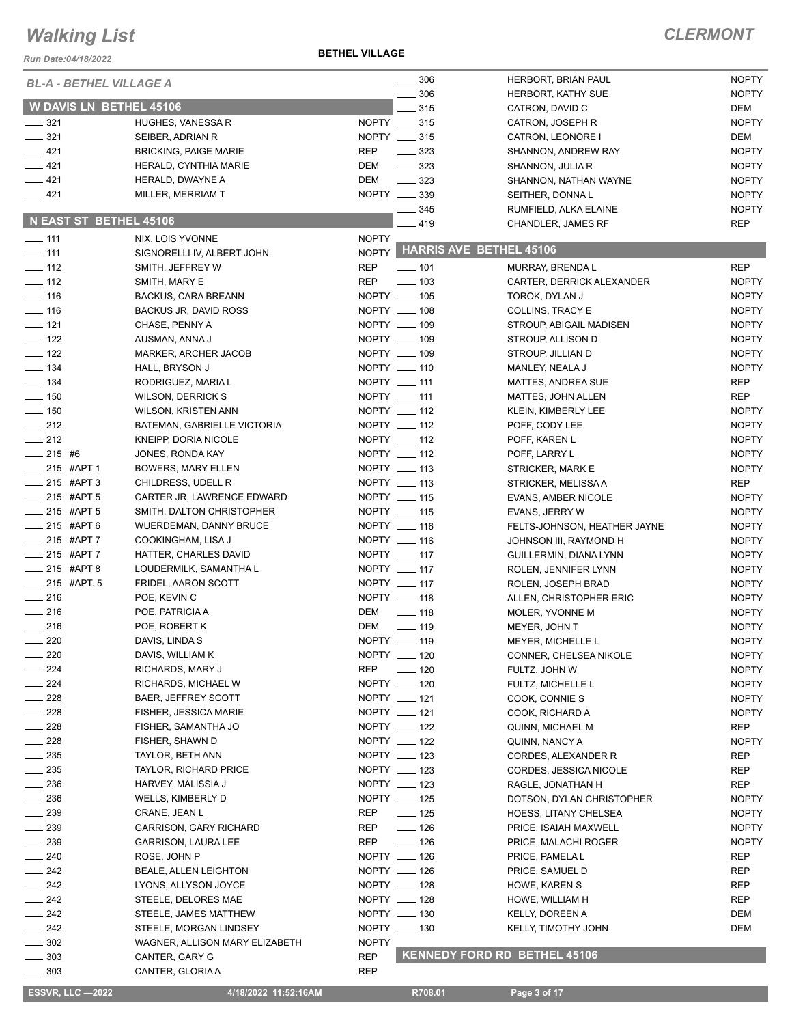#### **BETHEL VILLAGE**

| Run Date:04/18/2022                  |                                          | <u>DLIIILL VILLAGL</u> |                              |                                                   |                            |
|--------------------------------------|------------------------------------------|------------------------|------------------------------|---------------------------------------------------|----------------------------|
| <b>BL-A - BETHEL VILLAGE A</b>       |                                          |                        | 306                          | HERBORT, BRIAN PAUL                               | <b>NOPTY</b>               |
|                                      |                                          |                        | $\frac{1}{2}$ 306            | HERBORT, KATHY SUE                                | <b>NOPTY</b>               |
| <b>W DAVIS LN BETHEL 45106</b>       |                                          |                        | 315                          | CATRON, DAVID C                                   | DEM                        |
| $\frac{1}{2}$ 321                    | HUGHES, VANESSA R                        |                        | NOPTY __ 315                 | CATRON, JOSEPH R                                  | <b>NOPTY</b>               |
| $\frac{1}{2}$ 321                    | SEIBER, ADRIAN R                         |                        | NOPTY __ 315                 | CATRON, LEONORE I                                 | <b>DEM</b>                 |
| $-421$                               | <b>BRICKING, PAIGE MARIE</b>             | <b>REP</b>             | $\frac{1}{2}$ 323            | <b>SHANNON, ANDREW RAY</b>                        | <b>NOPTY</b>               |
| $-421$                               | HERALD, CYNTHIA MARIE                    | DEM                    | $\frac{323}{2}$              | SHANNON, JULIA R                                  | <b>NOPTY</b>               |
| $-421$                               | HERALD, DWAYNE A                         | DEM                    | $\frac{1}{2}$ 323            | SHANNON, NATHAN WAYNE                             | <b>NOPTY</b>               |
| $-421$                               | MILLER, MERRIAM T                        |                        | NOPTY __ 339                 | SEITHER, DONNAL                                   | <b>NOPTY</b>               |
|                                      |                                          |                        | $\frac{1}{2}$ 345            | RUMFIELD, ALKA ELAINE                             | <b>NOPTY</b>               |
| N EAST ST BETHEL 45106               |                                          |                        | $-419$                       | CHANDLER, JAMES RF                                | <b>REP</b>                 |
| $\frac{1}{2}$ 111                    | NIX, LOIS YVONNE                         | <b>NOPTY</b>           |                              |                                                   |                            |
| $\frac{1}{2}$ 111                    | SIGNORELLI IV, ALBERT JOHN               |                        |                              | NOPTY HARRIS AVE BETHEL 45106                     |                            |
| $\frac{1}{2}$ 112                    | SMITH, JEFFREY W                         | <b>REP</b>             | $- 101$                      | MURRAY, BRENDA L                                  | <b>REP</b>                 |
| $\frac{1}{2}$ 112                    | SMITH, MARY E                            | <b>REP</b>             | $\equiv$ 103                 | CARTER, DERRICK ALEXANDER                         | <b>NOPTY</b>               |
| $\frac{1}{16}$                       | BACKUS, CARA BREANN                      |                        | NOPTY __ 105                 | TOROK, DYLAN J                                    | <b>NOPTY</b>               |
| $\frac{1}{16}$                       | <b>BACKUS JR, DAVID ROSS</b>             |                        | NOPTY __ 108                 | COLLINS, TRACY E                                  | <b>NOPTY</b>               |
| $-121$                               | CHASE, PENNY A                           |                        | NOPTY __ 109                 | STROUP, ABIGAIL MADISEN                           | <b>NOPTY</b>               |
| $\frac{1}{2}$ 122                    | AUSMAN, ANNA J                           |                        | NOPTY __ 109                 | STROUP, ALLISON D                                 | <b>NOPTY</b>               |
| $\frac{1}{2}$ 122                    | MARKER, ARCHER JACOB                     |                        | NOPTY __ 109                 | STROUP, JILLIAN D                                 | <b>NOPTY</b>               |
| $\frac{1}{2}$ 134                    | HALL, BRYSON J                           |                        | NOPTY __ 110                 | MANLEY, NEALA J                                   | <b>NOPTY</b>               |
| $\frac{1}{2}$ 134                    | RODRIGUEZ, MARIA L                       |                        | NOPTY __ 111                 | MATTES, ANDREA SUE                                | <b>REP</b>                 |
| $\frac{1}{2}$ 150                    | <b>WILSON, DERRICK S</b>                 |                        | NOPTY __ 111                 | MATTES, JOHN ALLEN                                | <b>REP</b>                 |
| $\frac{1}{2}$ 150<br>$\frac{1}{212}$ | <b>WILSON, KRISTEN ANN</b>               |                        | NOPTY __ 112<br>NOPTY __ 112 | KLEIN, KIMBERLY LEE                               | <b>NOPTY</b>               |
|                                      | BATEMAN, GABRIELLE VICTORIA              |                        | NOPTY __ 112                 | POFF, CODY LEE                                    | <b>NOPTY</b>               |
| $\frac{1}{212}$<br>$-215$ #6         | KNEIPP, DORIA NICOLE                     |                        |                              | POFF, KAREN L                                     | <b>NOPTY</b>               |
| $-215$ #APT 1                        | JONES, RONDA KAY                         |                        | NOPTY __ 112<br>NOPTY __ 113 | POFF, LARRY L                                     | <b>NOPTY</b>               |
| $-215$ #APT 3                        | BOWERS, MARY ELLEN<br>CHILDRESS, UDELL R |                        | NOPTY __ 113                 | STRICKER, MARK E                                  | <b>NOPTY</b><br><b>REP</b> |
| $-215$ #APT 5                        | CARTER JR, LAWRENCE EDWARD               |                        | NOPTY __ 115                 | STRICKER, MELISSA A<br><b>EVANS, AMBER NICOLE</b> | <b>NOPTY</b>               |
| $-215$ #APT 5                        | SMITH, DALTON CHRISTOPHER                |                        | NOPTY __ 115                 | EVANS, JERRY W                                    | <b>NOPTY</b>               |
| $-215$ #APT 6                        | <b>WUERDEMAN, DANNY BRUCE</b>            |                        | NOPTY __ 116                 | FELTS-JOHNSON, HEATHER JAYNE                      | <b>NOPTY</b>               |
| $-215$ #APT 7                        | COOKINGHAM, LISA J                       |                        | NOPTY __ 116                 | JOHNSON III, RAYMOND H                            | <b>NOPTY</b>               |
| $-215$ #APT 7                        | HATTER, CHARLES DAVID                    |                        | NOPTY __ 117                 | GUILLERMIN, DIANA LYNN                            | <b>NOPTY</b>               |
| $215$ #APT 8                         | LOUDERMILK, SAMANTHA L                   |                        | NOPTY __ 117                 | ROLEN, JENNIFER LYNN                              | <b>NOPTY</b>               |
| $-215$ #APT. 5                       | FRIDEL, AARON SCOTT                      |                        | NOPTY __ 117                 | ROLEN, JOSEPH BRAD                                | <b>NOPTY</b>               |
| $\frac{1}{216}$                      | POE, KEVIN C                             |                        | NOPTY __ 118                 | ALLEN, CHRISTOPHER ERIC                           | <b>NOPTY</b>               |
| $\frac{1}{216}$                      | POE, PATRICIA A                          | DEM                    | $\frac{1}{2}$ 118            | MOLER, YVONNE M                                   | <b>NOPTY</b>               |
| $\frac{1}{216}$                      | POE. ROBERT K                            | DEM                    | $\frac{1}{2}$ 119            | MEYER, JOHN T                                     | <b>NOPTY</b>               |
| 220                                  | DAVIS, LINDA S                           |                        | NOPTY __ 119                 | MEYER, MICHELLE L                                 | <b>NOPTY</b>               |
| 220                                  | DAVIS, WILLIAM K                         |                        | NOPTY __ 120                 | CONNER, CHELSEA NIKOLE                            | <b>NOPTY</b>               |
| 224                                  | RICHARDS, MARY J                         | <b>REP</b>             | $- 120$                      | FULTZ, JOHN W                                     | <b>NOPTY</b>               |
| 224                                  | RICHARDS, MICHAEL W                      |                        | NOPTY __ 120                 | <b>FULTZ, MICHELLE L</b>                          | <b>NOPTY</b>               |
| $- 228$                              | BAER, JEFFREY SCOTT                      |                        | NOPTY __ 121                 | COOK, CONNIE S                                    | <b>NOPTY</b>               |
| 228                                  | FISHER, JESSICA MARIE                    |                        | NOPTY __ 121                 | COOK, RICHARD A                                   | <b>NOPTY</b>               |
| $-228$                               | FISHER, SAMANTHA JO                      |                        | NOPTY __ 122                 | QUINN, MICHAEL M                                  | <b>REP</b>                 |
| 228                                  | FISHER, SHAWN D                          |                        | NOPTY __ 122                 | QUINN, NANCY A                                    | <b>NOPTY</b>               |
| 235                                  | TAYLOR, BETH ANN                         |                        | NOPTY __ 123                 | CORDES, ALEXANDER R                               | <b>REP</b>                 |
| $-235$                               | <b>TAYLOR, RICHARD PRICE</b>             |                        | NOPTY __ 123                 | CORDES, JESSICA NICOLE                            | REP                        |
| 236                                  | HARVEY, MALISSIA J                       |                        | NOPTY __ 123                 | RAGLE, JONATHAN H                                 | REP                        |
| $= 236$                              | WELLS, KIMBERLY D                        |                        | NOPTY __ 125                 | DOTSON, DYLAN CHRISTOPHER                         | <b>NOPTY</b>               |
| 239                                  | CRANE, JEAN L                            | REP                    | $\frac{1}{2}$ 125            | HOESS, LITANY CHELSEA                             | <b>NOPTY</b>               |
| $-239$                               | <b>GARRISON, GARY RICHARD</b>            | REP                    | $\frac{1}{2}$ 126            | PRICE, ISAIAH MAXWELL                             | <b>NOPTY</b>               |
| $- 239$                              | <b>GARRISON, LAURA LEE</b>               | REP                    | $- 126$                      | PRICE, MALACHI ROGER                              | <b>NOPTY</b>               |
| 240                                  | ROSE, JOHN P                             |                        | NOPTY __ 126                 | PRICE, PAMELA L                                   | REP                        |
| $-242$                               | BEALE, ALLEN LEIGHTON                    |                        | NOPTY __ 126                 | PRICE, SAMUEL D                                   | <b>REP</b>                 |
| $-242$                               | LYONS, ALLYSON JOYCE                     |                        | NOPTY __ 128                 | HOWE, KAREN S                                     | REP                        |
| $\sim$ 242                           | STEELE, DELORES MAE                      |                        | NOPTY __ 128                 | HOWE, WILLIAM H                                   | REP                        |
| $\sim$ 242                           | STEELE, JAMES MATTHEW                    |                        | NOPTY __ 130                 | KELLY, DOREEN A                                   | DEM                        |
| 242<br>$\overline{\phantom{0}}$      | STEELE, MORGAN LINDSEY                   |                        | NOPTY __ 130                 | KELLY, TIMOTHY JOHN                               | DEM                        |
| $\frac{1}{2}$ 302                    | WAGNER, ALLISON MARY ELIZABETH           | <b>NOPTY</b>           |                              |                                                   |                            |
| $\frac{1}{2}$ 303                    | CANTER, GARY G                           | <b>REP</b>             |                              | <b>KENNEDY FORD RD BETHEL 45106</b>               |                            |
| $\frac{1}{2}$ 303                    | CANTER, GLORIA A                         | <b>REP</b>             |                              |                                                   |                            |
| <b>ESSVR, LLC -2022</b>              | 4/18/2022 11:52:16AM                     |                        | R708.01                      | Page 3 of 17                                      |                            |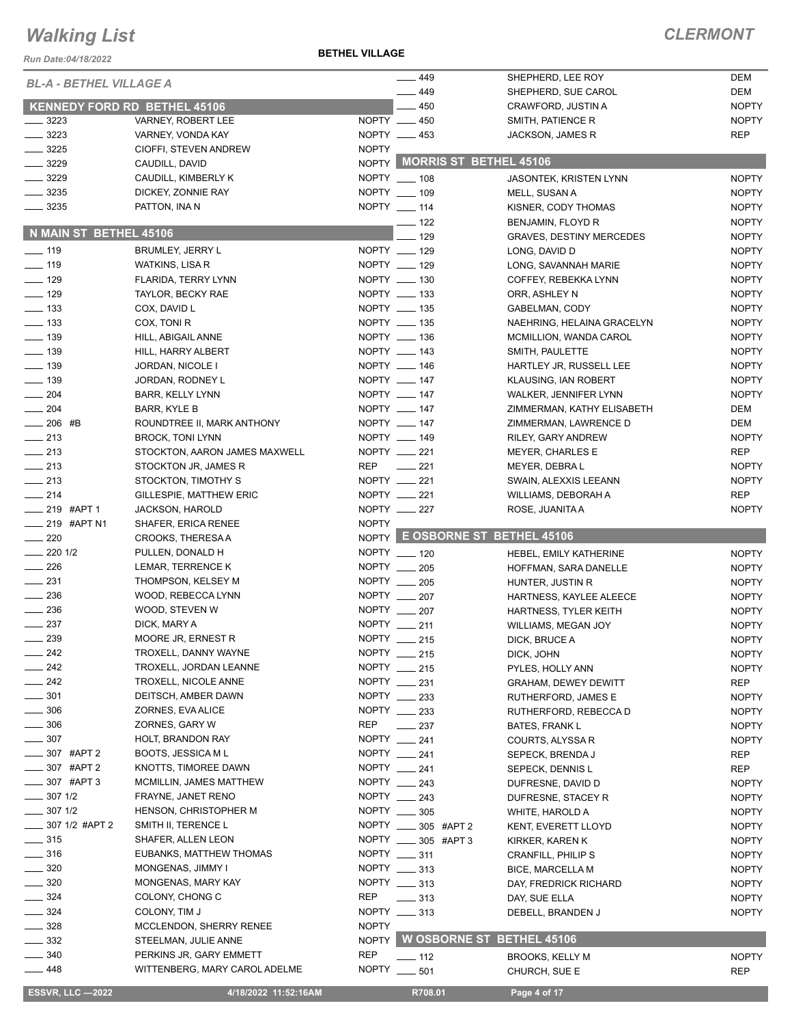*Run Date:04/18/2022*

**BETHEL VILLAGE**

| Run Date:04/18/2022                    |                                                |              |                                 |                                                           |                              |
|----------------------------------------|------------------------------------------------|--------------|---------------------------------|-----------------------------------------------------------|------------------------------|
| <b>BL-A - BETHEL VILLAGE A</b>         |                                                |              | $-449$<br>$-449$                | SHEPHERD, LEE ROY<br>SHEPHERD, SUE CAROL                  | DEM<br><b>DEM</b>            |
| KENNEDY FORD RD BETHEL 45106           |                                                |              | $-450$                          | CRAWFORD, JUSTIN A                                        | <b>NOPTY</b>                 |
| $-3223$                                | VARNEY, ROBERT LEE                             |              | NOPTY __ 450                    | SMITH, PATIENCE R                                         | <b>NOPTY</b>                 |
| $- 3223$                               | VARNEY, VONDA KAY                              |              | NOPTY __ 453                    | <b>JACKSON, JAMES R</b>                                   | <b>REP</b>                   |
| $- 3225$                               | CIOFFI, STEVEN ANDREW                          | <b>NOPTY</b> |                                 |                                                           |                              |
| $- 3229$                               | CAUDILL, DAVID                                 |              | NOPTY MORRIS ST BETHEL 45106    |                                                           |                              |
| $- 3229$                               | CAUDILL, KIMBERLY K                            |              | NOPTY __ 108                    | JASONTEK, KRISTEN LYNN                                    | <b>NOPTY</b>                 |
| 3235                                   | DICKEY, ZONNIE RAY                             |              | NOPTY __ 109                    | MELL, SUSAN A                                             | <b>NOPTY</b>                 |
| 3235                                   | PATTON, INA N                                  |              | NOPTY __ 114                    | KISNER, CODY THOMAS                                       | <b>NOPTY</b>                 |
|                                        |                                                |              | $- 122$                         | BENJAMIN, FLOYD R                                         | <b>NOPTY</b>                 |
| N MAIN ST BETHEL 45106                 |                                                |              | 129                             | <b>GRAVES, DESTINY MERCEDES</b>                           | <b>NOPTY</b>                 |
| $- 119$                                | BRUMLEY, JERRY L                               |              | NOPTY __ 129                    | LONG, DAVID D                                             | <b>NOPTY</b>                 |
| $\frac{1}{2}$ 119                      | WATKINS, LISA R                                |              | NOPTY __ 129                    | LONG, SAVANNAH MARIE                                      | <b>NOPTY</b>                 |
| $- 129$                                | FLARIDA, TERRY LYNN                            |              | NOPTY __ 130                    | COFFEY, REBEKKA LYNN                                      | <b>NOPTY</b>                 |
| $\frac{129}{2}$                        | TAYLOR, BECKY RAE                              |              | NOPTY __ 133                    | ORR, ASHLEY N                                             | <b>NOPTY</b>                 |
| $\frac{1}{2}$ 133                      | COX, DAVID L                                   |              | NOPTY __ 135                    | GABELMAN, CODY                                            | <b>NOPTY</b>                 |
| $\equiv$ 133                           | COX, TONI R                                    |              | NOPTY __ 135                    | NAEHRING, HELAINA GRACELYN                                | <b>NOPTY</b>                 |
| $\frac{1}{2}$ 139                      | HILL, ABIGAIL ANNE                             |              | NOPTY __ 136<br>NOPTY __ 143    | MCMILLION, WANDA CAROL                                    | <b>NOPTY</b>                 |
| $\frac{1}{2}$ 139<br>$\frac{1}{2}$ 139 | HILL, HARRY ALBERT                             |              | NOPTY __ 146                    | SMITH, PAULETTE                                           | <b>NOPTY</b><br><b>NOPTY</b> |
| $\frac{1}{2}$ 139                      | JORDAN, NICOLE I<br>JORDAN, RODNEY L           |              | NOPTY __ 147                    | HARTLEY JR, RUSSELL LEE<br>KLAUSING, IAN ROBERT           | <b>NOPTY</b>                 |
| $\frac{1}{204}$                        | <b>BARR, KELLY LYNN</b>                        |              | NOPTY __ 147                    | WALKER, JENNIFER LYNN                                     | <b>NOPTY</b>                 |
| $\frac{1}{204}$                        | BARR, KYLE B                                   |              | NOPTY __ 147                    | ZIMMERMAN, KATHY ELISABETH                                | DEM                          |
| $-206$ #B                              | ROUNDTREE II, MARK ANTHONY                     |              | NOPTY __ 147                    | ZIMMERMAN, LAWRENCE D                                     | <b>DEM</b>                   |
| $\frac{1}{213}$                        | <b>BROCK, TONI LYNN</b>                        |              | NOPTY __ 149                    | RILEY, GARY ANDREW                                        | <b>NOPTY</b>                 |
| $\frac{1}{213}$                        | STOCKTON, AARON JAMES MAXWELL                  |              | NOPTY __ 221                    | <b>MEYER, CHARLES E</b>                                   | <b>REP</b>                   |
| $\frac{1}{213}$                        | STOCKTON JR, JAMES R                           | <b>REP</b>   | $\frac{1}{221}$                 | MEYER, DEBRA L                                            | <b>NOPTY</b>                 |
| $\frac{1}{213}$                        | STOCKTON, TIMOTHY S                            |              | NOPTY __ 221                    | SWAIN, ALEXXIS LEEANN                                     | <b>NOPTY</b>                 |
| $-214$                                 | GILLESPIE, MATTHEW ERIC                        |              | NOPTY __ 221                    | WILLIAMS, DEBORAH A                                       | <b>REP</b>                   |
| $-219$ #APT 1                          | <b>JACKSON, HAROLD</b>                         |              | NOPTY __ 227                    | ROSE, JUANITA A                                           | <b>NOPTY</b>                 |
| __ 219 #APT N1                         | SHAFER, ERICA RENEE                            | <b>NOPTY</b> |                                 |                                                           |                              |
| $\sim$ 220                             | CROOKS, THERESA A                              |              | NOPTY E OSBORNE ST BETHEL 45106 |                                                           |                              |
| $-2201/2$                              | PULLEN, DONALD H                               |              | NOPTY __ 120                    | HEBEL, EMILY KATHERINE                                    | <b>NOPTY</b>                 |
| $\frac{1}{226}$                        | LEMAR, TERRENCE K                              |              | NOPTY __ 205                    | HOFFMAN, SARA DANELLE                                     | <b>NOPTY</b>                 |
| $\frac{1}{231}$                        | THOMPSON, KELSEY M                             |              | NOPTY __ 205                    | HUNTER, JUSTIN R                                          | <b>NOPTY</b>                 |
| $\frac{1}{2}$ 236                      | WOOD, REBECCA LYNN                             |              | NOPTY __ 207                    | HARTNESS, KAYLEE ALEECE                                   | <b>NOPTY</b>                 |
| 236                                    | WOOD, STEVEN W                                 |              | NOPTY __ 207                    | HARTNESS, TYLER KEITH                                     | <b>NOPTY</b>                 |
| 237                                    | DICK, MARY A                                   |              | NOPTY __ 211                    | WILLIAMS, MEGAN JOY                                       | <b>NOPTY</b>                 |
| $-239$                                 | MOORE JR, ERNEST R                             |              | NOPTY __ 215                    | DICK, BRUCE A                                             | <b>NOPTY</b>                 |
| $-242$                                 | TROXELL, DANNY WAYNE                           |              | NOPTY __ 215                    | DICK, JOHN                                                | <b>NOPTY</b>                 |
| $\sim$ 242<br>242                      | TROXELL, JORDAN LEANNE<br>TROXELL, NICOLE ANNE |              | NOPTY __ 215<br>NOPTY __ 231    | PYLES, HOLLY ANN                                          | <b>NOPTY</b>                 |
| $-301$                                 | DEITSCH, AMBER DAWN                            |              | NOPTY __ 233                    | <b>GRAHAM, DEWEY DEWITT</b><br><b>RUTHERFORD, JAMES E</b> | REP                          |
| 306                                    | ZORNES, EVA ALICE                              |              | NOPTY __ 233                    | RUTHERFORD, REBECCA D                                     | <b>NOPTY</b><br><b>NOPTY</b> |
| $-306$                                 | ZORNES, GARY W                                 | <b>REP</b>   | $\frac{1}{2}$ 237               | <b>BATES, FRANK L</b>                                     | <b>NOPTY</b>                 |
| $-307$                                 | HOLT, BRANDON RAY                              |              | NOPTY __ 241                    | COURTS, ALYSSA R                                          | <b>NOPTY</b>                 |
| _ 307 #APT 2                           | <b>BOOTS, JESSICA ML</b>                       |              | NOPTY __ 241                    | SEPECK, BRENDA J                                          | <b>REP</b>                   |
| $\frac{1}{2}$ 307 #APT 2               | KNOTTS, TIMOREE DAWN                           |              | NOPTY $-241$                    | SEPECK, DENNIS L                                          | <b>REP</b>                   |
| $-307$ #APT 3                          | MCMILLIN, JAMES MATTHEW                        |              | NOPTY __ 243                    | DUFRESNE, DAVID D                                         | <b>NOPTY</b>                 |
| $-3071/2$                              | FRAYNE, JANET RENO                             |              | NOPTY __ 243                    | DUFRESNE, STACEY R                                        | <b>NOPTY</b>                 |
| $- 3071/2$                             | HENSON, CHRISTOPHER M                          |              | NOPTY __ 305                    | WHITE, HAROLD A                                           | <b>NOPTY</b>                 |
| _ 307 1/2 #APT 2                       | SMITH II, TERENCE L                            |              | NOPTY _____ 305 #APT 2          | KENT, EVERETT LLOYD                                       | <b>NOPTY</b>                 |
| $\frac{1}{2}$ 315                      | SHAFER, ALLEN LEON                             |              | NOPTY ____ 305 #APT 3           | KIRKER, KAREN K                                           | <b>NOPTY</b>                 |
| ____ 316                               | EUBANKS, MATTHEW THOMAS                        |              | NOPTY __ 311                    | <b>CRANFILL, PHILIP S</b>                                 | <b>NOPTY</b>                 |
| $-320$                                 | MONGENAS, JIMMY I                              |              | NOPTY __ 313                    | <b>BICE, MARCELLA M</b>                                   | <b>NOPTY</b>                 |
| 320                                    | MONGENAS, MARY KAY                             |              | NOPTY __ 313                    | DAY, FREDRICK RICHARD                                     | <b>NOPTY</b>                 |
| 324                                    | COLONY, CHONG C                                | REP          | $\frac{1}{2}$ 313               | DAY, SUE ELLA                                             | <b>NOPTY</b>                 |
| $-324$                                 | COLONY, TIM J                                  |              | NOPTY __ 313                    | DEBELL, BRANDEN J                                         | <b>NOPTY</b>                 |
| $=$ 328                                | MCCLENDON, SHERRY RENEE                        | <b>NOPTY</b> |                                 |                                                           |                              |
| $-332$                                 | STEELMAN, JULIE ANNE                           |              | NOPTY W OSBORNE ST BETHEL 45106 |                                                           |                              |
| 340                                    | PERKINS JR, GARY EMMETT                        | <b>REP</b>   | $-$ 112                         | <b>BROOKS, KELLY M</b>                                    | <b>NOPTY</b>                 |
| — 448                                  | WITTENBERG, MARY CAROL ADELME                  |              | NOPTY ____ 501                  | CHURCH, SUE E                                             | <b>REP</b>                   |
| <b>ESSVR, LLC -2022</b>                | 4/18/2022 11:52:16AM                           |              | R708.01                         | Page 4 of 17                                              |                              |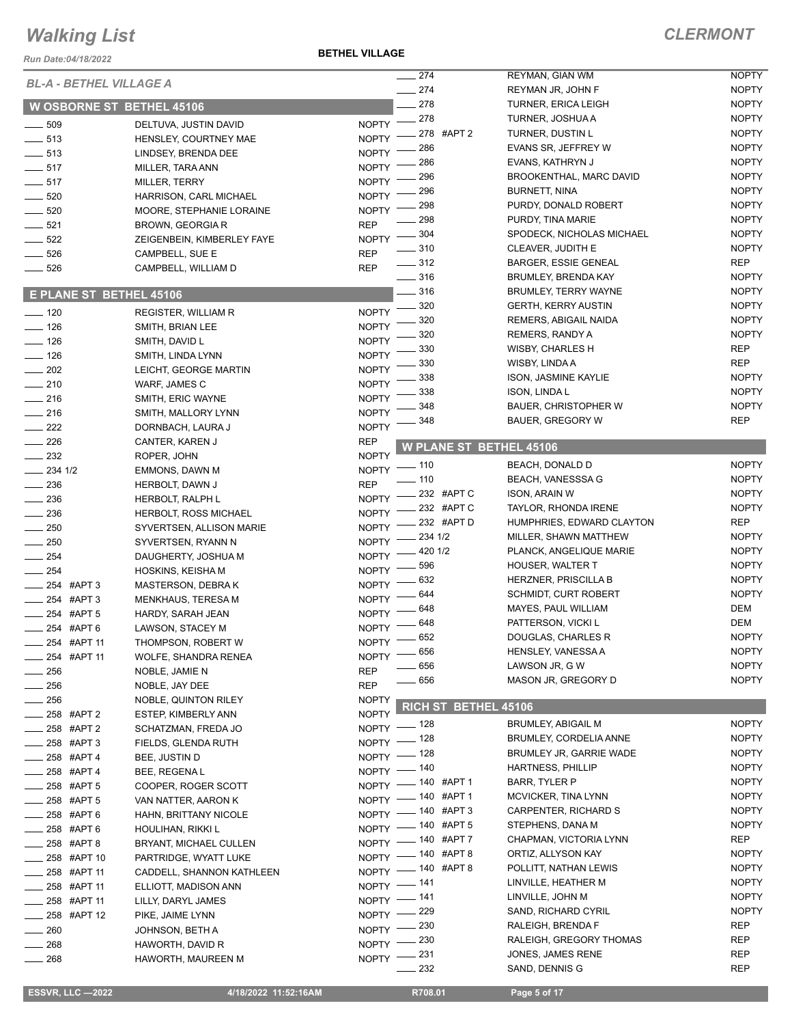#### *Run Date:04/18/2022*

**BETHEL VILLAGE**

| <b>Run Date:04/18/2022</b>     |                                  |                    |                   |                      |                                                 |                              |
|--------------------------------|----------------------------------|--------------------|-------------------|----------------------|-------------------------------------------------|------------------------------|
| <b>BL-A - BETHEL VILLAGE A</b> |                                  |                    | 274               |                      | REYMAN, GIAN WM                                 | <b>NOPTY</b>                 |
|                                |                                  |                    | $-274$<br>278     |                      | REYMAN JR, JOHN F<br><b>TURNER, ERICA LEIGH</b> | <b>NOPTY</b><br><b>NOPTY</b> |
|                                | <b>W OSBORNE ST BETHEL 45106</b> |                    | 278               |                      | TURNER, JOSHUA A                                | <b>NOPTY</b>                 |
| $\frac{1}{2}$ 509              | DELTUVA, JUSTIN DAVID            | <b>NOPTY</b>       |                   | 278 #APT 2           | TURNER, DUSTIN L                                | <b>NOPTY</b>                 |
| $\frac{1}{2}$ 513              | HENSLEY, COURTNEY MAE            | <b>NOPTY</b>       | 286               |                      | EVANS SR, JEFFREY W                             | <b>NOPTY</b>                 |
| $- 513$                        | LINDSEY, BRENDA DEE              | <b>NOPTY</b>       | 286               |                      | EVANS, KATHRYN J                                | <b>NOPTY</b>                 |
| $- 517$                        | MILLER, TARA ANN                 | <b>NOPTY</b>       | 296               |                      | BROOKENTHAL, MARC DAVID                         | <b>NOPTY</b>                 |
| $-517$                         | MILLER, TERRY                    | <b>NOPTY</b>       | 296               |                      | <b>BURNETT, NINA</b>                            | <b>NOPTY</b>                 |
| $\frac{1}{2}$ 520              | HARRISON, CARL MICHAEL           | <b>NOPTY</b>       | 298               |                      | PURDY, DONALD ROBERT                            | <b>NOPTY</b>                 |
| $\frac{1}{2}$ 520              | MOORE, STEPHANIE LORAINE         | <b>NOPTY</b>       | 298               |                      | PURDY, TINA MARIE                               | <b>NOPTY</b>                 |
| $-521$                         | BROWN, GEORGIA R                 | <b>REP</b>         | $-304$            |                      | SPODECK, NICHOLAS MICHAEL                       | <b>NOPTY</b>                 |
| $\frac{1}{2}$ 522              | ZEIGENBEIN, KIMBERLEY FAYE       | <b>NOPTY</b>       | 310               |                      | CLEAVER, JUDITH E                               | <b>NOPTY</b>                 |
| $- 526$                        | CAMPBELL, SUE E                  | <b>REP</b>         | $-312$            |                      | <b>BARGER, ESSIE GENEAL</b>                     | REP                          |
| $-526$                         | CAMPBELL, WILLIAM D              | <b>REP</b>         | $\frac{1}{2}$ 316 |                      | <b>BRUMLEY, BRENDA KAY</b>                      | <b>NOPTY</b>                 |
|                                |                                  |                    | $=$ 316           |                      | <b>BRUMLEY, TERRY WAYNE</b>                     | <b>NOPTY</b>                 |
| E PLANE ST BETHEL 45106        |                                  |                    | 320               |                      | <b>GERTH, KERRY AUSTIN</b>                      | <b>NOPTY</b>                 |
| $- 120$                        | <b>REGISTER, WILLIAM R</b>       | <b>NOPTY</b>       | 320               |                      | REMERS, ABIGAIL NAIDA                           | <b>NOPTY</b>                 |
| $- 126$                        | SMITH, BRIAN LEE                 | <b>NOPTY</b>       | 320               |                      | REMERS, RANDY A                                 | <b>NOPTY</b>                 |
| $\frac{1}{2}$ 126              | SMITH, DAVID L                   | <b>NOPTY</b>       | 330               |                      | WISBY, CHARLES H                                | <b>REP</b>                   |
| $- 126$                        | SMITH, LINDA LYNN                | <b>NOPTY</b>       | 330               |                      | WISBY, LINDA A                                  | <b>REP</b>                   |
| $\frac{1}{202}$                | LEICHT, GEORGE MARTIN            | <b>NOPTY</b>       | 338               |                      | <b>ISON, JASMINE KAYLIE</b>                     | <b>NOPTY</b>                 |
| $-210$                         | WARF, JAMES C                    | <b>NOPTY</b>       | 338               |                      | ISON, LINDA L                                   | <b>NOPTY</b>                 |
| $-216$                         | SMITH, ERIC WAYNE                | <b>NOPTY</b>       | 348               |                      | <b>BAUER, CHRISTOPHER W</b>                     | <b>NOPTY</b>                 |
| $-216$                         | SMITH, MALLORY LYNN              | <b>NOPTY</b>       | 348               |                      | BAUER, GREGORY W                                | <b>REP</b>                   |
| $\sim$ 222                     | DORNBACH, LAURA J                | <b>NOPTY</b>       |                   |                      |                                                 |                              |
| $\sim$ 226                     | CANTER, KAREN J                  | <b>REP</b>         |                   |                      | <b>W PLANE ST BETHEL 45106</b>                  |                              |
| $\frac{1}{2}$ 232              | ROPER, JOHN                      | <b>NOPTY</b>       | $-110$            |                      | BEACH, DONALD D                                 | <b>NOPTY</b>                 |
| $-234$ 1/2                     | EMMONS, DAWN M                   | <b>NOPTY</b>       | .110              |                      | <b>BEACH, VANESSSA G</b>                        | <b>NOPTY</b>                 |
| $\frac{1}{2}$ 236              | HERBOLT, DAWN J                  | <b>REP</b>         |                   | 232 #APT C           | <b>ISON, ARAIN W</b>                            | <b>NOPTY</b>                 |
| $\frac{1}{2}$ 236              | HERBOLT, RALPH L                 | <b>NOPTY</b>       |                   | 232 #APT C           | TAYLOR, RHONDA IRENE                            | <b>NOPTY</b>                 |
| $\frac{1}{2}$ 236              | <b>HERBOLT, ROSS MICHAEL</b>     | <b>NOPTY</b>       |                   | 232 #APT D           | HUMPHRIES, EDWARD CLAYTON                       | REP                          |
| $-250$                         | SYVERTSEN, ALLISON MARIE         | <b>NOPTY</b>       | 234 1/2           |                      | MILLER, SHAWN MATTHEW                           | <b>NOPTY</b>                 |
| $\frac{1}{250}$                | SYVERTSEN, RYANN N               | <b>NOPTY</b>       | 420 1/2           |                      | PLANCK, ANGELIQUE MARIE                         | <b>NOPTY</b>                 |
| $-254$                         | DAUGHERTY, JOSHUA M              | <b>NOPTY</b>       | 596               |                      | <b>HOUSER, WALTER T</b>                         | <b>NOPTY</b>                 |
| _ 254                          | HOSKINS, KEISHA M                | <b>NOPTY</b>       | 632               |                      | <b>HERZNER, PRISCILLA B</b>                     | <b>NOPTY</b>                 |
| _254 #APT3                     | <b>MASTERSON, DEBRAK</b>         | <b>NOPTY</b>       | 644               |                      | <b>SCHMIDT, CURT ROBERT</b>                     | <b>NOPTY</b>                 |
| <sub>-</sub> 254 #APT 3        | <b>MENKHAUS, TERESA M</b>        | <b>NOPTY</b>       | 648               |                      | MAYES, PAUL WILLIAM                             | DEM                          |
| $-254$ #APT 5                  | HARDY, SARAH JEAN                | <b>NOPTY</b>       | 648               |                      | PATTERSON, VICKI L                              | DEM                          |
| _ 254 #APT 6                   | LAWSON, STACEY M                 | <b>NOPTY</b>       | $- 652$           |                      | DOUGLAS, CHARLES R                              | <b>NOPTY</b>                 |
| $\frac{1}{254}$ #APT 11        | THOMPSON, ROBERT W               | <b>NOPTY</b>       |                   |                      | HENSLEY, VANESSA A                              | <b>NOPTY</b>                 |
| -254 #APT 11                   | WOLFE, SHANDRA RENEA             | NOPTY - 656        | _ 656             |                      | LAWSON JR, G W                                  | <b>NOPTY</b>                 |
| $\frac{1}{256}$                | NOBLE, JAMIE N                   | <b>REP</b>         | $\frac{1}{2}$ 656 |                      | MASON JR, GREGORY D                             | <b>NOPTY</b>                 |
| $\frac{1}{256}$                | NOBLE, JAY DEE                   | <b>REP</b>         |                   |                      |                                                 |                              |
| $\sim$ 256                     | NOBLE, QUINTON RILEY             | <b>NOPTY</b>       |                   | RICH ST BETHEL 45106 |                                                 |                              |
| $\frac{1}{258}$ #APT 2         | ESTEP, KIMBERLY ANN              | <b>NOPTY</b>       |                   |                      | <b>BRUMLEY, ABIGAIL M</b>                       | <b>NOPTY</b>                 |
| $-258$ #APT 2                  | SCHATZMAN, FREDA JO              | NOPTY - 128        |                   |                      | BRUMLEY, CORDELIA ANNE                          | <b>NOPTY</b>                 |
| $-258$ #APT 3                  | FIELDS, GLENDA RUTH              | NOPTY $-$ 128      |                   |                      | BRUMLEY JR, GARRIE WADE                         | <b>NOPTY</b>                 |
| -258 #APT 4                    | BEE, JUSTIN D                    | $NOPTY =$          | _ 128             |                      | <b>HARTNESS, PHILLIP</b>                        | <b>NOPTY</b>                 |
| <b>258 #APT4</b>               | BEE, REGENAL                     | NOPTY - 140        |                   |                      |                                                 |                              |
| $\frac{1}{258}$ #APT 5         | COOPER, ROGER SCOTT              | NOPTY - 140 #APT 1 |                   |                      | BARR, TYLER P                                   | <b>NOPTY</b>                 |
| $-258$ #APT 5                  | VAN NATTER, AARON K              | NOPTY - 140 #APT 1 |                   |                      | MCVICKER, TINA LYNN                             | <b>NOPTY</b>                 |
| $-258$ #APT 6                  | HAHN, BRITTANY NICOLE            | NOPTY - 140 #APT 3 |                   |                      | CARPENTER, RICHARD S                            | <b>NOPTY</b>                 |
| $258$ #APT 6                   | HOULIHAN, RIKKI L                | NOPTY - 140 #APT 5 |                   |                      | STEPHENS, DANA M                                | <b>NOPTY</b><br>REP          |
| $\frac{1}{258}$ #APT 8         | BRYANT, MICHAEL CULLEN           | NOPTY - 140 #APT 7 |                   |                      | CHAPMAN, VICTORIA LYNN                          |                              |
| ___ 258 #APT 10                | PARTRIDGE, WYATT LUKE            | NOPTY - 140 #APT 8 |                   |                      | ORTIZ, ALLYSON KAY                              | <b>NOPTY</b><br><b>NOPTY</b> |
| __ 258 #APT 11                 | CADDELL, SHANNON KATHLEEN        | NOPTY - 140 #APT 8 |                   |                      | POLLITT, NATHAN LEWIS                           |                              |
| $\frac{1}{258}$ #APT 11        | ELLIOTT, MADISON ANN             | NOPTY -141         |                   |                      | LINVILLE, HEATHER M                             | <b>NOPTY</b>                 |
| $\frac{1}{258}$ #APT 11        | LILLY, DARYL JAMES               | NOPTY - 141        |                   |                      | LINVILLE, JOHN M                                | <b>NOPTY</b>                 |
| $\frac{1}{258}$ #APT 12        | PIKE, JAIME LYNN                 | NOPTY -229         |                   |                      | SAND, RICHARD CYRIL                             | <b>NOPTY</b>                 |
| $\frac{1}{260}$                | JOHNSON, BETH A                  | NOPTY -            | 230               |                      | RALEIGH, BRENDA F                               | REP                          |
| $-268$                         | HAWORTH, DAVID R                 | $N$ OPTY $-$       | _ 230             |                      | RALEIGH, GREGORY THOMAS                         | <b>REP</b>                   |
| $- 268$                        | HAWORTH, MAUREEN M               | NOPTY -231         |                   |                      | JONES, JAMES RENE                               | <b>REP</b>                   |
|                                |                                  |                    | 232               |                      | SAND, DENNIS G                                  | REP                          |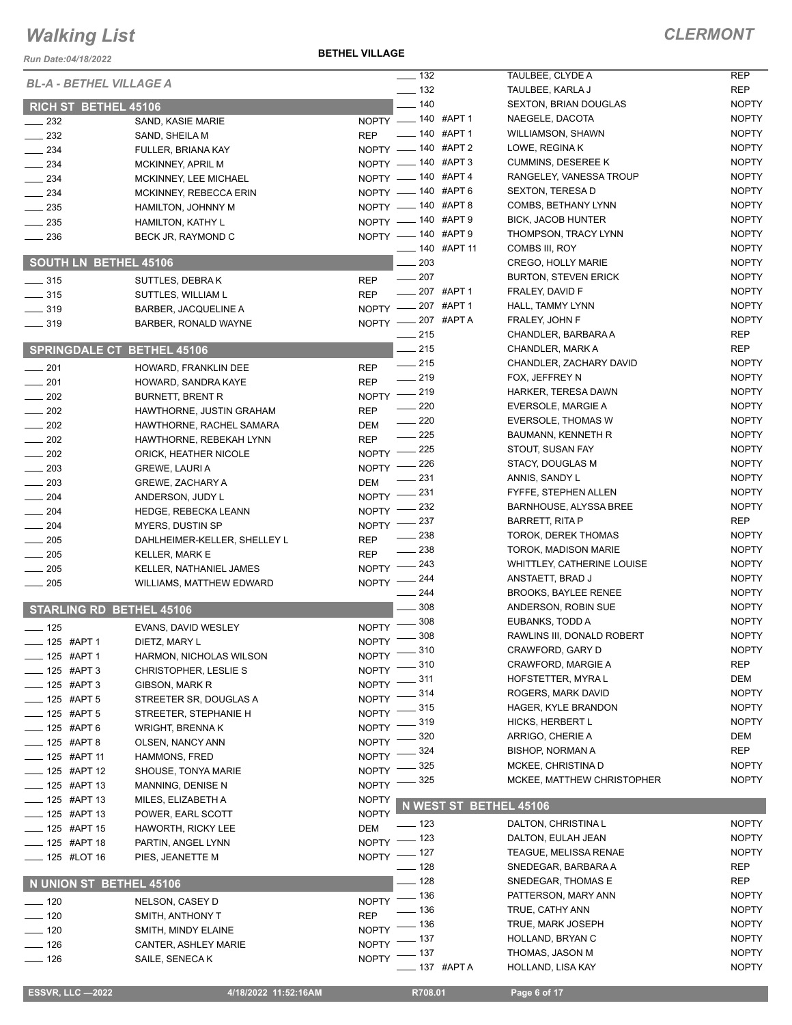**BETHEL VILLAGE**

#### *CLERMONT*

NOPTY NOPTY

| Run Date:04/18/2022                |                                                       | <b>DEINEL VILLAGE</b>                                      |                                                  |                              |
|------------------------------------|-------------------------------------------------------|------------------------------------------------------------|--------------------------------------------------|------------------------------|
| <b>BL-A - BETHEL VILLAGE A</b>     |                                                       | $\frac{1}{2}$ 132                                          | TAULBEE, CLYDE A                                 | <b>REP</b>                   |
|                                    |                                                       | $\frac{1}{2}$ 132                                          | TAULBEE, KARLA J                                 | <b>REP</b>                   |
| RICH ST BETHEL 45106               |                                                       | $-140$                                                     | <b>SEXTON, BRIAN DOUGLAS</b>                     | <b>NOPTY</b>                 |
| $\frac{1}{2}$ 232                  | SAND, KASIE MARIE                                     | $NOPTY$ - 140 #APT 1                                       | NAEGELE, DACOTA                                  | <b>NOPTY</b>                 |
| $\frac{232}{2}$                    | SAND, SHEILA M                                        | <b>____ 140 #APT 1</b><br><b>REP</b><br>NOPTY - 140 #APT 2 | <b>WILLIAMSON, SHAWN</b><br>LOWE, REGINA K       | <b>NOPTY</b><br><b>NOPTY</b> |
| $\frac{1}{2}$ 234                  | FULLER, BRIANA KAY                                    | NOPTY - 140 #APT 3                                         | <b>CUMMINS, DESEREE K</b>                        | <b>NOPTY</b>                 |
| $\frac{234}{2}$                    | MCKINNEY, APRIL M                                     | NOPTY - 140 #APT 4                                         | RANGELEY, VANESSA TROUP                          | <b>NOPTY</b>                 |
| $\frac{1}{2}$ 234<br>234           | MCKINNEY, LEE MICHAEL<br>MCKINNEY, REBECCA ERIN       | NOPTY - 140 #APT 6                                         | <b>SEXTON, TERESA D</b>                          | <b>NOPTY</b>                 |
| $\frac{1}{2}$ 235                  | <b>HAMILTON, JOHNNY M</b>                             | NOPTY - 140 #APT 8                                         | COMBS, BETHANY LYNN                              | <b>NOPTY</b>                 |
| $\frac{1}{2}$ 235                  | HAMILTON, KATHY L                                     | NOPTY - 140 #APT 9                                         | <b>BICK, JACOB HUNTER</b>                        | <b>NOPTY</b>                 |
| $\frac{1}{2}$ 236                  | BECK JR, RAYMOND C                                    | NOPTY - 140 #APT 9                                         | THOMPSON, TRACY LYNN                             | <b>NOPTY</b>                 |
|                                    |                                                       | _____ 140   #APT 11                                        | COMBS III, ROY                                   | <b>NOPTY</b>                 |
| <b>SOUTH LN BETHEL 45106</b>       |                                                       | $-203$                                                     | CREGO, HOLLY MARIE                               | <b>NOPTY</b>                 |
| $\frac{1}{2}$ 315                  | SUTTLES, DEBRAK                                       | $\frac{1}{207}$<br><b>REP</b>                              | <b>BURTON, STEVEN ERICK</b>                      | <b>NOPTY</b>                 |
| $\frac{1}{2}$ 315                  | SUTTLES, WILLIAM L                                    | __ 207 #APT 1<br><b>REP</b>                                | FRALEY, DAVID F                                  | <b>NOPTY</b>                 |
| $\frac{1}{2}$ 319                  | BARBER, JACQUELINE A                                  | NOPTY -207 #APT 1                                          | HALL, TAMMY LYNN                                 | <b>NOPTY</b>                 |
| $- 319$                            | BARBER, RONALD WAYNE                                  | NOPTY -207 #APTA                                           | FRALEY, JOHN F                                   | <b>NOPTY</b>                 |
|                                    |                                                       | $-215$                                                     | CHANDLER, BARBARA A                              | REP                          |
| <b>SPRINGDALE CT BETHEL 45106</b>  |                                                       | - 215                                                      | CHANDLER, MARK A                                 | REP                          |
| $\frac{1}{201}$                    | HOWARD, FRANKLIN DEE                                  | $\frac{1}{215}$<br><b>REP</b>                              | CHANDLER, ZACHARY DAVID                          | <b>NOPTY</b>                 |
| $\frac{1}{201}$                    | HOWARD, SANDRA KAYE                                   | $-219$<br><b>REP</b>                                       | FOX, JEFFREY N                                   | <b>NOPTY</b>                 |
| $\frac{1}{202}$                    | <b>BURNETT, BRENT R</b>                               | NOPTY -219                                                 | HARKER, TERESA DAWN                              | <b>NOPTY</b>                 |
| $\sim$ 202                         | HAWTHORNE, JUSTIN GRAHAM                              | $\frac{1}{220}$<br><b>REP</b>                              | EVERSOLE, MARGIE A                               | <b>NOPTY</b>                 |
| $\frac{1}{202}$                    | HAWTHORNE, RACHEL SAMARA                              | $\frac{1}{220}$<br>DEM                                     | <b>EVERSOLE, THOMAS W</b>                        | <b>NOPTY</b>                 |
| $\frac{1}{202}$                    | HAWTHORNE, REBEKAH LYNN                               | $\frac{1}{225}$<br><b>REP</b><br>$-225$                    | BAUMANN, KENNETH R                               | <b>NOPTY</b><br><b>NOPTY</b> |
| $\frac{1}{202}$                    | ORICK, HEATHER NICOLE                                 | NOPTY -<br>_ 226                                           | STOUT, SUSAN FAY<br>STACY, DOUGLAS M             | <b>NOPTY</b>                 |
| $\sim$ 203                         | <b>GREWE, LAURI A</b>                                 | NOPTY $-$<br>$-231$                                        | ANNIS, SANDY L                                   | <b>NOPTY</b>                 |
| $\sim$ 203                         | <b>GREWE, ZACHARY A</b>                               | <b>DEM</b><br>NOPTY -231                                   | FYFFE, STEPHEN ALLEN                             | <b>NOPTY</b>                 |
| $\frac{1}{204}$                    | ANDERSON, JUDY L                                      | NOPTY -232                                                 | BARNHOUSE, ALYSSA BREE                           | <b>NOPTY</b>                 |
| $- 204$                            | <b>HEDGE, REBECKA LEANN</b>                           | $-237$<br>NOPTY -                                          | BARRETT, RITA P                                  | REP                          |
| $\frac{1}{204}$                    | MYERS, DUSTIN SP                                      | _ 238<br><b>REP</b>                                        | TOROK, DEREK THOMAS                              | <b>NOPTY</b>                 |
| $\frac{1}{205}$<br>$\frac{1}{205}$ | DAHLHEIMER-KELLER, SHELLEY L<br><b>KELLER, MARK E</b> | $= 238$<br><b>REP</b>                                      | TOROK, MADISON MARIE                             | <b>NOPTY</b>                 |
| $\frac{1}{205}$                    | KELLER, NATHANIEL JAMES                               | NOPTY -243                                                 | WHITTLEY, CATHERINE LOUISE                       | <b>NOPTY</b>                 |
| $\frac{1}{205}$                    | WILLIAMS, MATTHEW EDWARD                              | NOPTY -244                                                 | ANSTAETT, BRAD J                                 | <b>NOPTY</b>                 |
|                                    |                                                       | . 244                                                      | <b>BROOKS, BAYLEE RENEE</b>                      | <b>NOPTY</b>                 |
| STARLING RD BETHEL 45106           |                                                       | 308                                                        | ANDERSON, ROBIN SUE                              | <b>NOPTY</b>                 |
| $- 125$                            | EVANS, DAVID WESLEY                                   | $-308$<br>$N$ OPTY $-$                                     | EUBANKS, TODD A                                  | <b>NOPTY</b>                 |
| ____ 125 #APT 1                    | DIETZ, MARY L                                         | NOPTY -808                                                 | RAWLINS III, DONALD ROBERT                       | <b>NOPTY</b>                 |
| $- 125$ #APT 1                     | HARMON, NICHOLAS WILSON                               | NOPTY -810                                                 | CRAWFORD, GARY D                                 | <b>NOPTY</b>                 |
| $- 125$ #APT 3                     | CHRISTOPHER, LESLIE S                                 | $=$ 310<br>NOPTY <sup>-</sup>                              | <b>CRAWFORD, MARGIE A</b>                        | REP                          |
| $- 125$ #APT 3                     | GIBSON, MARK R                                        | $-311$<br>NOPTY -                                          | HOFSTETTER, MYRAL                                | DEM                          |
| $- 125$ #APT 5                     | STREETER SR, DOUGLAS A                                | NOPTY - 314                                                | ROGERS, MARK DAVID                               | <b>NOPTY</b>                 |
| $-$ 125 #APT 5                     | STREETER, STEPHANIE H                                 | NOPTY -815                                                 | HAGER, KYLE BRANDON                              | <b>NOPTY</b>                 |
| $- 125$ #APT 6                     | WRIGHT, BRENNA K                                      | $-319$<br>NOPTY <sup>-</sup>                               | <b>HICKS, HERBERT L</b>                          | <b>NOPTY</b>                 |
| $- 125$ #APT 8                     | OLSEN, NANCY ANN                                      | 320<br><b>NOPTY</b>                                        | ARRIGO, CHERIE A                                 | DEM                          |
| __ 125 #APT 11                     | HAMMONS, FRED                                         | 324<br>NOPTY <sup>-</sup>                                  | BISHOP, NORMAN A                                 | <b>REP</b>                   |
| $- 125$ #APT 12                    | SHOUSE, TONYA MARIE                                   | . 325<br>NOPTY <sup>-</sup>                                | MCKEE, CHRISTINA D<br>MCKEE, MATTHEW CHRISTOPHER | <b>NOPTY</b><br><b>NOPTY</b> |
| $\frac{1}{2}$ 125 #APT 13          | MANNING, DENISE N                                     | $-325$<br>NOPTY <sup>-</sup>                               |                                                  |                              |
| $\frac{1}{2}$ 125 #APT 13          | MILES, ELIZABETH A                                    | <b>NOPTY</b>                                               | N WEST ST BETHEL 45106                           |                              |
| ____ 125 #APT 13                   | POWER, EARL SCOTT                                     | <b>NOPTY</b><br>$-123$                                     | DALTON, CHRISTINA L                              | <b>NOPTY</b>                 |
| $\frac{1}{2}$ 125 #APT 15          | HAWORTH, RICKY LEE                                    | <b>DEM</b><br>NOPTY $-$ 123                                | DALTON, EULAH JEAN                               | <b>NOPTY</b>                 |
| ____ 125 #APT 18                   | PARTIN, ANGEL LYNN                                    | NOPTY - 127                                                | <b>TEAGUE, MELISSA RENAE</b>                     | <b>NOPTY</b>                 |
| $\frac{1}{2}$ 125 #LOT 16          | PIES, JEANETTE M                                      | $- 128$                                                    | SNEDEGAR, BARBARA A                              | REP                          |
| N UNION ST BETHEL 45106            |                                                       | $-128$                                                     | SNEDEGAR, THOMAS E                               | REP                          |
|                                    |                                                       | NOPTY - 136                                                | PATTERSON, MARY ANN                              | <b>NOPTY</b>                 |
| $\frac{1}{2}$ 120                  | NELSON, CASEY D                                       | $- 136$                                                    | TRUE, CATHY ANN                                  | <b>NOPTY</b>                 |
| $- 120$                            | SMITH, ANTHONY T                                      | <b>REP</b><br>NOPTY - 136                                  | TRUE, MARK JOSEPH                                | <b>NOPTY</b>                 |
| $- 120$<br>$- 126$                 | SMITH, MINDY ELAINE                                   | _ 137<br>NOPTY <sup>-</sup>                                | HOLLAND, BRYAN C                                 | <b>NOPTY</b>                 |
| $- 126$                            | CANTER, ASHLEY MARIE<br>SAILE, SENECA K               | $NOPTY$ - 137                                              | THOMAS, JASON M                                  | <b>NOPTY</b>                 |
|                                    |                                                       | <sub>—</sub> 137 #APT A                                    | HOLLAND, LISA KAY                                | <b>NOPTY</b>                 |
|                                    |                                                       |                                                            |                                                  |                              |
| <b>ESSVR, LLC -2022</b>            | 4/18/2022 11:52:16AM                                  | R708.01                                                    | Page 6 of 17                                     |                              |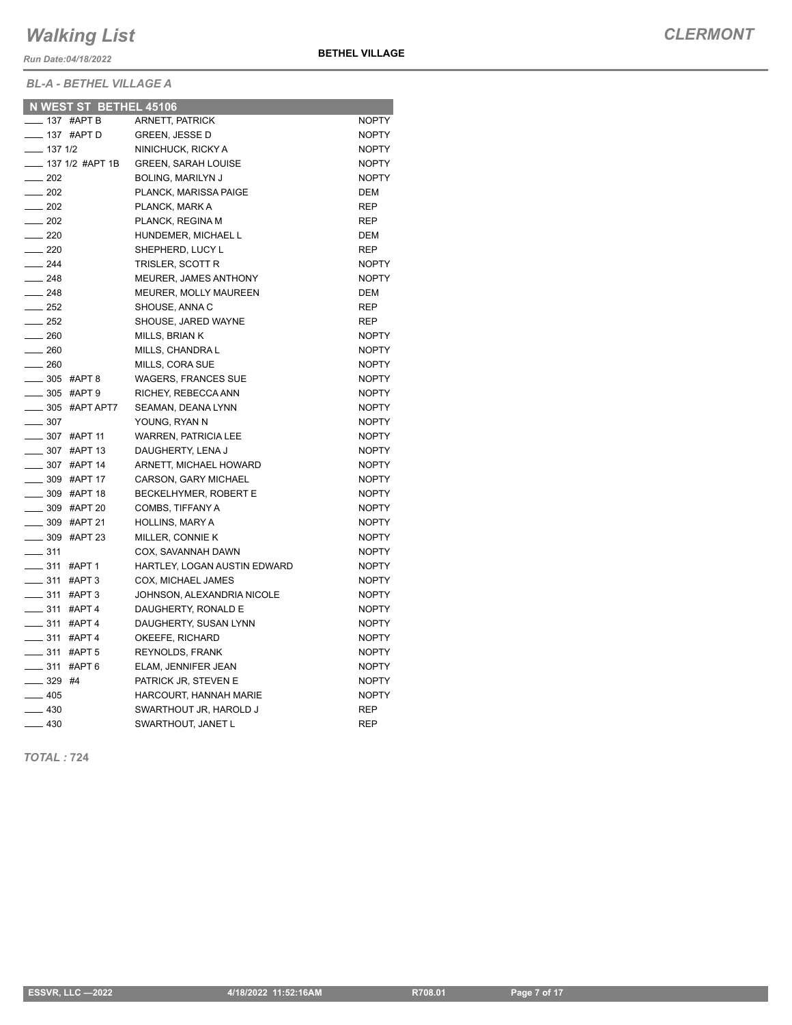*Run Date:04/18/2022*

*BL-A - BETHEL VILLAGE A*

|                          | N WEST ST BETHEL 45106    |                              |              |
|--------------------------|---------------------------|------------------------------|--------------|
| $\frac{1}{2}$ 137 #APT B |                           | <b>ARNETT, PATRICK</b>       | <b>NOPTY</b> |
| $\frac{1}{2}$ 137 #APT D |                           | <b>GREEN, JESSE D</b>        | <b>NOPTY</b> |
| $- 1371/2$               |                           | NINICHUCK, RICKY A           | <b>NOPTY</b> |
|                          | ____ 137 1/2 #APT 1B      | <b>GREEN, SARAH LOUISE</b>   | <b>NOPTY</b> |
| $\frac{1}{202}$          |                           | <b>BOLING, MARILYN J</b>     | <b>NOPTY</b> |
| $\frac{1}{202}$          |                           | PLANCK, MARISSA PAIGE        | DEM          |
| $\frac{1}{202}$          |                           | PLANCK, MARK A               | <b>REP</b>   |
| $\frac{1}{202}$          |                           | PLANCK, REGINA M             | <b>REP</b>   |
| $\sim$ 220               |                           | HUNDEMER, MICHAEL L          | DEM          |
| $\sim$ 220               |                           | SHEPHERD, LUCY L             | <b>REP</b>   |
| $-244$                   |                           | TRISLER, SCOTT R             | <b>NOPTY</b> |
| $\frac{1}{248}$          |                           | MEURER, JAMES ANTHONY        | <b>NOPTY</b> |
| $\frac{1}{248}$          |                           | MEURER, MOLLY MAUREEN        | <b>DEM</b>   |
| $\frac{1}{252}$          |                           | SHOUSE, ANNA C               | REP          |
| $\frac{1}{252}$          |                           | SHOUSE, JARED WAYNE          | REP          |
| $\frac{1}{260}$          |                           | MILLS, BRIAN K               | <b>NOPTY</b> |
| $-260$                   |                           | MILLS, CHANDRA L             | <b>NOPTY</b> |
| $\frac{1}{260}$          |                           | MILLS, CORA SUE              | <b>NOPTY</b> |
| _____ 305 #APT 8         |                           | <b>WAGERS, FRANCES SUE</b>   | <b>NOPTY</b> |
| _____ 305 #APT 9         |                           | RICHEY, REBECCA ANN          | <b>NOPTY</b> |
|                          | _____ 305 #APT APT7       | SEAMAN, DEANA LYNN           | <b>NOPTY</b> |
| $\frac{1}{2}$ 307        |                           | YOUNG, RYAN N                | <b>NOPTY</b> |
|                          | $\frac{1}{2}$ 307 #APT 11 | <b>WARREN, PATRICIA LEE</b>  | <b>NOPTY</b> |
|                          | <b>_____ 307 #APT 13</b>  | DAUGHERTY, LENA J            | <b>NOPTY</b> |
|                          | ____ 307 #APT 14          | ARNETT, MICHAEL HOWARD       | <b>NOPTY</b> |
|                          | ____ 309 #APT 17          | CARSON, GARY MICHAEL         | <b>NOPTY</b> |
|                          | <b>209 #APT 18</b>        | BECKELHYMER, ROBERT E        | <b>NOPTY</b> |
|                          | ____ 309 #APT 20          | COMBS, TIFFANY A             | <b>NOPTY</b> |
|                          | $\frac{1}{2}$ 309 #APT 21 | <b>HOLLINS, MARY A</b>       | <b>NOPTY</b> |
|                          | ____ 309 #APT 23          | MILLER, CONNIE K             | <b>NOPTY</b> |
| $\frac{1}{2}$ 311        |                           | COX, SAVANNAH DAWN           | <b>NOPTY</b> |
| $- 311$ #APT 1           |                           | HARTLEY, LOGAN AUSTIN EDWARD | <b>NOPTY</b> |
| $- 311$ #APT 3           |                           | COX, MICHAEL JAMES           | <b>NOPTY</b> |
| ____ 311 #APT 3          |                           | JOHNSON, ALEXANDRIA NICOLE   | <b>NOPTY</b> |
| _____ 311 #APT 4         |                           | DAUGHERTY, RONALD E          | <b>NOPTY</b> |
| $- 311$ #APT 4           |                           | DAUGHERTY, SUSAN LYNN        | <b>NOPTY</b> |
| -811 #APT 4              |                           | OKEEFE, RICHARD              | <b>NOPTY</b> |
| _____ 311 #APT 5         |                           | <b>REYNOLDS, FRANK</b>       | <b>NOPTY</b> |
| $- 311$ #APT 6           |                           | ELAM, JENNIFER JEAN          | <b>NOPTY</b> |
| $- 329$ #4               |                           | PATRICK JR, STEVEN E         | <b>NOPTY</b> |
| $-405$                   |                           | HARCOURT, HANNAH MARIE       | <b>NOPTY</b> |
| $\frac{1}{2}$ 430        |                           | SWARTHOUT JR, HAROLD J       | <b>REP</b>   |
| $-430$                   |                           | SWARTHOUT, JANET L           | <b>REP</b>   |

*TOTAL :* **724**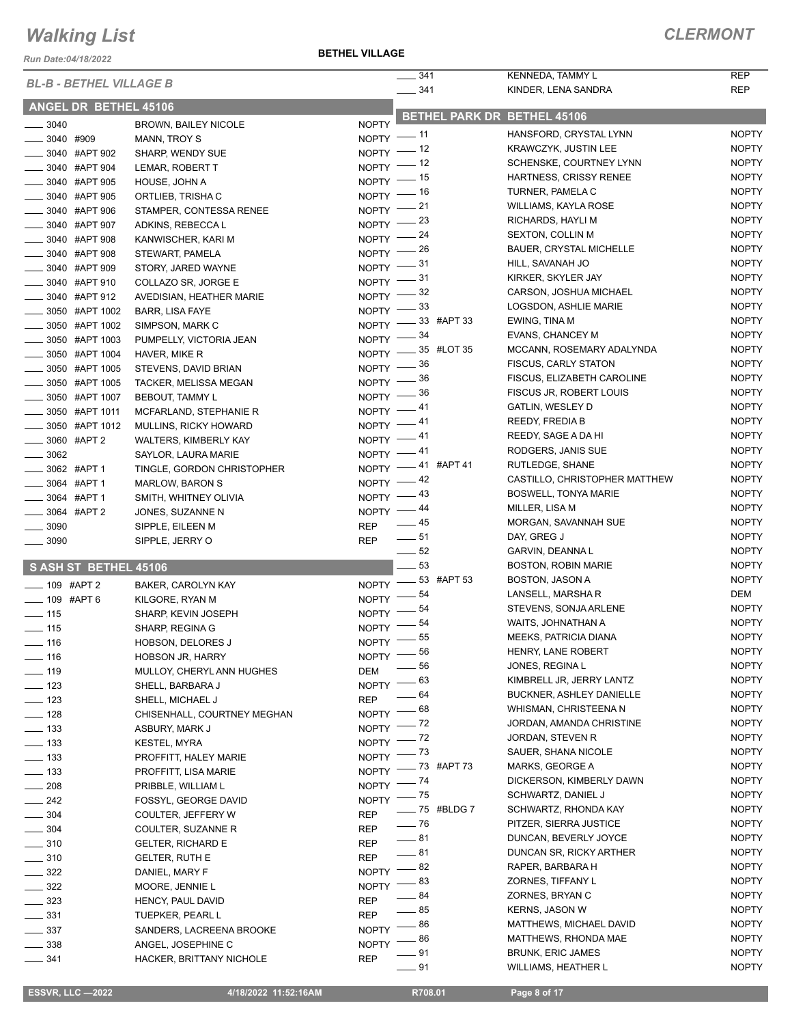*Run Date:04/18/2022*

**BETHEL VILLAGE**

|                                |                              |                    | 341<br>$\mathcal{L}$ |              | KENNEDA, TAMMY L                                  | <b>REP</b>                   |
|--------------------------------|------------------------------|--------------------|----------------------|--------------|---------------------------------------------------|------------------------------|
| <b>BL-B - BETHEL VILLAGE B</b> |                              |                    | $- 341$              |              | KINDER, LENA SANDRA                               | <b>REP</b>                   |
| ANGEL DR BETHEL 45106          |                              |                    |                      |              |                                                   |                              |
| $- 3040$                       | BROWN, BAILEY NICOLE         | <b>NOPTY</b>       |                      |              | <b>BETHEL PARK DR BETHEL 45106</b>                |                              |
| $- 3040$ #909                  | MANN, TROY S                 | $NOPTY$ -- 11      |                      |              | HANSFORD, CRYSTAL LYNN                            | <b>NOPTY</b>                 |
| <b>20040 #APT 902</b>          | SHARP, WENDY SUE             | NOPTY $-$ 12       |                      |              | KRAWCZYK, JUSTIN LEE                              | <b>NOPTY</b>                 |
| $\frac{1}{2}$ 3040 #APT 904    | LEMAR, ROBERT T              | NOPTY $-$ 12       |                      |              | SCHENSKE, COURTNEY LYNN                           | <b>NOPTY</b>                 |
| _3040 #APT 905                 | HOUSE, JOHN A                | $NOPTY$ -- 15      |                      |              | HARTNESS, CRISSY RENEE                            | <b>NOPTY</b>                 |
| _3040 #APT 905                 | ORTLIEB, TRISHA C            | $NOPTY$ -- 16      |                      |              | TURNER, PAMELA C                                  | <b>NOPTY</b>                 |
| _____ 3040 #APT 906            | STAMPER, CONTESSA RENEE      | NOPTY $-21$        |                      |              | WILLIAMS, KAYLA ROSE                              | <b>NOPTY</b>                 |
| -8040 #APT 907                 | ADKINS, REBECCA L            | NOPTY $-$ 23       |                      |              | RICHARDS, HAYLI M                                 | <b>NOPTY</b>                 |
| $\frac{1}{2}$ 3040 #APT 908    | KANWISCHER, KARI M           | NOPTY $-24$        |                      |              | <b>SEXTON, COLLIN M</b>                           | <b>NOPTY</b>                 |
| <b>2040 #APT 908</b>           | STEWART, PAMELA              | NOPTY $-$ 26       |                      |              | <b>BAUER, CRYSTAL MICHELLE</b>                    | <b>NOPTY</b>                 |
| 3040 #APT 909                  | STORY, JARED WAYNE           | NOPTY $-31$        |                      |              | HILL, SAVANAH JO                                  | <b>NOPTY</b>                 |
| _____ 3040 #APT 910            | COLLAZO SR, JORGE E          | $NOPTY$ - 31       |                      |              | KIRKER, SKYLER JAY                                | <b>NOPTY</b>                 |
| _____ 3040 #APT 912            | AVEDISIAN, HEATHER MARIE     | NOPTY $-$ 32       |                      |              | CARSON, JOSHUA MICHAEL                            | <b>NOPTY</b>                 |
| ____ 3050 #APT 1002            | <b>BARR, LISA FAYE</b>       | NOPTY $-33$        |                      |              | LOGSDON, ASHLIE MARIE                             | <b>NOPTY</b>                 |
| _____ 3050 #APT 1002           | SIMPSON, MARK C              | NOPTY -33 #APT 33  |                      |              | EWING, TINA M                                     | <b>NOPTY</b>                 |
| <b>______ 3050 #APT 1003</b>   | PUMPELLY, VICTORIA JEAN      | NOPTY $-$ 34       |                      |              | EVANS, CHANCEY M                                  | <b>NOPTY</b>                 |
| ____ 3050 #APT 1004            | HAVER, MIKE R                | NOPTY -85 #LOT 35  |                      |              | MCCANN, ROSEMARY ADALYNDA                         | <b>NOPTY</b>                 |
| 3050 #APT 1005                 | STEVENS, DAVID BRIAN         | NOPTY $-$ 36       |                      |              | <b>FISCUS, CARLY STATON</b>                       | <b>NOPTY</b>                 |
| 3050 #APT 1005                 | <b>TACKER, MELISSA MEGAN</b> | NOPTY $-$ 36       |                      |              | FISCUS, ELIZABETH CAROLINE                        | <b>NOPTY</b>                 |
| ____ 3050 #APT 1007            | <b>BEBOUT, TAMMY L</b>       | NOPTY $-$ 36       |                      |              | FISCUS JR, ROBERT LOUIS                           | <b>NOPTY</b>                 |
| __ 3050 #APT 1011              | MCFARLAND, STEPHANIE R       | NOPTY $-41$        |                      |              | GATLIN, WESLEY D                                  | <b>NOPTY</b>                 |
| _____ 3050 #APT 1012           | MULLINS, RICKY HOWARD        | NOPTY $-41$        |                      |              | <b>REEDY, FREDIA B</b>                            | <b>NOPTY</b>                 |
| _____ 3060 #APT 2              | WALTERS, KIMBERLY KAY        | $NOPTY$ -41        |                      |              | REEDY, SAGE A DA HI                               | <b>NOPTY</b>                 |
| $\frac{1}{2}$ 3062             | SAYLOR, LAURA MARIE          | NOPTY $-41$        |                      |              | RODGERS, JANIS SUE                                | <b>NOPTY</b>                 |
| _____ 3062 #APT 1              | TINGLE, GORDON CHRISTOPHER   | NOPTY -41 #APT 41  |                      |              | RUTLEDGE, SHANE                                   | <b>NOPTY</b>                 |
| __ 3064 #APT 1                 | <b>MARLOW, BARON S</b>       | $NOPTY$ -42        |                      |              | CASTILLO, CHRISTOPHER MATTHEW                     | <b>NOPTY</b>                 |
| $\frac{1}{2}$ 3064 #APT 1      | SMITH, WHITNEY OLIVIA        | $NOPTY$ -43        |                      |              | <b>BOSWELL, TONYA MARIE</b>                       | <b>NOPTY</b>                 |
| $\frac{1}{2}$ 3064 #APT 2      | JONES, SUZANNE N             | NOPTY $-44$        |                      |              | MILLER, LISA M                                    | <b>NOPTY</b>                 |
| $\frac{1}{2}$ 3090             | SIPPLE, EILEEN M             | <b>REP</b>         | $\frac{1}{2}$ 45     |              | MORGAN, SAVANNAH SUE                              | <b>NOPTY</b>                 |
| $\frac{1}{2}$ 3090             | SIPPLE, JERRY O              | <b>REP</b>         | $\frac{1}{2}$ 51     |              | DAY, GREG J                                       | <b>NOPTY</b>                 |
|                                |                              |                    | $\frac{1}{2}$ 52     |              | GARVIN, DEANNA L                                  | <b>NOPTY</b>                 |
| S ASH ST BETHEL 45106          |                              |                    | $-53$                |              | <b>BOSTON, ROBIN MARIE</b>                        | <b>NOPTY</b>                 |
| $- 109$ #APT 2                 | BAKER, CAROLYN KAY           | NOPTY -83 #APT 53  |                      |              | BOSTON, JASON A                                   | <b>NOPTY</b>                 |
| $- 109$ #APT 6                 | KILGORE, RYAN M              | <b>NOPTY</b>       | 54                   |              | LANSELL, MARSHA R                                 | DEM                          |
| $\frac{1}{2}$ 115              | SHARP, KEVIN JOSEPH          | <b>NOPTY</b>       | 54                   |              | STEVENS, SONJA ARLENE                             | <b>NOPTY</b>                 |
| $\frac{1}{2}$ 115              | SHARP, REGINA G              | NOPTY <sup>-</sup> | 54                   |              | WAITS, JOHNATHAN A                                | <b>NOPTY</b>                 |
| $- 116$                        | <b>HOBSON, DELORES J</b>     | $NOPTY =$          | - 55                 |              | <b>MEEKS, PATRICIA DIANA</b>                      | <b>NOPTY</b>                 |
| $\frac{1}{16}$                 | <b>HOBSON JR, HARRY</b>      | NOPTY $^-$         | _ 56                 |              | HENRY, LANE ROBERT                                | <b>NOPTY</b>                 |
| $\frac{1}{2}$ 119              | MULLOY, CHERYL ANN HUGHES    | <b>DEM</b>         | 56                   |              | JONES, REGINA L                                   | <b>NOPTY</b>                 |
| $\frac{1}{2}$ 123              | SHELL, BARBARA J             | <b>NOPTY</b>       | 63                   |              | KIMBRELL JR, JERRY LANTZ                          | <b>NOPTY</b><br><b>NOPTY</b> |
| $\equiv$ 123                   | SHELL, MICHAEL J             | <b>REP</b>         | 64                   |              | BUCKNER, ASHLEY DANIELLE<br>WHISMAN, CHRISTEENA N |                              |
| $\frac{1}{2}$ 128              | CHISENHALL, COURTNEY MEGHAN  | NOPTY <sup>-</sup> | - 68                 |              |                                                   | <b>NOPTY</b>                 |
| $- 133$                        | ASBURY, MARK J               | $N$ OPTY $-$       | $-72$                |              | JORDAN, AMANDA CHRISTINE                          | <b>NOPTY</b>                 |
| $\frac{1}{2}$ 133              | <b>KESTEL, MYRA</b>          | $N$ OPTY $-$       | $-72$                |              | JORDAN, STEVEN R                                  | <b>NOPTY</b>                 |
| $\frac{1}{2}$ 133              | PROFFITT, HALEY MARIE        | NOPTY $ 73$        |                      |              | SAUER, SHANA NICOLE                               | <b>NOPTY</b><br><b>NOPTY</b> |
| $\frac{1}{2}$ 133              | PROFFITT, LISA MARIE         | NOPTY - 73 #APT 73 |                      |              | MARKS, GEORGE A<br>DICKERSON, KIMBERLY DAWN       | <b>NOPTY</b>                 |
| $\frac{1}{208}$                | PRIBBLE, WILLIAM L           | $NOPTY$ -- $74$    |                      |              | SCHWARTZ, DANIEL J                                | <b>NOPTY</b>                 |
| $\frac{242}{2}$                | FOSSYL, GEORGE DAVID         | NOPTY $ ^{75}$     |                      | - 75 #BLDG 7 | SCHWARTZ, RHONDA KAY                              | <b>NOPTY</b>                 |
| $\frac{1}{2}$ 304              | COULTER, JEFFERY W           | <b>REP</b>         | $-76$                |              | PITZER, SIERRA JUSTICE                            | <b>NOPTY</b>                 |
| $- 304$                        | COULTER, SUZANNE R           | <b>REP</b>         | $-81$                |              | DUNCAN, BEVERLY JOYCE                             | <b>NOPTY</b>                 |
| $\frac{1}{2}$ 310              | <b>GELTER, RICHARD E</b>     | <b>REP</b>         | $-81$                |              | DUNCAN SR, RICKY ARTHER                           | <b>NOPTY</b>                 |
| $\frac{1}{2}$ 310              | <b>GELTER, RUTH E</b>        | <b>REP</b>         | 82                   |              | RAPER, BARBARA H                                  | <b>NOPTY</b>                 |
| $\frac{322}{2}$                | DANIEL, MARY F               | <b>NOPTY</b>       | 83                   |              | ZORNES, TIFFANY L                                 | <b>NOPTY</b>                 |
| $\frac{1}{2}$ 322              | MOORE, JENNIE L              | <b>NOPTY</b>       | 84                   |              | ZORNES, BRYAN C                                   | <b>NOPTY</b>                 |
| $\frac{323}{2}$                | HENCY, PAUL DAVID            | <b>REP</b>         | 85                   |              | KERNS, JASON W                                    | <b>NOPTY</b>                 |
| $\frac{1}{2}$ 331              | TUEPKER, PEARL L             | <b>REP</b>         | 86                   |              | MATTHEWS, MICHAEL DAVID                           | <b>NOPTY</b>                 |
| $\frac{1}{2}$ 337              | SANDERS, LACREENA BROOKE     | <b>NOPTY</b>       | 86                   |              | MATTHEWS, RHONDA MAE                              | <b>NOPTY</b>                 |
| $\frac{1}{2}$ 338              | ANGEL, JOSEPHINE C           | NOPTY              | - 91                 |              | <b>BRUNK, ERIC JAMES</b>                          | <b>NOPTY</b>                 |
| $\frac{1}{2}$ 341              | HACKER, BRITTANY NICHOLE     | <b>REP</b>         |                      |              |                                                   |                              |

**201 WILLIAMS, HEATHER L** NOPTY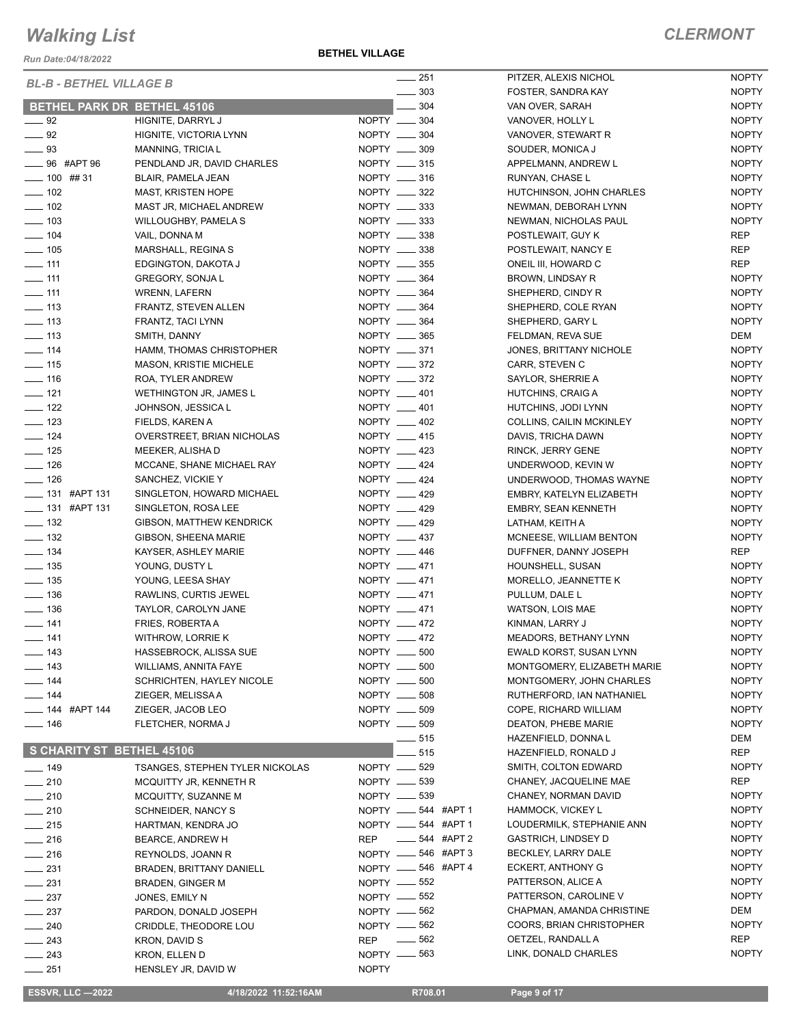*Run Date:04/18/2022*

**BETHEL VILLAGE**

| <b>BL-B - BETHEL VILLAGE B</b>     |                                        |                 | $-251$                            | PITZER, ALEXIS NICHOL           | <b>NOPTY</b>                 |
|------------------------------------|----------------------------------------|-----------------|-----------------------------------|---------------------------------|------------------------------|
|                                    |                                        |                 | $\frac{1}{2}$ 303                 | FOSTER, SANDRA KAY              | <b>NOPTY</b>                 |
| <b>BETHEL PARK DR BETHEL 45106</b> |                                        |                 | 304                               | VAN OVER, SARAH                 | <b>NOPTY</b>                 |
| $-92$                              | HIGNITE, DARRYL J                      | NOPTY __ 304    |                                   | VANOVER, HOLLY L                | <b>NOPTY</b>                 |
| $\_\_\_\$ 92                       | HIGNITE, VICTORIA LYNN                 | NOPTY __ 304    |                                   | VANOVER, STEWART R              | <b>NOPTY</b>                 |
| $\frac{1}{2}$ 93                   | <b>MANNING, TRICIA L</b>               | NOPTY __ 309    |                                   | SOUDER, MONICA J                | <b>NOPTY</b>                 |
| _____ 96 #APT 96                   | PENDLAND JR, DAVID CHARLES             |                 | NOPTY __ 315                      | APPELMANN, ANDREW L             | <b>NOPTY</b>                 |
| $- 100$ ## 31                      | <b>BLAIR, PAMELA JEAN</b>              | NOPTY __ 316    |                                   | RUNYAN, CHASE L                 | <b>NOPTY</b>                 |
| $\frac{1}{2}$ 102                  | <b>MAST, KRISTEN HOPE</b>              | NOPTY ____ 322  |                                   | HUTCHINSON, JOHN CHARLES        | <b>NOPTY</b>                 |
| $- 102$                            | MAST JR, MICHAEL ANDREW                |                 | NOPTY __ 333                      | NEWMAN, DEBORAH LYNN            | <b>NOPTY</b>                 |
| $\frac{1}{2}$ 103                  | <b>WILLOUGHBY, PAMELA S</b>            | NOPTY __ 333    |                                   | NEWMAN, NICHOLAS PAUL           | <b>NOPTY</b>                 |
| $- 104$                            | VAIL, DONNA M                          | NOPTY __ 338    |                                   | POSTLEWAIT, GUY K               | REP                          |
| $\frac{1}{2}$ 105                  | MARSHALL, REGINA S                     | NOPTY __ 338    |                                   | POSTLEWAIT, NANCY E             | <b>REP</b>                   |
| $-111$                             | EDGINGTON, DAKOTA J                    | NOPTY __ 355    |                                   | ONEIL III, HOWARD C             | <b>REP</b>                   |
| $\equiv$ 111                       | <b>GREGORY, SONJAL</b>                 | NOPTY __ 364    |                                   | BROWN, LINDSAY R                | <b>NOPTY</b>                 |
| $\frac{1}{2}$ 111                  | <b>WRENN, LAFERN</b>                   | NOPTY __ 364    |                                   | SHEPHERD, CINDY R               | <b>NOPTY</b>                 |
| $\frac{1}{2}$ 113                  | FRANTZ, STEVEN ALLEN                   | NOPTY __ 364    |                                   | SHEPHERD, COLE RYAN             | <b>NOPTY</b>                 |
| $\frac{1}{2}$ 113                  | FRANTZ, TACI LYNN                      | NOPTY __ 364    |                                   | SHEPHERD, GARY L                | <b>NOPTY</b>                 |
| $\frac{1}{2}$ 113                  | SMITH, DANNY                           | NOPTY __ 365    |                                   | FELDMAN, REVA SUE               | DEM                          |
| $\frac{1}{2}$ 114                  | HAMM, THOMAS CHRISTOPHER               | NOPTY _____ 371 |                                   | JONES, BRITTANY NICHOLE         | <b>NOPTY</b>                 |
| $\frac{1}{2}$ 115                  | <b>MASON, KRISTIE MICHELE</b>          | NOPTY __ 372    |                                   | CARR, STEVEN C                  | <b>NOPTY</b>                 |
| $\frac{1}{16}$                     | ROA, TYLER ANDREW                      | NOPTY __ 372    |                                   | SAYLOR, SHERRIE A               | <b>NOPTY</b>                 |
| $- 121$                            | <b>WETHINGTON JR, JAMES L</b>          | NOPTY __ 401    |                                   | HUTCHINS, CRAIG A               | <b>NOPTY</b>                 |
| $\frac{1}{2}$ 122                  | JOHNSON, JESSICA L                     | NOPTY __ 401    |                                   | HUTCHINS, JODI LYNN             | <b>NOPTY</b>                 |
| $\frac{1}{2}$ 123                  | FIELDS, KAREN A                        | NOPTY __ 402    |                                   | <b>COLLINS, CAILIN MCKINLEY</b> | <b>NOPTY</b>                 |
| $- 124$                            | OVERSTREET, BRIAN NICHOLAS             |                 | NOPTY __ 415                      | DAVIS, TRICHA DAWN              | <b>NOPTY</b>                 |
| $\frac{1}{2}$ 125                  | MEEKER, ALISHA D                       | NOPTY __ 423    |                                   | RINCK, JERRY GENE               | <b>NOPTY</b>                 |
| $\frac{1}{2}$ 126                  | MCCANE, SHANE MICHAEL RAY              | NOPTY __ 424    |                                   | UNDERWOOD, KEVIN W              | <b>NOPTY</b>                 |
| $- 126$                            | SANCHEZ, VICKIE Y                      | NOPTY __ 424    |                                   | UNDERWOOD, THOMAS WAYNE         | <b>NOPTY</b>                 |
| $\frac{1}{2}$ 131 #APT 131         | SINGLETON, HOWARD MICHAEL              | NOPTY __ 429    |                                   | EMBRY, KATELYN ELIZABETH        | <b>NOPTY</b>                 |
| LE 131 #APT 131                    | SINGLETON, ROSA LEE                    | NOPTY __ 429    |                                   | <b>EMBRY, SEAN KENNETH</b>      | <b>NOPTY</b>                 |
| $\frac{1}{2}$ 132                  | <b>GIBSON, MATTHEW KENDRICK</b>        | NOPTY __ 429    |                                   | LATHAM, KEITH A                 | <b>NOPTY</b>                 |
| $\frac{1}{2}$ 132                  | GIBSON, SHEENA MARIE                   | NOPTY __ 437    |                                   | MCNEESE, WILLIAM BENTON         | <b>NOPTY</b>                 |
| $\frac{1}{2}$ 134                  | KAYSER, ASHLEY MARIE                   | NOPTY __ 446    |                                   | DUFFNER, DANNY JOSEPH           | REP                          |
| $\frac{1}{2}$ 135                  | YOUNG, DUSTY L                         | NOPTY __ 471    |                                   | HOUNSHELL, SUSAN                | <b>NOPTY</b>                 |
| $\frac{1}{2}$ 135                  | YOUNG, LEESA SHAY                      | NOPTY __ 471    |                                   | MORELLO, JEANNETTE K            | <b>NOPTY</b>                 |
| $\frac{1}{2}$ 136                  | RAWLINS, CURTIS JEWEL                  | NOPTY __ 471    |                                   | PULLUM, DALE L                  | <b>NOPTY</b>                 |
| $\frac{1}{2}$ 136                  | TAYLOR, CAROLYN JANE                   | NOPTY __ 471    |                                   | WATSON, LOIS MAE                | <b>NOPTY</b>                 |
| $- 141$                            | FRIES, ROBERTA A                       | NOPTY __ 472    |                                   | KINMAN, LARRY J                 | <b>NOPTY</b>                 |
| $- 141$                            | WITHROW, LORRIE K                      | NOPTY __ 472    |                                   | <b>MEADORS, BETHANY LYNN</b>    | <b>NOPTY</b>                 |
| $\frac{1}{2}$ 143                  | HASSEBROCK, ALISSA SUE                 | NOPTY __ 500    |                                   | EWALD KORST, SUSAN LYNN         | <b>NOPTY</b>                 |
| ___ 143                            | <b>WILLIAMS, ANNITA FAYE</b>           | NOPTY __ 500    |                                   | MONTGOMERY, ELIZABETH MARIE     | <b>NOPTY</b>                 |
| $- 144$                            | <b>SCHRICHTEN, HAYLEY NICOLE</b>       | NOPTY __ 500    |                                   | MONTGOMERY, JOHN CHARLES        | <b>NOPTY</b>                 |
| $- 144$                            | ZIEGER, MELISSA A                      | NOPTY __ 508    |                                   | RUTHERFORD, IAN NATHANIEL       | <b>NOPTY</b>                 |
| $\frac{1}{2}$ 144 #APT 144         | ZIEGER, JACOB LEO                      | NOPTY __ 509    |                                   | COPE, RICHARD WILLIAM           | <b>NOPTY</b>                 |
| $- 146$                            | FLETCHER, NORMA J                      | NOPTY __ 509    |                                   | DEATON, PHEBE MARIE             | <b>NOPTY</b>                 |
|                                    |                                        |                 | ____ 515                          | HAZENFIELD, DONNA L             | DEM                          |
| S CHARITY ST BETHEL 45106          |                                        |                 | 515                               | HAZENFIELD, RONALD J            | REP                          |
| $\frac{1}{2}$ 149                  | <b>TSANGES, STEPHEN TYLER NICKOLAS</b> | NOPTY __ 529    |                                   | SMITH, COLTON EDWARD            | <b>NOPTY</b>                 |
| $-210$                             |                                        | NOPTY __ 539    |                                   | CHANEY, JACQUELINE MAE          | REP                          |
| $\sim$ 210                         | MCQUITTY JR, KENNETH R                 | NOPTY -639      |                                   | CHANEY, NORMAN DAVID            | <b>NOPTY</b>                 |
|                                    | MCQUITTY, SUZANNE M                    |                 |                                   | HAMMOCK, VICKEY L               | <b>NOPTY</b>                 |
| $-210$                             | SCHNEIDER, NANCY S                     |                 | NOPTY _____ 544 #APT 1            |                                 |                              |
| $-215$                             | HARTMAN, KENDRA JO                     |                 | NOPTY __ 544 #APT 1<br>544 #APT 2 | LOUDERMILK, STEPHANIE ANN       | <b>NOPTY</b><br><b>NOPTY</b> |
| $-216$                             | BEARCE, ANDREW H                       | <b>REP</b>      |                                   | <b>GASTRICH, LINDSEY D</b>      | <b>NOPTY</b>                 |
| $\frac{1}{216}$                    | REYNOLDS, JOANN R                      |                 | NOPTY __ 546 #APT 3               | BECKLEY, LARRY DALE             | <b>NOPTY</b>                 |
| $- 231$                            | <b>BRADEN, BRITTANY DANIELL</b>        |                 | NOPTY __ 546 #APT 4               | ECKERT, ANTHONY G               |                              |
| $\frac{1}{2}$ 231                  | <b>BRADEN, GINGER M</b>                | NOPTY __ 552    |                                   | PATTERSON, ALICE A              | <b>NOPTY</b>                 |
| $\frac{1}{2}$ 237                  | JONES, EMILY N                         | NOPTY -652      |                                   | PATTERSON, CAROLINE V           | <b>NOPTY</b>                 |
| $\frac{237}{2}$                    | PARDON, DONALD JOSEPH                  | NOPTY __ 562    |                                   | CHAPMAN, AMANDA CHRISTINE       | DEM                          |
| $- 240$                            | CRIDDLE, THEODORE LOU                  | NOPTY -662      |                                   | COORS, BRIAN CHRISTOPHER        | <b>NOPTY</b>                 |
| _ 243                              | KRON, DAVID S                          | REP $= 562$     |                                   | OETZEL, RANDALL A               | REP                          |
| $\frac{243}{2}$                    | KRON, ELLEN D                          | NOPTY __ 563    |                                   | LINK, DONALD CHARLES            | <b>NOPTY</b>                 |
| $=$ 251                            | HENSLEY JR, DAVID W                    | <b>NOPTY</b>    |                                   |                                 |                              |

**ESSVR, LLC -2022 4/18/2022 11:52:16AM** R708.01 **Page 9 of 17**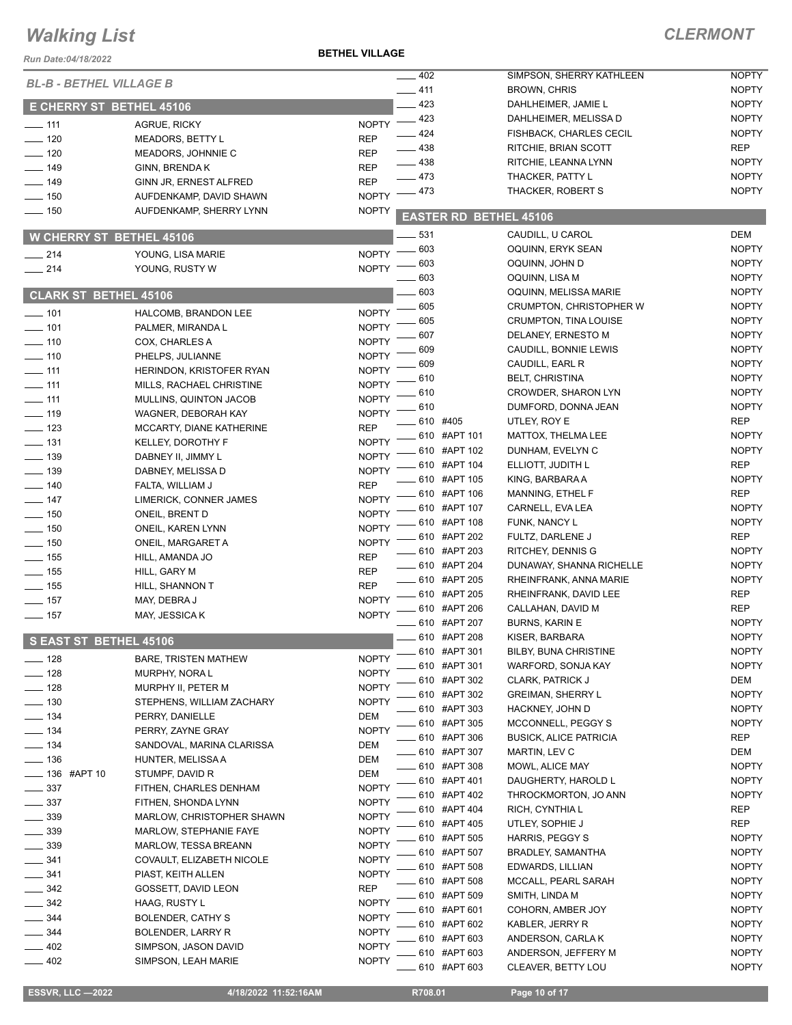#### **BETHEL VILLAGE**

| Run Date:04/18/2022             |                                                    | <b>BETHEL VILLAGE</b> |              |                               |              |
|---------------------------------|----------------------------------------------------|-----------------------|--------------|-------------------------------|--------------|
| <b>BL-B - BETHEL VILLAGE B</b>  |                                                    | $-402$                |              | SIMPSON, SHERRY KATHLEEN      | <b>NOPTY</b> |
|                                 |                                                    | $-411$                |              | <b>BROWN, CHRIS</b>           | <b>NOPTY</b> |
| <b>E CHERRY ST BETHEL 45106</b> |                                                    |                       | 423          | DAHLHEIMER, JAMIE L           | <b>NOPTY</b> |
| $\frac{1}{2}$ 111               | <b>AGRUE, RICKY</b>                                | NOPTY $-423$          |              | DAHLHEIMER, MELISSA D         | <b>NOPTY</b> |
| $\frac{1}{2}$ 120               | <b>MEADORS, BETTY L</b>                            | $-424$<br><b>REP</b>  |              | FISHBACK, CHARLES CECIL       | <b>NOPTY</b> |
| $-120$                          | MEADORS, JOHNNIE C                                 | $-438$<br><b>REP</b>  |              | RITCHIE, BRIAN SCOTT          | <b>REP</b>   |
| 149                             | GINN, BRENDA K                                     | $-438$<br><b>REP</b>  |              | RITCHIE, LEANNA LYNN          | <b>NOPTY</b> |
| $-149$                          | GINN JR, ERNEST ALFRED                             | $-473$<br><b>REP</b>  |              | THACKER, PATTY L              | <b>NOPTY</b> |
| $- 150$                         | AUFDENKAMP, DAVID SHAWN                            | <b>NOPTY</b>          | 473          | THACKER, ROBERT S             | <b>NOPTY</b> |
| $- 150$                         | AUFDENKAMP, SHERRY LYNN                            | <b>NOPTY</b>          |              | <b>EASTER RD BETHEL 45106</b> |              |
| <b>W CHERRY ST BETHEL 45106</b> |                                                    |                       | 531          | CAUDILL, U CAROL              | <b>DEM</b>   |
|                                 |                                                    |                       | 603          | OQUINN, ERYK SEAN             | <b>NOPTY</b> |
| $\frac{1}{214}$                 | YOUNG, LISA MARIE                                  | $NOPTY =$             | 603          | OQUINN, JOHN D                | <b>NOPTY</b> |
| $\frac{1}{214}$                 | YOUNG, RUSTY W                                     | <b>NOPTY</b>          | 603          | OQUINN, LISA M                | <b>NOPTY</b> |
| <b>CLARK ST BETHEL 45106</b>    |                                                    |                       | 603          | OQUINN, MELISSA MARIE         | <b>NOPTY</b> |
|                                 |                                                    | <b>NOPTY</b>          | 605          | CRUMPTON, CHRISTOPHER W       | <b>NOPTY</b> |
| $- 101$<br>$- 101$              | HALCOMB, BRANDON LEE                               | <b>NOPTY</b>          | 605          | <b>CRUMPTON, TINA LOUISE</b>  | <b>NOPTY</b> |
|                                 | PALMER, MIRANDA L                                  | <b>NOPTY</b>          | 607          | DELANEY, ERNESTO M            | <b>NOPTY</b> |
| $\frac{1}{2}$ 110<br>$- 110$    | COX, CHARLES A<br>PHELPS, JULIANNE                 | <b>NOPTY</b>          | 609          | CAUDILL, BONNIE LEWIS         | <b>NOPTY</b> |
| $-111$                          | HERINDON, KRISTOFER RYAN                           | <b>NOPTY</b>          | 609          | CAUDILL, EARL R               | <b>NOPTY</b> |
| $\overline{\phantom{0}}$ 111    |                                                    | <b>NOPTY</b>          | 610          | <b>BELT, CHRISTINA</b>        | <b>NOPTY</b> |
| $\overline{\phantom{0}}$ 111    | MILLS, RACHAEL CHRISTINE<br>MULLINS, QUINTON JACOB | <b>NOPTY</b>          | 610          | <b>CROWDER, SHARON LYN</b>    | <b>NOPTY</b> |
| $- 119$                         | WAGNER, DEBORAH KAY                                | <b>NOPTY</b>          | 610          | DUMFORD, DONNA JEAN           | <b>NOPTY</b> |
| $\frac{1}{2}$ 123               | MCCARTY, DIANE KATHERINE                           | <b>REP</b>            | 610 #405     | UTLEY, ROY E                  | <b>REP</b>   |
| $\frac{1}{2}$ 131               | <b>KELLEY, DOROTHY F</b>                           | <b>NOPTY</b>          | 610 #APT 101 | MATTOX, THELMA LEE            | <b>NOPTY</b> |
| $\equiv$ 139                    | DABNEY II, JIMMY L                                 | <b>NOPTY</b>          | 610 #APT 102 | DUNHAM, EVELYN C              | <b>NOPTY</b> |
| $\frac{1}{2}$ 139               | DABNEY, MELISSA D                                  | <b>NOPTY</b>          | 610 #APT 104 | ELLIOTT, JUDITH L             | <b>REP</b>   |
| $\frac{1}{2}$ 140               | FALTA, WILLIAM J                                   | <b>REP</b>            | 610 #APT 105 | KING, BARBARA A               | <b>NOPTY</b> |
| $\frac{1}{2}$ 147               | LIMERICK, CONNER JAMES                             | <b>NOPTY</b>          | 610 #APT 106 | MANNING, ETHEL F              | <b>REP</b>   |
| $- 150$                         | ONEIL, BRENT D                                     | <b>NOPTY</b>          | 610 #APT 107 | CARNELL, EVA LEA              | <b>NOPTY</b> |
| $\frac{1}{2}$ 150               | ONEIL, KAREN LYNN                                  | <b>NOPTY</b>          | 610 #APT 108 | FUNK, NANCY L                 | <b>NOPTY</b> |
| $\frac{1}{2}$ 150               | ONEIL, MARGARET A                                  | <b>NOPTY</b>          | 610 #APT 202 | FULTZ, DARLENE J              | <b>REP</b>   |
| $\frac{1}{2}$ 155               | HILL, AMANDA JO                                    | <b>REP</b>            | 610 #APT 203 | RITCHEY, DENNIS G             | <b>NOPTY</b> |
| $- 155$                         | HILL, GARY M                                       | <b>REP</b>            | 610 #APT 204 | DUNAWAY, SHANNA RICHELLE      | <b>NOPTY</b> |
| $\frac{1}{2}$ 155               | HILL, SHANNON T                                    | <b>REP</b>            | 610 #APT 205 | RHEINFRANK, ANNA MARIE        | <b>NOPTY</b> |
| $\frac{1}{2}$ 157               | MAY, DEBRA J                                       | <b>NOPTY</b>          | 610 #APT 205 | RHEINFRANK, DAVID LEE         | <b>REP</b>   |
| $\frac{1}{2}$ 157               | MAY, JESSICA K                                     | <b>NOPTY</b>          | 610 #APT 206 | CALLAHAN, DAVID M             | <b>REP</b>   |
|                                 |                                                    |                       | 610 #APT 207 | <b>BURNS, KARIN E</b>         | <b>NOPTY</b> |
| S EAST ST BETHEL 45106          |                                                    |                       | 610 #APT 208 | KISER, BARBARA                | <b>NOPTY</b> |
| $-$ 128                         | <b>BARE, TRISTEN MATHEW</b>                        | <b>NOPTY</b>          | 610 #APT 301 | BILBY, BUNA CHRISTINE         | <b>NOPTY</b> |
| 128                             | <b>MURPHY, NORA L</b>                              | <b>NOPTY</b>          | 610 #APT 301 | WARFORD, SONJA KAY            | <b>NOPTY</b> |
| 128                             | MURPHY II, PETER M                                 | <b>NOPTY</b>          | 610 #APT 302 | <b>CLARK, PATRICK J</b>       | DEM          |
| $-130$                          | STEPHENS, WILLIAM ZACHARY                          | <b>NOPTY</b>          | 610 #APT 302 | <b>GREIMAN, SHERRY L</b>      | <b>NOPTY</b> |
| $-134$                          | PERRY, DANIELLE                                    | <b>DEM</b>            | 610 #APT 303 | HACKNEY, JOHN D               | <b>NOPTY</b> |
| $- 134$                         | PERRY, ZAYNE GRAY                                  | <b>NOPTY</b>          | 610 #APT 305 | MCCONNELL, PEGGY S            | <b>NOPTY</b> |
| $\equiv$ 134                    | SANDOVAL, MARINA CLARISSA                          | <b>DEM</b>            | 610 #APT 306 | <b>BUSICK, ALICE PATRICIA</b> | <b>REP</b>   |
| $\frac{1}{2}$ 136               | HUNTER, MELISSA A                                  | DEM                   | 610 #APT 307 | MARTIN, LEV C                 | DEM          |
| <b>_____ 136 #APT 10</b>        | STUMPF, DAVID R                                    | DEM                   | 610 #APT 308 | MOWL, ALICE MAY               | <b>NOPTY</b> |
| $\frac{1}{2}$ 337               | FITHEN, CHARLES DENHAM                             | <b>NOPTY</b>          | 610 #APT 401 | DAUGHERTY, HAROLD L           | <b>NOPTY</b> |
| $\frac{1}{2}$ 337               | FITHEN, SHONDA LYNN                                | <b>NOPTY</b>          | 610 #APT 402 | THROCKMORTON, JO ANN          | <b>NOPTY</b> |
| $-339$                          | MARLOW, CHRISTOPHER SHAWN                          | <b>NOPTY</b>          | 610 #APT 404 | RICH, CYNTHIA L               | <b>REP</b>   |
| 339                             | MARLOW, STEPHANIE FAYE                             | <b>NOPTY</b>          | 610 #APT 405 | UTLEY, SOPHIE J               | <b>REP</b>   |
| 339                             | <b>MARLOW, TESSA BREANN</b>                        | <b>NOPTY</b>          | 610 #APT 505 | HARRIS, PEGGY S               | <b>NOPTY</b> |
| 341                             | COVAULT, ELIZABETH NICOLE                          | <b>NOPTY</b>          | 610 #APT 507 | BRADLEY, SAMANTHA             | <b>NOPTY</b> |
| 341                             | PIAST, KEITH ALLEN                                 | <b>NOPTY</b>          | 610 #APT 508 | EDWARDS, LILLIAN              | <b>NOPTY</b> |
| $-342$                          | GOSSETT, DAVID LEON                                | <b>REP</b>            | 610 #APT 508 | MCCALL, PEARL SARAH           | <b>NOPTY</b> |
| 342                             | HAAG, RUSTY L                                      | <b>NOPTY</b>          | 610 #APT 509 | SMITH, LINDA M                | <b>NOPTY</b> |
| 344                             | <b>BOLENDER, CATHY S</b>                           | <b>NOPTY</b>          | 610 #APT 601 | COHORN, AMBER JOY             | <b>NOPTY</b> |
| 344                             | BOLENDER, LARRY R                                  | <b>NOPTY</b>          | 610 #APT 602 | KABLER, JERRY R               | <b>NOPTY</b> |
| 402                             | SIMPSON, JASON DAVID                               | <b>NOPTY</b>          | 610 #APT 603 | ANDERSON, CARLAK              | <b>NOPTY</b> |
| $-402$                          | SIMPSON, LEAH MARIE                                | <b>NOPTY</b>          | 610 #APT 603 | ANDERSON, JEFFERY M           | <b>NOPTY</b> |
|                                 |                                                    |                       | 610 #APT 603 | CLEAVER, BETTY LOU            | <b>NOPTY</b> |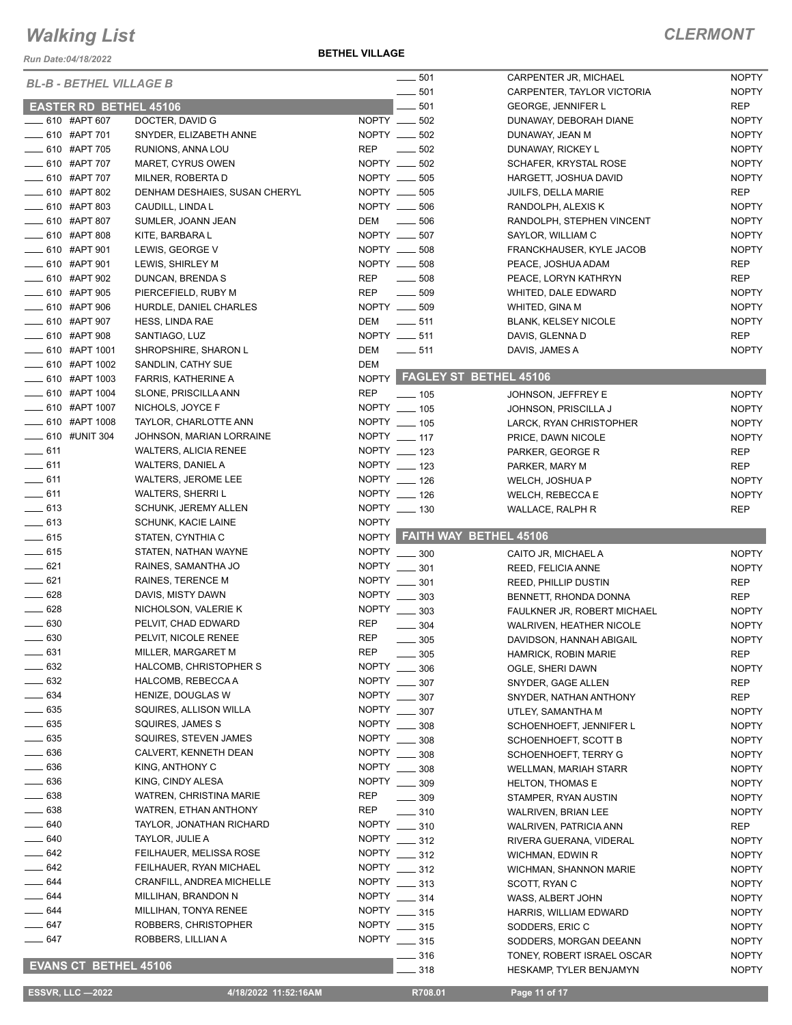*Run Date:04/18/2022*

**BETHEL VILLAGE**

|                   | <b>BL-B - BETHEL VILLAGE B</b> |                               |              | 501                  | CARPENTER JR, MICHAEL         | <b>NOPTY</b> |
|-------------------|--------------------------------|-------------------------------|--------------|----------------------|-------------------------------|--------------|
|                   |                                |                               |              | 501                  | CARPENTER, TAYLOR VICTORIA    | <b>NOPTY</b> |
|                   | <b>EASTER RD BETHEL 45106</b>  |                               |              | 501                  | <b>GEORGE, JENNIFER L</b>     | <b>REP</b>   |
|                   | ____ 610 #APT 607              | DOCTER, DAVID G               | NOPTY ___    | 502                  | DUNAWAY, DEBORAH DIANE        | <b>NOPTY</b> |
|                   | ____ 610 #APT 701              | SNYDER, ELIZABETH ANNE        | NOPTY __     | 502                  | DUNAWAY, JEAN M               | <b>NOPTY</b> |
|                   | - 610 #APT 705                 | RUNIONS, ANNA LOU             | <b>REP</b>   | 502                  | DUNAWAY, RICKEY L             | <b>NOPTY</b> |
|                   | _ 610 #APT 707                 | MARET, CYRUS OWEN             | NOPTY __     | 502                  | SCHAFER, KRYSTAL ROSE         | <b>NOPTY</b> |
|                   | _ 610 #APT 707                 | MILNER, ROBERTA D             |              | NOPTY __ 505         | HARGETT, JOSHUA DAVID         | <b>NOPTY</b> |
|                   | __ 610 #APT 802                | DENHAM DESHAIES, SUSAN CHERYL |              | NOPTY __ 505         | JUILFS, DELLA MARIE           | <b>REP</b>   |
|                   | $\frac{1}{2}$ 610 #APT 803     | CAUDILL, LINDA L              |              | NOPTY __ 506         | RANDOLPH, ALEXIS K            | <b>NOPTY</b> |
|                   | ___ 610 #APT 807               | SUMLER, JOANN JEAN            | DEM          | 506<br>$\frac{1}{2}$ | RANDOLPH, STEPHEN VINCENT     | <b>NOPTY</b> |
|                   | ____ 610 #APT 808              | KITE, BARBARA L               |              | NOPTY __ 507         | SAYLOR, WILLIAM C             | <b>NOPTY</b> |
|                   | __ 610 #APT 901                |                               |              | NOPTY __ 508         | FRANCKHAUSER, KYLE JACOB      |              |
|                   |                                | LEWIS, GEORGE V               |              |                      |                               | <b>NOPTY</b> |
|                   | ____ 610 #APT 901              | LEWIS, SHIRLEY M              |              | NOPTY __ 508         | PEACE, JOSHUA ADAM            | <b>REP</b>   |
|                   | 610 #APT 902                   | DUNCAN, BRENDA S              | <b>REP</b>   | 508                  | PEACE, LORYN KATHRYN          | <b>REP</b>   |
|                   | <b>____ 610 #APT 905</b>       | PIERCEFIELD, RUBY M           | <b>REP</b>   | $\frac{1}{2}$ 509    | WHITED, DALE EDWARD           | <b>NOPTY</b> |
|                   | <b>EXAMPLE 10 SET 306</b>      | HURDLE, DANIEL CHARLES        |              | NOPTY __ 509         | WHITED, GINA M                | <b>NOPTY</b> |
|                   | <b>EXAMPLE 10 HAPT 907</b>     | HESS, LINDA RAE               | DEM          | $\frac{1}{2}$ 511    | <b>BLANK, KELSEY NICOLE</b>   | <b>NOPTY</b> |
|                   | _610 #APT 908                  | SANTIAGO, LUZ                 | NOPTY __ 511 |                      | DAVIS, GLENNA D               | <b>REP</b>   |
|                   | _ 610 #APT 1001                | SHROPSHIRE, SHARON L          | DEM          | $\frac{1}{2}$ 511    | DAVIS, JAMES A                | <b>NOPTY</b> |
|                   | $-610$ #APT 1002               | SANDLIN, CATHY SUE            | <b>DEM</b>   |                      |                               |              |
|                   | ____ 610 #APT 1003             | FARRIS, KATHERINE A           |              |                      | NOPTY FAGLEY ST BETHEL 45106  |              |
|                   | ____ 610 #APT 1004             | SLONE, PRISCILLA ANN          | <b>REP</b>   | $- 105$              | JOHNSON, JEFFREY E            | <b>NOPTY</b> |
|                   | ___ 610 #APT 1007              | NICHOLS, JOYCE F              |              | NOPTY __ 105         | JOHNSON, PRISCILLA J          | <b>NOPTY</b> |
|                   | -610 #APT 1008                 | TAYLOR, CHARLOTTE ANN         |              | NOPTY __ 105         | LARCK, RYAN CHRISTOPHER       | <b>NOPTY</b> |
|                   | <b>EXECUTE:</b> 610 #UNIT 304  | JOHNSON, MARIAN LORRAINE      |              | NOPTY __ 117         | PRICE, DAWN NICOLE            | <b>NOPTY</b> |
| $-611$            |                                | <b>WALTERS, ALICIA RENEE</b>  |              | NOPTY __ 123         | PARKER, GEORGE R              | <b>REP</b>   |
| $-611$            |                                | WALTERS, DANIEL A             |              | NOPTY __ 123         | PARKER, MARY M                | <b>REP</b>   |
| $-611$            |                                | WALTERS, JEROME LEE           |              | NOPTY __ 126         | WELCH, JOSHUA P               | <b>NOPTY</b> |
| $-611$            |                                | <b>WALTERS, SHERRIL</b>       |              | NOPTY __ 126         |                               | <b>NOPTY</b> |
| $-613$            |                                | <b>SCHUNK, JEREMY ALLEN</b>   |              | NOPTY __ 130         | WELCH, REBECCA E              |              |
|                   |                                |                               |              |                      | WALLACE, RALPH R              | <b>REP</b>   |
|                   |                                |                               |              |                      |                               |              |
| $-613$            |                                | <b>SCHUNK, KACIE LAINE</b>    | <b>NOPTY</b> |                      |                               |              |
| $= 615$           |                                | STATEN, CYNTHIA C             |              |                      | NOPTY FAITH WAY BETHEL 45106  |              |
| $-615$            |                                | STATEN, NATHAN WAYNE          |              | NOPTY __ 300         | CAITO JR, MICHAEL A           | <b>NOPTY</b> |
| $-621$            |                                | RAINES, SAMANTHA JO           | <b>NOPTY</b> | 301                  | REED, FELICIA ANNE            | <b>NOPTY</b> |
| $-621$            |                                | RAINES, TERENCE M             | <b>NOPTY</b> | 301                  | <b>REED, PHILLIP DUSTIN</b>   | <b>REP</b>   |
| $- 628$           |                                | DAVIS, MISTY DAWN             | <b>NOPTY</b> | 303                  | BENNETT, RHONDA DONNA         | <b>REP</b>   |
| $- 628$           |                                | NICHOLSON, VALERIE K          |              | NOPTY ____ 303       | FAULKNER JR, ROBERT MICHAEL   | <b>NOPTY</b> |
| $- 630$           |                                | PELVIT, CHAD EDWARD           | <b>REP</b>   | 304                  | WALRIVEN, HEATHER NICOLE      | <b>NOPTY</b> |
| $\frac{1}{2}$ 630 |                                | PELVIT, NICOLE RENEE          | <b>REP</b>   | 305                  | DAVIDSON, HANNAH ABIGAIL      | <b>NOPTY</b> |
| $\frac{1}{2}$ 631 |                                | MILLER, MARGARET M            | <b>REP</b>   | 305                  | HAMRICK, ROBIN MARIE          | <b>REP</b>   |
| $\frac{1}{2}$ 632 |                                | HALCOMB, CHRISTOPHER S        | <b>NOPTY</b> | 306                  | OGLE, SHERI DAWN              | <b>NOPTY</b> |
| $- 632$           |                                | HALCOMB, REBECCA A            | <b>NOPTY</b> | 307                  | SNYDER, GAGE ALLEN            | REP          |
| $- 634$           |                                | HENIZE, DOUGLAS W             |              | NOPTY _____ 307      | SNYDER, NATHAN ANTHONY        | <b>REP</b>   |
| $- 635$           |                                | SQUIRES, ALLISON WILLA        | NOPTY        |                      |                               |              |
| $\frac{1}{2}$ 635 |                                | SQUIRES, JAMES S              | <b>NOPTY</b> | 307                  | UTLEY, SAMANTHA M             | <b>NOPTY</b> |
|                   |                                |                               |              | 308                  | SCHOENHOEFT, JENNIFER L       | <b>NOPTY</b> |
| $\frac{1}{2}$ 635 |                                | SQUIRES, STEVEN JAMES         | <b>NOPTY</b> | 308                  | SCHOENHOEFT, SCOTT B          | <b>NOPTY</b> |
| $= 636$           |                                | CALVERT, KENNETH DEAN         | <b>NOPTY</b> | 308                  | SCHOENHOEFT, TERRY G          | <b>NOPTY</b> |
| $\frac{1}{2}$ 636 |                                | KING, ANTHONY C               | <b>NOPTY</b> | 308                  | <b>WELLMAN, MARIAH STARR</b>  | <b>NOPTY</b> |
| $\frac{1}{2}$ 636 |                                | KING, CINDY ALESA             | <b>NOPTY</b> | 309                  | <b>HELTON, THOMAS E</b>       | <b>NOPTY</b> |
| $\frac{1}{2}$ 638 |                                | WATREN, CHRISTINA MARIE       | REP          | $\frac{1}{2}$ 309    | STAMPER, RYAN AUSTIN          | <b>NOPTY</b> |
| $\frac{1}{2}$ 638 |                                | WATREN, ETHAN ANTHONY         | <b>REP</b>   | $\frac{1}{2}$ 310    | WALRIVEN, BRIAN LEE           | <b>NOPTY</b> |
| $-640$            |                                | TAYLOR, JONATHAN RICHARD      |              | NOPTY __ 310         | WALRIVEN, PATRICIA ANN        | REP          |
| $\equiv$ 640      |                                | TAYLOR, JULIE A               |              | NOPTY _____ 312      | RIVERA GUERANA, VIDERAL       | <b>NOPTY</b> |
| $-642$            |                                | FEILHAUER, MELISSA ROSE       |              | NOPTY ____ 312       | WICHMAN, EDWIN R              | <b>NOPTY</b> |
| $-642$            |                                | FEILHAUER, RYAN MICHAEL       |              | NOPTY ____ 312       | <b>WICHMAN, SHANNON MARIE</b> | <b>NOPTY</b> |
| _ 644             |                                | CRANFILL, ANDREA MICHELLE     |              | NOPTY __ 313         | SCOTT, RYAN C                 | <b>NOPTY</b> |
| - 644             |                                | MILLIHAN, BRANDON N           |              | NOPTY ____ 314       | WASS, ALBERT JOHN             | <b>NOPTY</b> |
| _ 644             |                                | MILLIHAN, TONYA RENEE         |              | NOPTY __ 315         | HARRIS, WILLIAM EDWARD        | <b>NOPTY</b> |
| _____ 647         |                                | ROBBERS, CHRISTOPHER          |              | NOPTY _____ 315      | SODDERS, ERIC C               | <b>NOPTY</b> |
| ____ 647          |                                | ROBBERS, LILLIAN A            |              | NOPTY _____ 315      | SODDERS, MORGAN DEEANN        | <b>NOPTY</b> |
|                   | <b>EVANS CT BETHEL 45106</b>   |                               |              | 316                  | TONEY, ROBERT ISRAEL OSCAR    | <b>NOPTY</b> |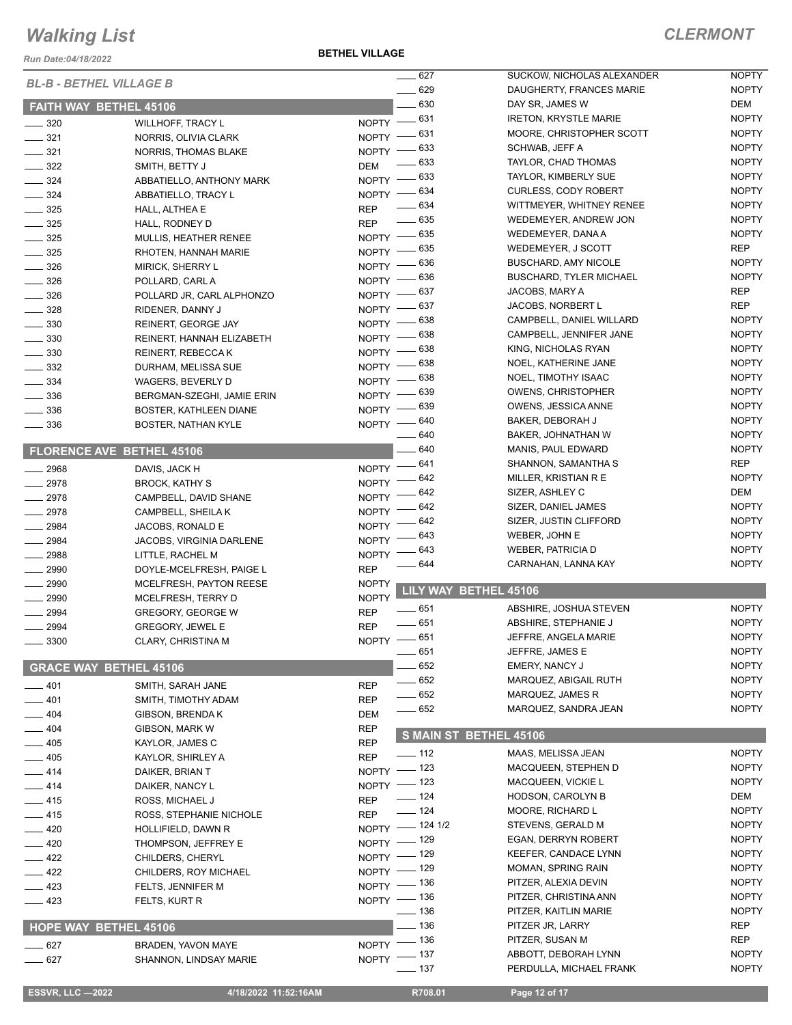*Run Date:04/18/2022*

|                                                           | <b>BL-B - BETHEL VILLAGE B</b>   |              | 627                    | SUCKOW, NICHOLAS ALEXANDER     | <b>NOPTY</b> |
|-----------------------------------------------------------|----------------------------------|--------------|------------------------|--------------------------------|--------------|
|                                                           |                                  |              | $- 629$                | DAUGHERTY, FRANCES MARIE       | <b>NOPTY</b> |
|                                                           | <b>FAITH WAY BETHEL 45106</b>    |              | $-630$                 | DAY SR, JAMES W                | DEM          |
| $\frac{1}{2}$ 320                                         | <b>WILLHOFF, TRACY L</b>         | NOPTY -831   |                        | <b>IRETON, KRYSTLE MARIE</b>   | <b>NOPTY</b> |
| $- 321$                                                   | NORRIS, OLIVIA CLARK             | NOPTY - 631  |                        | MOORE, CHRISTOPHER SCOTT       | <b>NOPTY</b> |
|                                                           |                                  | $NOPTY$ -    | . 633                  | SCHWAB, JEFF A                 | <b>NOPTY</b> |
| $\frac{321}{2}$                                           | NORRIS, THOMAS BLAKE             |              | 633                    | TAYLOR, CHAD THOMAS            | <b>NOPTY</b> |
| $\frac{1}{2}$ 322                                         | SMITH, BETTY J                   | DEM          |                        | TAYLOR, KIMBERLY SUE           | <b>NOPTY</b> |
| $\frac{1}{2}$ 324                                         | ABBATIELLO, ANTHONY MARK         | NOPTY -833   |                        |                                |              |
| $\frac{1}{2}$ 324                                         | ABBATIELLO, TRACY L              | NOPTY - 634  |                        | <b>CURLESS, CODY ROBERT</b>    | <b>NOPTY</b> |
| $\frac{1}{2}$ 325                                         | HALL, ALTHEA E                   | <b>REP</b>   | $- 634$                | WITTMEYER, WHITNEY RENEE       | <b>NOPTY</b> |
| $- 325$                                                   | HALL, RODNEY D                   | <b>REP</b>   | $-635$                 | WEDEMEYER, ANDREW JON          | <b>NOPTY</b> |
| $\frac{1}{2}$ 325                                         | MULLIS, HEATHER RENEE            | NOPTY -635   |                        | WEDEMEYER, DANA A              | <b>NOPTY</b> |
| $\frac{1}{2}$ 325                                         | RHOTEN, HANNAH MARIE             | NOPTY -835   |                        | WEDEMEYER, J SCOTT             | <b>REP</b>   |
| $\frac{1}{2}$ 326                                         | MIRICK, SHERRY L                 | NOPTY - 636  |                        | <b>BUSCHARD, AMY NICOLE</b>    | <b>NOPTY</b> |
|                                                           |                                  | NOPTY -836   |                        | <b>BUSCHARD, TYLER MICHAEL</b> | <b>NOPTY</b> |
| $\frac{1}{2}$ 326                                         | POLLARD, CARL A                  | NOPTY $-637$ |                        | JACOBS, MARY A                 | <b>REP</b>   |
| $\frac{1}{2}$ 326                                         | POLLARD JR, CARL ALPHONZO        |              |                        | <b>JACOBS, NORBERT L</b>       | <b>REP</b>   |
| $\frac{1}{2}$ 328                                         | RIDENER, DANNY J                 | NOPTY -837   | _ 638                  |                                | <b>NOPTY</b> |
| $\frac{1}{2}$ 330                                         | REINERT, GEORGE JAY              | $N$ OPTY $-$ |                        | CAMPBELL, DANIEL WILLARD       |              |
| $\frac{1}{2}$ 330                                         | REINERT, HANNAH ELIZABETH        | $N$ OPTY -   | - 638                  | CAMPBELL, JENNIFER JANE        | <b>NOPTY</b> |
| $\frac{1}{2}$ 330                                         | REINERT, REBECCA K               | NOPTY -838   |                        | KING, NICHOLAS RYAN            | <b>NOPTY</b> |
| $\frac{1}{2}$ 332                                         | DURHAM, MELISSA SUE              | $NOPTY$ –    | . 638                  | NOEL, KATHERINE JANE           | <b>NOPTY</b> |
| $- 334$                                                   | WAGERS, BEVERLY D                | NOPTY - 638  |                        | NOEL, TIMOTHY ISAAC            | <b>NOPTY</b> |
| $\frac{1}{2}$ 336                                         | BERGMAN-SZEGHI, JAMIE ERIN       | NOPTY - 639  |                        | <b>OWENS, CHRISTOPHER</b>      | <b>NOPTY</b> |
| $\frac{1}{2}$ 336                                         | BOSTER, KATHLEEN DIANE           | NOPTY - 639  |                        | OWENS, JESSICA ANNE            | <b>NOPTY</b> |
|                                                           |                                  | NOPTY - 640  |                        | BAKER, DEBORAH J               | <b>NOPTY</b> |
| $\frac{1}{2}$ 336                                         | <b>BOSTER, NATHAN KYLE</b>       |              | - 640                  | BAKER, JOHNATHAN W             | <b>NOPTY</b> |
|                                                           |                                  |              | $-640$                 | MANIS, PAUL EDWARD             | <b>NOPTY</b> |
|                                                           | <b>FLORENCE AVE BETHEL 45106</b> |              |                        |                                |              |
| $-2968$                                                   | DAVIS, JACK H                    | NOPTY -641   |                        | SHANNON, SAMANTHA S            | <b>REP</b>   |
| $-2978$                                                   | <b>BROCK, KATHY S</b>            | $N$ OPTY $-$ | 642                    | MILLER, KRISTIAN R E           | <b>NOPTY</b> |
| $-2978$                                                   | CAMPBELL, DAVID SHANE            | $NOPTY =$    | _ 642                  | SIZER, ASHLEY C                | DEM          |
| $-2978$                                                   | CAMPBELL, SHEILA K               | NOPTY -      | 642                    | SIZER, DANIEL JAMES            | <b>NOPTY</b> |
| $- 2984$                                                  | JACOBS, RONALD E                 | <b>NOPTY</b> | - 642                  | SIZER, JUSTIN CLIFFORD         | <b>NOPTY</b> |
| $-2984$                                                   |                                  | NOPTY -      | 643                    | WEBER, JOHN E                  | <b>NOPTY</b> |
|                                                           | JACOBS, VIRGINIA DARLENE         |              | 643                    | <b>WEBER, PATRICIA D</b>       | <b>NOPTY</b> |
| $- 2988$                                                  | LITTLE, RACHEL M                 | NOPTY -      | $-644$                 | CARNAHAN, LANNA KAY            | <b>NOPTY</b> |
| $- 2990$                                                  | DOYLE-MCELFRESH, PAIGE L         | <b>REP</b>   |                        |                                |              |
| $-2990$                                                   | MCELFRESH, PAYTON REESE          | <b>NOPTY</b> | LILY WAY BETHEL 45106  |                                |              |
| $- 2990$                                                  | MCELFRESH, TERRY D               | <b>NOPTY</b> |                        |                                |              |
| $\frac{1}{2994}$                                          | GREGORY, GEORGE W                | <b>REP</b>   | $- 651$                | ABSHIRE, JOSHUA STEVEN         | <b>NOPTY</b> |
| 2994                                                      | <b>GREGORY, JEWEL E</b>          | <b>REP</b>   | $-651$                 | ABSHIRE, STEPHANIE J           | <b>NOPTY</b> |
| 3300                                                      | CLARY, CHRISTINA M               | NOPTY -651   |                        | JEFFRE, ANGELA MARIE           | <b>NOPTY</b> |
|                                                           |                                  |              | $\frac{1}{2}$ 651      | JEFFRE, JAMES E                | <b>NOPTY</b> |
|                                                           | <b>GRACE WAY BETHEL 45106</b>    |              | 652                    | EMERY, NANCY J                 | <b>NOPTY</b> |
|                                                           |                                  |              | 652                    | MARQUEZ, ABIGAIL RUTH          | <b>NOPTY</b> |
| $-401$                                                    | SMITH, SARAH JANE                | <b>REP</b>   | 652                    | MARQUEZ, JAMES R               | <b>NOPTY</b> |
| $-401$                                                    | SMITH, TIMOTHY ADAM              | <b>REP</b>   | 652                    | MARQUEZ, SANDRA JEAN           | <b>NOPTY</b> |
| $-404$                                                    | GIBSON, BRENDA K                 | <b>DEM</b>   |                        |                                |              |
| $-404$                                                    | GIBSON, MARK W                   | <b>REP</b>   | S MAIN ST BETHEL 45106 |                                |              |
| $-405$                                                    | KAYLOR, JAMES C                  | <b>REP</b>   |                        |                                |              |
| _ 405                                                     | KAYLOR, SHIRLEY A                | <b>REP</b>   | $- 112$                | MAAS, MELISSA JEAN             | <b>NOPTY</b> |
| $-414$                                                    | DAIKER, BRIAN T                  | NOPTY - 123  |                        | MACQUEEN, STEPHEN D            | <b>NOPTY</b> |
| $-414$                                                    | DAIKER, NANCY L                  | NOPTY - 123  |                        | MACQUEEN, VICKIE L             | <b>NOPTY</b> |
| $-415$                                                    | ROSS, MICHAEL J                  | <b>REP</b>   | $\frac{1}{2}$ 124      | HODSON, CAROLYN B              | DEM          |
|                                                           |                                  | <b>REP</b>   | $- 124$                | MOORE, RICHARD L               | <b>NOPTY</b> |
| $-415$                                                    | ROSS, STEPHANIE NICHOLE          |              | NOPTY - 124 1/2        | STEVENS, GERALD M              | <b>NOPTY</b> |
| —— 420                                                    | HOLLIFIELD, DAWN R               |              |                        |                                | <b>NOPTY</b> |
| $\rule{1em}{0.15mm} \begin{array}{r}\n 420\n \end{array}$ | THOMPSON, JEFFREY E              | NOPTY - 129  |                        | EGAN, DERRYN ROBERT            |              |
| $-422$                                                    | CHILDERS, CHERYL                 | NOPTY - 129  |                        | KEEFER, CANDACE LYNN           | <b>NOPTY</b> |
| $-422$                                                    | CHILDERS, ROY MICHAEL            | NOPTY - 129  |                        | MOMAN, SPRING RAIN             | <b>NOPTY</b> |
| $-423$                                                    | FELTS, JENNIFER M                | NOPTY - 136  |                        | PITZER, ALEXIA DEVIN           | <b>NOPTY</b> |
| —— 423                                                    | FELTS, KURT R                    | NOPTY - 136  |                        | PITZER, CHRISTINA ANN          | <b>NOPTY</b> |
|                                                           |                                  |              | ____ 136               | PITZER, KAITLIN MARIE          | <b>NOPTY</b> |
|                                                           | HOPE WAY BETHEL 45106            |              | _ 136                  | PITZER JR, LARRY               | REP          |
|                                                           |                                  | $NOPTY =$    | $-136$                 | PITZER, SUSAN M                | <b>REP</b>   |
| $-627$                                                    | BRADEN, YAVON MAYE               | NOPTY - 137  |                        | ABBOTT, DEBORAH LYNN           | <b>NOPTY</b> |
|                                                           |                                  |              |                        |                                |              |
| $\rule{1em}{0.15mm} \vspace{0.15mm}$                      | SHANNON, LINDSAY MARIE           |              | —— 137                 | PERDULLA, MICHAEL FRANK        | <b>NOPTY</b> |

**ESSVR, LLC —2022 4/18/2022 11:52:16AM** R708.01 **Page 12 of 17**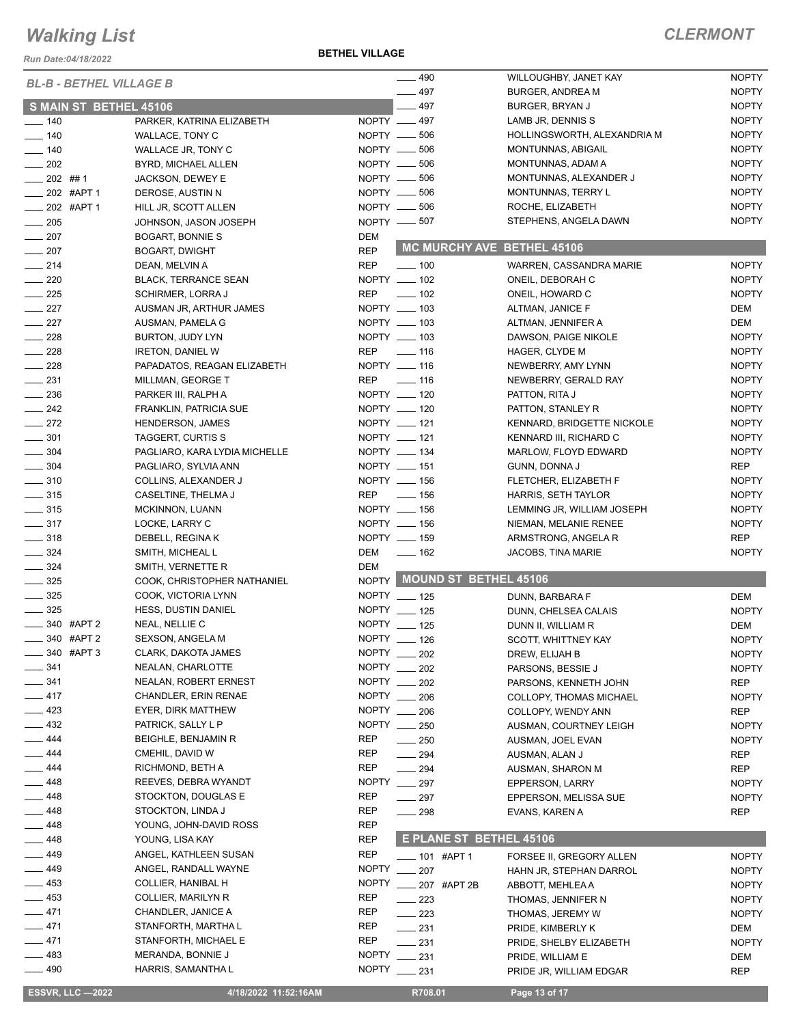*Run Date:04/18/2022*

#### **BETHEL VILLAGE**

|                                |                               |                   | $-490$                      | WILLOUGHBY, JANET KAY       | <b>NOPTY</b> |
|--------------------------------|-------------------------------|-------------------|-----------------------------|-----------------------------|--------------|
| <b>BL-B - BETHEL VILLAGE B</b> |                               |                   | $-497$                      | <b>BURGER, ANDREA M</b>     | <b>NOPTY</b> |
| S MAIN ST BETHEL 45106         |                               |                   | $-497$                      | BURGER, BRYAN J             | <b>NOPTY</b> |
| $- 140$                        | PARKER, KATRINA ELIZABETH     |                   | NOPTY __ 497                | LAMB JR, DENNIS S           | <b>NOPTY</b> |
| $\frac{1}{2}$ 140              | WALLACE, TONY C               |                   | NOPTY __ 506                | HOLLINGSWORTH, ALEXANDRIA M | <b>NOPTY</b> |
| $\frac{1}{2}$ 140              | <b>WALLACE JR, TONY C</b>     |                   | NOPTY -606                  | MONTUNNAS, ABIGAIL          | <b>NOPTY</b> |
| $\frac{1}{202}$                | BYRD, MICHAEL ALLEN           |                   | NOPTY __ 506                | MONTUNNAS, ADAM A           | <b>NOPTY</b> |
| $-202$ ##1                     | JACKSON, DEWEY E              |                   | NOPTY -606                  | MONTUNNAS, ALEXANDER J      | <b>NOPTY</b> |
| $\frac{1}{202}$ #APT 1         | DEROSE, AUSTIN N              |                   | NOPTY __ 506                | MONTUNNAS, TERRY L          | <b>NOPTY</b> |
| $-202$ #APT 1                  | HILL JR, SCOTT ALLEN          |                   | NOPTY __ 506                | ROCHE, ELIZABETH            | <b>NOPTY</b> |
| $\frac{1}{205}$                | JOHNSON, JASON JOSEPH         |                   | NOPTY __ 507                | STEPHENS, ANGELA DAWN       | <b>NOPTY</b> |
| $-207$                         | <b>BOGART, BONNIE S</b>       | DEM               |                             |                             |              |
| $-207$                         | <b>BOGART, DWIGHT</b>         | <b>REP</b>        | MC MURCHY AVE BETHEL 45106  |                             |              |
| $\frac{1}{214}$                | DEAN, MELVIN A                | <b>REP</b>        | $\frac{1}{2}$ 100           | WARREN, CASSANDRA MARIE     | <b>NOPTY</b> |
| $\sim$ 220                     | <b>BLACK, TERRANCE SEAN</b>   |                   | NOPTY __ 102                | ONEIL, DEBORAH C            | <b>NOPTY</b> |
| $\frac{1}{225}$                | <b>SCHIRMER, LORRA J</b>      | <b>REP</b>        | $\sim$ 102                  | ONEIL, HOWARD C             | <b>NOPTY</b> |
| $\frac{227}{2}$                | AUSMAN JR, ARTHUR JAMES       |                   | NOPTY __ 103                | ALTMAN, JANICE F            | DEM          |
| $\frac{1}{227}$                | AUSMAN, PAMELA G              |                   | NOPTY __ 103                | ALTMAN, JENNIFER A          | DEM          |
| $\frac{228}{2}$                |                               |                   | NOPTY __ 103                |                             | <b>NOPTY</b> |
| $\frac{228}{2}$                | BURTON, JUDY LYN              |                   |                             | DAWSON, PAIGE NIKOLE        |              |
|                                | <b>IRETON, DANIEL W</b>       | REP               | $\sim$ 116                  | HAGER, CLYDE M              | <b>NOPTY</b> |
| $\frac{1}{228}$                | PAPADATOS, REAGAN ELIZABETH   |                   | NOPTY __ 116                | NEWBERRY, AMY LYNN          | <b>NOPTY</b> |
| $\frac{1}{2}$ 231              | MILLMAN, GEORGE T             | REP               | $\frac{1}{16}$              | NEWBERRY, GERALD RAY        | <b>NOPTY</b> |
| $\frac{1}{2}$ 236              | PARKER III, RALPH A           |                   | NOPTY __ 120                | PATTON, RITA J              | <b>NOPTY</b> |
| $\frac{242}{2}$                | FRANKLIN, PATRICIA SUE        |                   | NOPTY __ 120                | PATTON, STANLEY R           | <b>NOPTY</b> |
| $\frac{272}{2}$                | <b>HENDERSON, JAMES</b>       |                   | NOPTY __ 121                | KENNARD, BRIDGETTE NICKOLE  | <b>NOPTY</b> |
| $\frac{1}{2}$ 301              | TAGGERT, CURTIS S             |                   | NOPTY __ 121                | KENNARD III, RICHARD C      | <b>NOPTY</b> |
| $\frac{1}{2}$ 304              | PAGLIARO, KARA LYDIA MICHELLE |                   | NOPTY __ 134                | MARLOW, FLOYD EDWARD        | <b>NOPTY</b> |
| $\frac{1}{2}$ 304              | PAGLIARO, SYLVIA ANN          |                   | NOPTY __ 151                | GUNN, DONNA J               | REP          |
| $\frac{1}{2}$ 310              | COLLINS, ALEXANDER J          |                   | NOPTY __ 156                | FLETCHER, ELIZABETH F       | <b>NOPTY</b> |
| $\frac{1}{2}$ 315              | CASELTINE, THELMA J           | REP               | $\sim$ 156                  | HARRIS, SETH TAYLOR         | <b>NOPTY</b> |
| $\frac{1}{2}$ 315              | <b>MCKINNON, LUANN</b>        |                   | NOPTY __ 156                | LEMMING JR, WILLIAM JOSEPH  | <b>NOPTY</b> |
| $\frac{1}{2}$ 317              | LOCKE, LARRY C                |                   | NOPTY __ 156                | NIEMAN, MELANIE RENEE       | <b>NOPTY</b> |
| $\equiv$ 318                   | DEBELL, REGINA K              |                   | NOPTY __ 159                | ARMSTRONG, ANGELA R         | REP          |
| $\frac{324}{ }$                | SMITH, MICHEAL L              | DEM               | $\frac{1}{2}$ 162           | <b>JACOBS, TINA MARIE</b>   | <b>NOPTY</b> |
| $\frac{324}{ }$                | SMITH, VERNETTE R             | <b>DEM</b>        |                             |                             |              |
| $- 325$                        | COOK, CHRISTOPHER NATHANIEL   |                   | NOPTY MOUND ST BETHEL 45106 |                             |              |
| $\frac{1}{2}$ 325              | COOK, VICTORIA LYNN           |                   | NOPTY __ 125                | DUNN, BARBARA F             | DEM          |
| $\frac{1}{2}$ 325              | <b>HESS, DUSTIN DANIEL</b>    |                   | NOPTY __ 125                | DUNN, CHELSEA CALAIS        | <b>NOPTY</b> |
| $\frac{1}{2}$ 340 #APT 2       | NEAL, NELLIE C                |                   | NOPTY __ 125                | DUNN II, WILLIAM R          | DEM          |
| $-340$ #APT 2                  | <b>SEXSON, ANGELA M</b>       |                   | NOPTY __ 126                | SCOTT, WHITTNEY KAY         | <b>NOPTY</b> |
| $= 340$ #APT 3                 | CLARK, DAKOTA JAMES           |                   | NOPTY __ 202                | DREW, ELIJAH B              | <b>NOPTY</b> |
| 341                            | NEALAN, CHARLOTTE             | NOPTY ___         | 202                         | PARSONS, BESSIE J           | <b>NOPTY</b> |
| $- 341$                        | <b>NEALAN, ROBERT ERNEST</b>  |                   | NOPTY __ 202                | PARSONS, KENNETH JOHN       | REP          |
| $-417$                         | <b>CHANDLER, ERIN RENAE</b>   |                   | NOPTY __ 206                | COLLOPY, THOMAS MICHAEL     | <b>NOPTY</b> |
| 423                            | EYER, DIRK MATTHEW            |                   | NOPTY __ 206                | COLLOPY, WENDY ANN          | REP          |
| $-432$                         | PATRICK, SALLY L P            |                   | NOPTY __ 250                | AUSMAN, COURTNEY LEIGH      | <b>NOPTY</b> |
| $-444$                         | <b>BEIGHLE, BENJAMIN R</b>    | <b>REP</b>        | $\sim$ 250                  | AUSMAN, JOEL EVAN           | <b>NOPTY</b> |
| _ 444                          | CMEHIL, DAVID W               | REP               | $\sim$ 294                  | AUSMAN, ALAN J              | REP          |
| _ 444                          | RICHMOND, BETH A              | <b>REP</b>        | $\sim$ 294                  |                             | REP          |
| __ 448                         | REEVES, DEBRA WYANDT          |                   | NOPTY __ 297                | AUSMAN, SHARON M            |              |
| __ 448                         | STOCKTON, DOUGLAS E           | REP               | $-297$                      | EPPERSON, LARRY             | <b>NOPTY</b> |
| 448                            |                               |                   |                             | EPPERSON, MELISSA SUE       | <b>NOPTY</b> |
|                                | STOCKTON, LINDA J             | REP               | $\sim$ 298                  | EVANS, KAREN A              | REP          |
| _ 448<br>__ 448                | YOUNG, JOHN-DAVID ROSS        | REP<br><b>REP</b> | E PLANE ST BETHEL 45106     |                             |              |
|                                | YOUNG, LISA KAY               |                   |                             |                             |              |
| _ 449                          | ANGEL, KATHLEEN SUSAN         | <b>REP</b>        | ___ 101 #APT 1              | FORSEE II, GREGORY ALLEN    | <b>NOPTY</b> |
| _ 449                          | ANGEL, RANDALL WAYNE          | <b>NOPTY</b>      | $-207$                      | HAHN JR, STEPHAN DARROL     | <b>NOPTY</b> |
| $\equiv$ 453                   | COLLIER, HANIBAL H            | <b>NOPTY</b>      | 207 #APT 2B                 | ABBOTT, MEHLEA A            | <b>NOPTY</b> |
| — 453                          | COLLIER, MARILYN R            | REP               | $\sim$ 223                  | THOMAS, JENNIFER N          | <b>NOPTY</b> |
| $-471$                         | CHANDLER, JANICE A            | REP               | $\sim$ 223                  | THOMAS, JEREMY W            | <b>NOPTY</b> |
| $-471$                         | STANFORTH, MARTHA L           | REP               | $\frac{231}{2}$             | PRIDE, KIMBERLY K           | DEM          |
| $-471$                         | STANFORTH, MICHAEL E          | REP               | 231                         | PRIDE, SHELBY ELIZABETH     | <b>NOPTY</b> |
| $\frac{1}{2}$ 483              | MERANDA, BONNIE J             | <b>NOPTY</b>      | 231                         | PRIDE, WILLIAM E            | DEM          |
| —— 490                         | HARRIS, SAMANTHA L            | <b>NOPTY</b>      | $\frac{1}{231}$             | PRIDE JR, WILLIAM EDGAR     | REP          |
| <b>ESSVR, LLC -2022</b>        | 4/18/2022 11:52:16AM          |                   | R708.01                     | Page 13 of 17               |              |
|                                |                               |                   |                             |                             |              |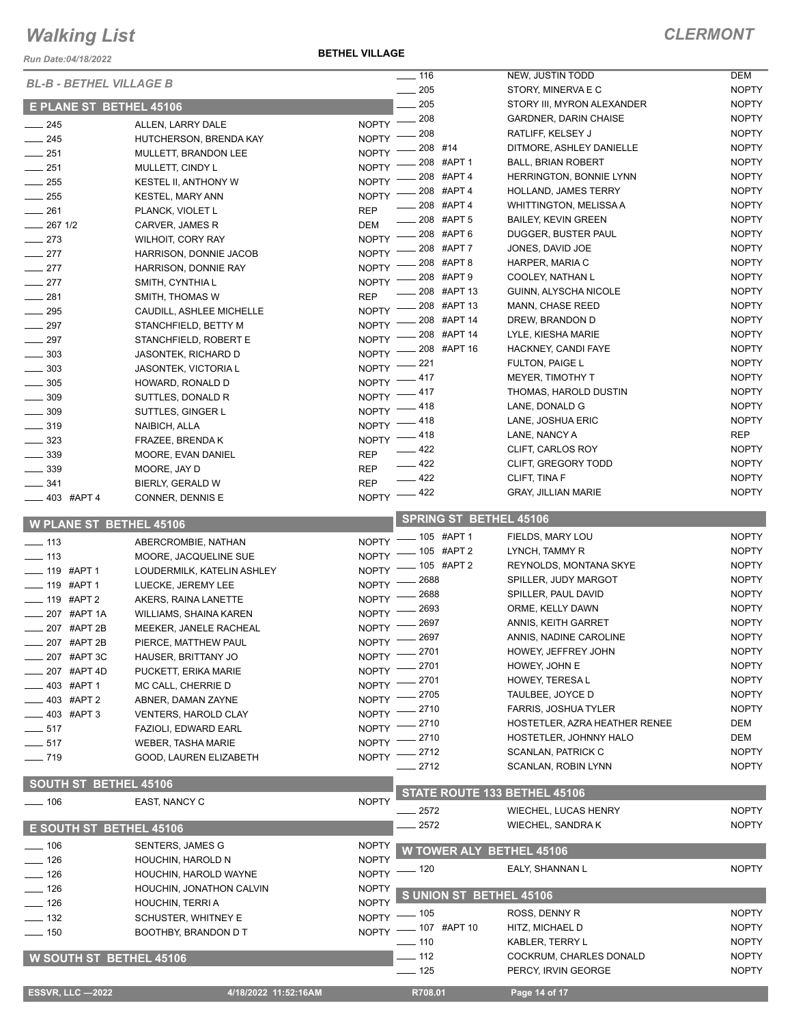*Run Date:04/18/2022*

**BETHEL VILLAGE**

|                                |                             |              | $- 116$                              | NEW, JUSTIN TODD              | <b>DEM</b>   |
|--------------------------------|-----------------------------|--------------|--------------------------------------|-------------------------------|--------------|
| <b>BL-B - BETHEL VILLAGE B</b> |                             |              | 205                                  | STORY, MINERVA E C            | <b>NOPTY</b> |
| <b>E PLANE ST BETHEL 45106</b> |                             |              | 205                                  | STORY III, MYRON ALEXANDER    | <b>NOPTY</b> |
| $-245$                         | ALLEN, LARRY DALE           | <b>NOPTY</b> | 208                                  | <b>GARDNER, DARIN CHAISE</b>  | <b>NOPTY</b> |
| $\frac{1}{245}$                | HUTCHERSON, BRENDA KAY      | <b>NOPTY</b> | 208                                  | RATLIFF, KELSEY J             | <b>NOPTY</b> |
| $-251$                         | MULLETT, BRANDON LEE        | <b>NOPTY</b> | 208 #14                              | DITMORE, ASHLEY DANIELLE      | <b>NOPTY</b> |
| $-251$                         | MULLETT, CINDY L            | <b>NOPTY</b> | 208 #APT 1                           | <b>BALL, BRIAN ROBERT</b>     | <b>NOPTY</b> |
| $\frac{1}{255}$                | KESTEL II, ANTHONY W        | <b>NOPTY</b> | 208 #APT 4                           | HERRINGTON, BONNIE LYNN       | <b>NOPTY</b> |
| $\frac{1}{255}$                | <b>KESTEL, MARY ANN</b>     | <b>NOPTY</b> | 208 #APT 4                           | <b>HOLLAND, JAMES TERRY</b>   | <b>NOPTY</b> |
| $\frac{1}{261}$                | PLANCK, VIOLET L            | <b>REP</b>   | 208 #APT 4                           | <b>WHITTINGTON, MELISSA A</b> | <b>NOPTY</b> |
| $-267$ 1/2                     | CARVER, JAMES R             | <b>DEM</b>   | 208 #APT 5                           | <b>BAILEY, KEVIN GREEN</b>    | <b>NOPTY</b> |
| $-273$                         | WILHOIT, CORY RAY           | <b>NOPTY</b> | 208 #APT 6                           | DUGGER, BUSTER PAUL           | <b>NOPTY</b> |
| $-277$                         | HARRISON, DONNIE JACOB      | <b>NOPTY</b> | 208 #APT 7                           | JONES, DAVID JOE              | <b>NOPTY</b> |
| $-277$                         | HARRISON, DONNIE RAY        | <b>NOPTY</b> | 208 #APT 8                           | HARPER, MARIA C               | <b>NOPTY</b> |
| $\frac{277}{2}$                | SMITH, CYNTHIA L            | <b>NOPTY</b> | 208 #APT 9                           | COOLEY, NATHAN L              | <b>NOPTY</b> |
| $\frac{1}{281}$                | SMITH, THOMAS W             | <b>REP</b>   | 208 #APT 13                          | GUINN, ALYSCHA NICOLE         | <b>NOPTY</b> |
| $\frac{1}{2}$ 295              | CAUDILL, ASHLEE MICHELLE    | <b>NOPTY</b> | 208 #APT 13                          | MANN, CHASE REED              | <b>NOPTY</b> |
| $\frac{1}{297}$                | STANCHFIELD, BETTY M        | <b>NOPTY</b> | 208 #APT 14                          | DREW, BRANDON D               | <b>NOPTY</b> |
| $-297$                         | STANCHFIELD, ROBERT E       | <b>NOPTY</b> | 208 #APT 14                          | LYLE, KIESHA MARIE            | <b>NOPTY</b> |
| $\frac{1}{2}$ 303              | JASONTEK, RICHARD D         | <b>NOPTY</b> | 208 #APT 16                          | HACKNEY, CANDI FAYE           | <b>NOPTY</b> |
| $\frac{1}{2}$ 303              | JASONTEK, VICTORIA L        | <b>NOPTY</b> | 221                                  | FULTON, PAIGE L               | <b>NOPTY</b> |
| $\frac{1}{2}$ 305              | HOWARD, RONALD D            | <b>NOPTY</b> | 417                                  | MEYER, TIMOTHY T              | <b>NOPTY</b> |
| $\frac{1}{2}$ 309              | SUTTLES, DONALD R           | <b>NOPTY</b> | 417                                  | THOMAS, HAROLD DUSTIN         | <b>NOPTY</b> |
| $\frac{1}{2}$ 309              | SUTTLES, GINGER L           | <b>NOPTY</b> | - 418                                | LANE, DONALD G                | <b>NOPTY</b> |
| $- 319$                        | NAIBICH, ALLA               | <b>NOPTY</b> | $-418$                               | LANE, JOSHUA ERIC             | <b>NOPTY</b> |
| $- 323$                        | FRAZEE, BRENDA K            | NOPTY -      | 418                                  | LANE, NANCY A                 | <b>REP</b>   |
| $-339$                         | MOORE, EVAN DANIEL          | <b>REP</b>   | - 422                                | CLIFT, CARLOS ROY             | <b>NOPTY</b> |
| $\frac{1}{2}$ 339              | MOORE, JAY D                | <b>REP</b>   | 422                                  | CLIFT, GREGORY TODD           | <b>NOPTY</b> |
| $-341$                         | BIERLY, GERALD W            | <b>REP</b>   | 422                                  | CLIFT, TINA F                 | <b>NOPTY</b> |
| $-403$ #APT 4                  | CONNER, DENNIS E            | <b>NOPTY</b> | $-422$                               | <b>GRAY, JILLIAN MARIE</b>    | <b>NOPTY</b> |
|                                |                             |              | <b>SPRING ST BETHEL 45106</b>        |                               |              |
| <b>W PLANE ST BETHEL 45106</b> |                             |              | $-105$ #APT 1                        | FIELDS, MARY LOU              | <b>NOPTY</b> |
| $\frac{1}{2}$ 113              | ABERCROMBIE, NATHAN         | <b>NOPTY</b> | 105 #APT 2                           | LYNCH, TAMMY R                | <b>NOPTY</b> |
| $\frac{1}{2}$ 113              | MOORE, JACQUELINE SUE       | <b>NOPTY</b> | 105 #APT 2                           | REYNOLDS, MONTANA SKYE        | <b>NOPTY</b> |
| $-$ 119 #APT 1                 | LOUDERMILK, KATELIN ASHLEY  | <b>NOPTY</b> | 2688                                 | SPILLER, JUDY MARGOT          | <b>NOPTY</b> |
| ____ 119 #APT 1                | LUECKE, JEREMY LEE          | <b>NOPTY</b> | 2688                                 | SPILLER, PAUL DAVID           | <b>NOPTY</b> |
| ____ 119 #APT 2                | AKERS, RAINA LANETTE        | <b>NOPTY</b> | 2693                                 | ORME, KELLY DAWN              | <b>NOPTY</b> |
| ____ 207 #APT 1A               | WILLIAMS, SHAINA KAREN      | <b>NOPTY</b> | 2697                                 | ANNIS, KEITH GARRET           | <b>NOPTY</b> |
| 207 #APT 2B                    | MEEKER, JANELE RACHEAL      | <b>NOPTY</b> | 2697                                 | ANNIS, NADINE CAROLINE        | <b>NOPTY</b> |
| 207 #APT 2B                    | PIERCE, MATTHEW PAUL        | <b>NOPTY</b> | _ 2701                               | HOWEY, JEFFREY JOHN           | <b>NOPTY</b> |
| 207 #APT 3C                    | HAUSER, BRITTANY JO         | NOPTY -      | 2701                                 | HOWEY, JOHN E                 | <b>NOPTY</b> |
| 207 #APT 4D                    | PUCKETT, ERIKA MARIE        | <b>NOPTY</b> | 2701                                 | HOWEY, TERESA L               | <b>NOPTY</b> |
| 403 #APT 1                     | MC CALL, CHERRIE D          | <b>NOPTY</b> | 2705                                 | TAULBEE, JOYCE D              | <b>NOPTY</b> |
| - 403 #APT 2                   | ABNER, DAMAN ZAYNE          | <b>NOPTY</b> | 2710                                 | FARRIS, JOSHUA TYLER          | <b>NOPTY</b> |
| $-403$ #APT 3                  | <b>VENTERS, HAROLD CLAY</b> | <b>NOPTY</b> | 2710                                 | HOSTETLER, AZRA HEATHER RENEE | DEM          |
| $\frac{1}{2}$ 517              | FAZIOLI, EDWARD EARL        | <b>NOPTY</b> | 2710                                 | HOSTETLER, JOHNNY HALO        | DEM          |
| $\frac{1}{2}$ 517              | <b>WEBER, TASHA MARIE</b>   | <b>NOPTY</b> | 2712                                 | <b>SCANLAN, PATRICK C</b>     | <b>NOPTY</b> |
| $- 719$                        | GOOD, LAUREN ELIZABETH      | <b>NOPTY</b> | 2712                                 | <b>SCANLAN, ROBIN LYNN</b>    | <b>NOPTY</b> |
| <b>SOUTH ST BETHEL 45106</b>   |                             |              |                                      |                               |              |
| $- 106$                        | EAST, NANCY C               | <b>NOPTY</b> | STATE ROUTE 133 BETHEL 45106         |                               |              |
|                                |                             |              | 2572                                 | <b>WIECHEL, LUCAS HENRY</b>   | <b>NOPTY</b> |
| <b>E SOUTH ST BETHEL 45106</b> |                             |              | 2572                                 | WIECHEL, SANDRA K             | <b>NOPTY</b> |
| $- 106$                        | <b>SENTERS, JAMES G</b>     | <b>NOPTY</b> | <b>W TOWER ALY BETHEL 45106</b>      |                               |              |
| $\frac{1}{2}$ 126              | HOUCHIN, HAROLD N           | <b>NOPTY</b> | $-120$                               | EALY, SHANNAN L               | <b>NOPTY</b> |
| $\frac{1}{2}$ 126              | HOUCHIN, HAROLD WAYNE       | <b>NOPTY</b> |                                      |                               |              |
| $-126$                         | HOUCHIN, JONATHON CALVIN    | <b>NOPTY</b> | S UNION ST BETHEL 45106              |                               |              |
| $- 126$                        | HOUCHIN, TERRI A            | <b>NOPTY</b> |                                      | ROSS, DENNY R                 | <b>NOPTY</b> |
| $\frac{1}{2}$ 132              | SCHUSTER, WHITNEY E         |              | NOPTY $-$ 105<br>NOPTY - 107 #APT 10 | HITZ, MICHAEL D               | <b>NOPTY</b> |
| $\frac{1}{150}$                | BOOTHBY, BRANDON D T        |              | $- 110$                              | KABLER, TERRY L               | <b>NOPTY</b> |
|                                |                             |              | $-112$                               | COCKRUM, CHARLES DONALD       | <b>NOPTY</b> |
| <b>W SOUTH ST BETHEL 45106</b> |                             |              | $- 125$                              | PERCY, IRVIN GEORGE           | <b>NOPTY</b> |
|                                |                             |              |                                      |                               |              |
| <b>ESSVR, LLC -2022</b>        | 4/18/2022 11:52:16AM        |              | R708.01                              | Page 14 of 17                 |              |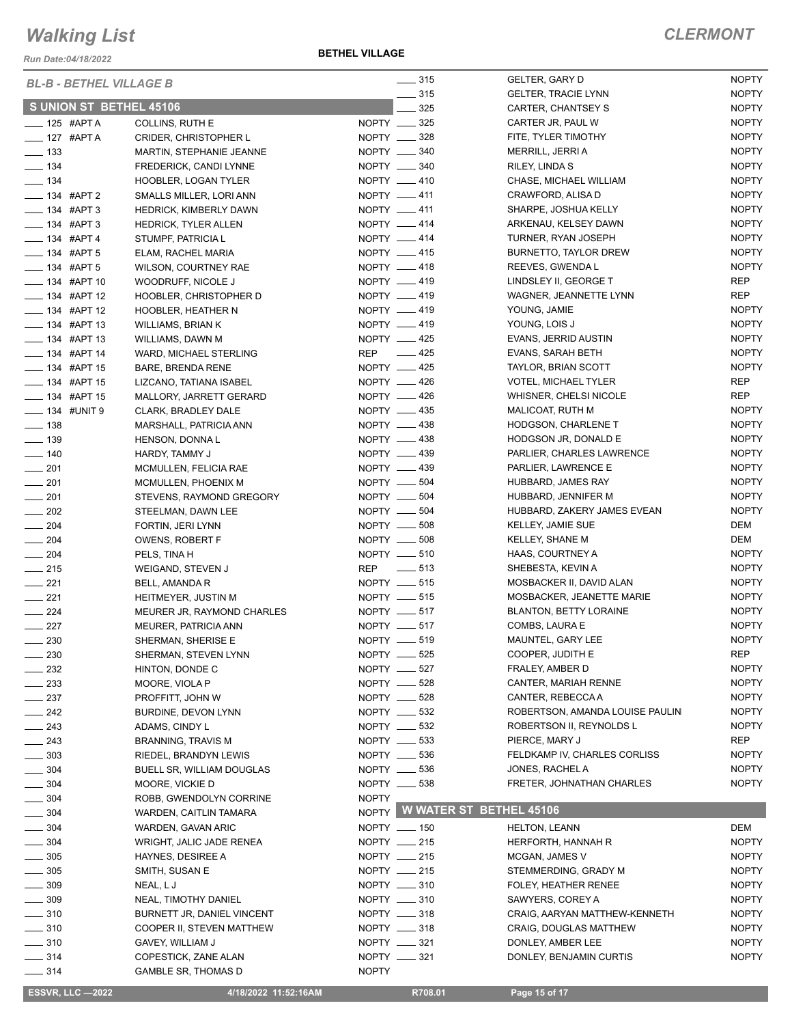*Run Date:04/18/2022*

| <b>BL-B - BETHEL VILLAGE B</b> |                               |              | $\frac{1}{2}$ 315  | <b>GELTER, GARY D</b>           | <b>NOPTY</b> |
|--------------------------------|-------------------------------|--------------|--------------------|---------------------------------|--------------|
|                                |                               |              | $\frac{1}{2}$ 315  | <b>GELTER, TRACIE LYNN</b>      | <b>NOPTY</b> |
| S UNION ST BETHEL 45106        |                               |              | 325                | CARTER, CHANTSEY S              | <b>NOPTY</b> |
| $-$ 125 #APT A                 | COLLINS, RUTH E               |              | NOPTY __ 325       | CARTER JR, PAUL W               | <b>NOPTY</b> |
| $-$ 127 #APT A                 | <b>CRIDER, CHRISTOPHER L</b>  |              | NOPTY __ 328       | FITE, TYLER TIMOTHY             | <b>NOPTY</b> |
| $\frac{1}{2}$ 133              | MARTIN, STEPHANIE JEANNE      |              | NOPTY __ 340       | MERRILL, JERRI A                | <b>NOPTY</b> |
| $\frac{1}{2}$ 134              | FREDERICK, CANDI LYNNE        |              | NOPTY -840         | RILEY, LINDA S                  | <b>NOPTY</b> |
| $\frac{1}{2}$ 134              | <b>HOOBLER, LOGAN TYLER</b>   |              | NOPTY __ 410       | CHASE, MICHAEL WILLIAM          | <b>NOPTY</b> |
| $\frac{1}{2}$ 134 #APT 2       | SMALLS MILLER, LORI ANN       |              | NOPTY __ 411       | CRAWFORD, ALISA D               | <b>NOPTY</b> |
| $\frac{1}{2}$ 134 #APT 3       | <b>HEDRICK, KIMBERLY DAWN</b> |              | NOPTY __ 411       | SHARPE, JOSHUA KELLY            | <b>NOPTY</b> |
| $- 134$ #APT 3                 | <b>HEDRICK, TYLER ALLEN</b>   |              | NOPTY __ 414       | ARKENAU, KELSEY DAWN            | <b>NOPTY</b> |
| $- 134$ #APT 4                 | STUMPF, PATRICIA L            |              | NOPTY __ 414       | TURNER, RYAN JOSEPH             | <b>NOPTY</b> |
| $- 134$ #APT 5                 | ELAM, RACHEL MARIA            |              | NOPTY __ 415       | BURNETTO, TAYLOR DREW           | <b>NOPTY</b> |
| $\frac{1}{2}$ 134 #APT 5       | WILSON, COURTNEY RAE          |              | NOPTY __ 418       | REEVES, GWENDA L                | <b>NOPTY</b> |
| $\frac{1}{2}$ 134 #APT 10      | WOODRUFF, NICOLE J            |              | NOPTY __ 419       | LINDSLEY II, GEORGE T           | <b>REP</b>   |
| $\frac{1}{2}$ 134 #APT 12      | HOOBLER, CHRISTOPHER D        |              | NOPTY __ 419       | WAGNER, JEANNETTE LYNN          | <b>REP</b>   |
| <b>_____ 134 #APT 12</b>       | <b>HOOBLER, HEATHER N</b>     |              | NOPTY __ 419       | YOUNG, JAMIE                    | <b>NOPTY</b> |
| $\frac{1}{2}$ 134 #APT 13      | WILLIAMS, BRIAN K             |              | NOPTY -419         | YOUNG, LOIS J                   | <b>NOPTY</b> |
| -84 #APT 13                    | WILLIAMS, DAWN M              |              | NOPTY __ 425       | EVANS, JERRID AUSTIN            | <b>NOPTY</b> |
| $\frac{1}{2}$ 134 #APT 14      | WARD, MICHAEL STERLING        |              | REP __ 425         | EVANS, SARAH BETH               | <b>NOPTY</b> |
| $\frac{1}{2}$ 134 #APT 15      | <b>BARE, BRENDA RENE</b>      |              | NOPTY __ 425       | TAYLOR, BRIAN SCOTT             | <b>NOPTY</b> |
| $- 134$ #APT 15                | LIZCANO, TATIANA ISABEL       |              | NOPTY -426         | <b>VOTEL, MICHAEL TYLER</b>     | <b>REP</b>   |
| $\frac{1}{2}$ 134 #APT 15      | MALLORY, JARRETT GERARD       |              | NOPTY <u>_</u> 426 | WHISNER, CHELSI NICOLE          | <b>REP</b>   |
| -8 134 #UNIT 9                 | CLARK, BRADLEY DALE           |              | NOPTY __ 435       | MALICOAT, RUTH M                | <b>NOPTY</b> |
| $- 138$                        | MARSHALL, PATRICIA ANN        |              | NOPTY __ 438       | HODGSON, CHARLENE T             | <b>NOPTY</b> |
| $\frac{1}{2}$ 139              | HENSON, DONNA L               |              | NOPTY __ 438       | HODGSON JR, DONALD E            | <b>NOPTY</b> |
| $- 140$                        | HARDY, TAMMY J                |              | NOPTY __ 439       | PARLIER, CHARLES LAWRENCE       | <b>NOPTY</b> |
| $\frac{1}{201}$                | MCMULLEN, FELICIA RAE         |              | NOPTY __ 439       | PARLIER, LAWRENCE E             | <b>NOPTY</b> |
| $\frac{1}{201}$                | MCMULLEN, PHOENIX M           |              | NOPTY __ 504       | HUBBARD, JAMES RAY              | <b>NOPTY</b> |
| $-201$                         | STEVENS, RAYMOND GREGORY      |              | NOPTY __ 504       | HUBBARD, JENNIFER M             | <b>NOPTY</b> |
| $\frac{1}{202}$                | STEELMAN, DAWN LEE            |              | NOPTY __ 504       | HUBBARD, ZAKERY JAMES EVEAN     | <b>NOPTY</b> |
| $-204$                         | FORTIN, JERI LYNN             |              | NOPTY __ 508       | KELLEY, JAMIE SUE               | DEM          |
| $\frac{1}{204}$                | OWENS, ROBERT F               |              | NOPTY __ 508       | KELLEY, SHANE M                 | DEM          |
| $\frac{1}{204}$                |                               |              | NOPTY __ 510       | HAAS, COURTNEY A                | <b>NOPTY</b> |
|                                | PELS, TINA H                  |              | REP __ 513         | SHEBESTA, KEVIN A               | <b>NOPTY</b> |
| $\frac{1}{215}$                | WEIGAND, STEVEN J             |              | NOPTY __ 515       | MOSBACKER II, DAVID ALAN        | <b>NOPTY</b> |
| $\frac{1}{221}$                | BELL, AMANDA R                |              |                    |                                 |              |
| $\frac{1}{221}$                | <b>HEITMEYER, JUSTIN M</b>    |              | NOPTY __ 515       | MOSBACKER, JEANETTE MARIE       | <b>NOPTY</b> |
| $\frac{1}{224}$                | MEURER JR, RAYMOND CHARLES    |              | NOPTY __ 517       | <b>BLANTON, BETTY LORAINE</b>   | <b>NOPTY</b> |
| $\frac{227}{2}$                | MEURER, PATRICIA ANN          |              | NOPTY __ 517       | COMBS, LAURA E                  | <b>NOPTY</b> |
| $\frac{230}{2}$                | SHERMAN, SHERISE E            |              | NOPTY __ 519       | MAUNTEL, GARY LEE               | <b>NOPTY</b> |
| $\sim$ 230                     | SHERMAN, STEVEN LYNN          |              | NOPTY __ 525       | COOPER, JUDITH E                | <b>REP</b>   |
| 232                            | HINTON, DONDE C               |              | NOPTY __ 527       | FRALEY, AMBER D                 | <b>NOPTY</b> |
| $\sim$ 233                     | MOORE, VIOLA P                |              | NOPTY __ 528       | CANTER, MARIAH RENNE            | <b>NOPTY</b> |
| $\sim$ 237                     | PROFFITT, JOHN W              |              | NOPTY __ 528       | CANTER, REBECCA A               | <b>NOPTY</b> |
| $\frac{242}{2}$                | BURDINE, DEVON LYNN           |              | NOPTY __ 532       | ROBERTSON, AMANDA LOUISE PAULIN | <b>NOPTY</b> |
| $\sim$ 243                     | ADAMS, CINDY L                |              | NOPTY __ 532       | ROBERTSON II, REYNOLDS L        | <b>NOPTY</b> |
| $-243$                         | <b>BRANNING, TRAVIS M</b>     |              | NOPTY __ 533       | PIERCE, MARY J                  | REP          |
| $\frac{1}{2}$ 303              | RIEDEL, BRANDYN LEWIS         |              | NOPTY __ 536       | FELDKAMP IV, CHARLES CORLISS    | <b>NOPTY</b> |
| $\frac{1}{2}$ 304              | BUELL SR, WILLIAM DOUGLAS     |              | NOPTY __ 536       | JONES, RACHEL A                 | <b>NOPTY</b> |
| $\frac{1}{2}$ 304              | MOORE, VICKIE D               |              | NOPTY __ 538       | FRETER, JOHNATHAN CHARLES       | <b>NOPTY</b> |
| $\frac{1}{2}$ 304              | ROBB, GWENDOLYN CORRINE       | <b>NOPTY</b> |                    |                                 |              |
| $-304$                         | WARDEN, CAITLIN TAMARA        |              |                    | NOPTY WWATER ST BETHEL 45106    |              |
| $\frac{1}{2}$ 304              | WARDEN, GAVAN ARIC            |              | NOPTY __ 150       | <b>HELTON, LEANN</b>            | DEM          |
| $-304$                         | WRIGHT, JALIC JADE RENEA      |              | NOPTY __ 215       | HERFORTH, HANNAH R              | <b>NOPTY</b> |
| $\frac{1}{2}$ 305              | HAYNES, DESIREE A             |              | NOPTY __ 215       | MCGAN, JAMES V                  | <b>NOPTY</b> |
| $\frac{1}{2}$ 305              | SMITH, SUSAN E                |              | NOPTY __ 215       | STEMMERDING, GRADY M            | <b>NOPTY</b> |
| $\frac{1}{2}$ 309              | NEAL, LJ                      |              | NOPTY __ 310       | FOLEY, HEATHER RENEE            | <b>NOPTY</b> |
| $\frac{1}{2}$ 309              | NEAL, TIMOTHY DANIEL          |              | NOPTY __ 310       | SAWYERS, COREY A                | <b>NOPTY</b> |
| $\frac{1}{2}$ 310              | BURNETT JR, DANIEL VINCENT    |              | NOPTY __ 318       | CRAIG, AARYAN MATTHEW-KENNETH   | <b>NOPTY</b> |
| $\frac{1}{2}$ 310              | COOPER II, STEVEN MATTHEW     |              | NOPTY __ 318       | <b>CRAIG, DOUGLAS MATTHEW</b>   | <b>NOPTY</b> |
| $\frac{1}{2}$ 310              | GAVEY, WILLIAM J              |              | NOPTY __ 321       | DONLEY, AMBER LEE               | <b>NOPTY</b> |
| $- 314$                        | COPESTICK, ZANE ALAN          |              | NOPTY __ 321       | DONLEY, BENJAMIN CURTIS         | <b>NOPTY</b> |
| $\frac{1}{2}$ 314              | <b>GAMBLE SR, THOMAS D</b>    | <b>NOPTY</b> |                    |                                 |              |
|                                |                               |              |                    |                                 |              |
| <b>ESSVR, LLC -2022</b>        | 4/18/2022 11:52:16AM          |              | R708.01            | Page 15 of 17                   |              |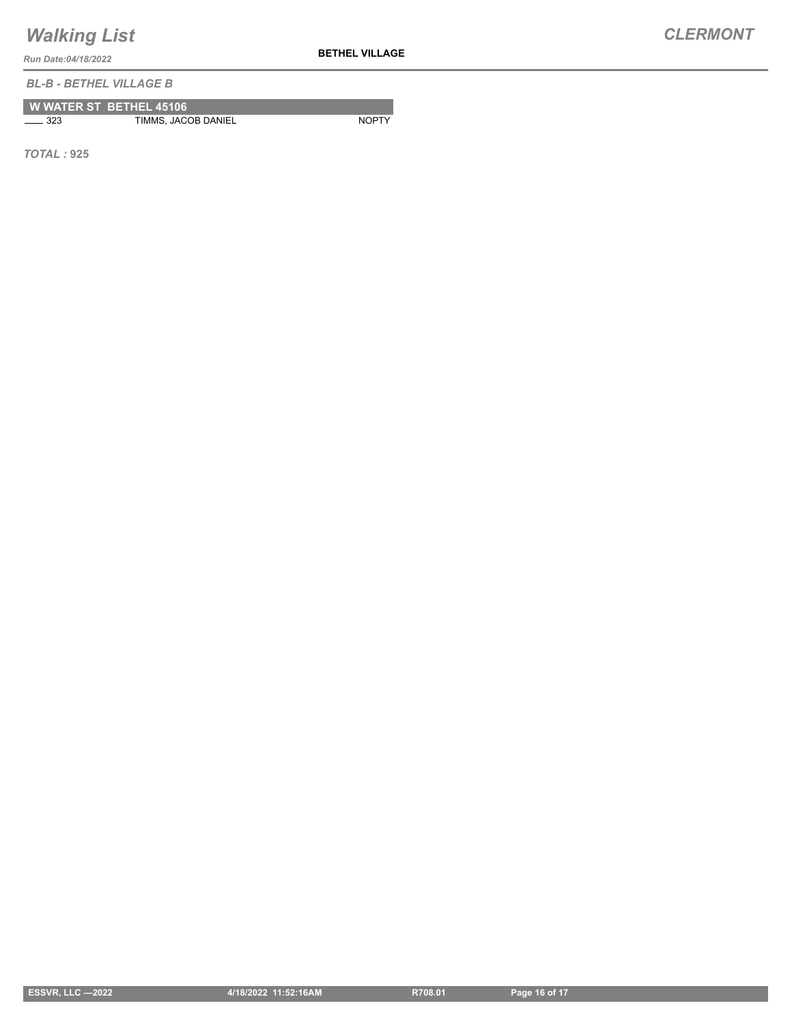**BETHEL VILLAGE**

*Run Date:04/18/2022*

*BL-B - BETHEL VILLAGE B*

|              | <b>W WATER ST BETHEL 45106</b> |              |
|--------------|--------------------------------|--------------|
| $\equiv$ 323 | TIMMS, JACOB DANIEL            | <b>NOPTY</b> |

*TOTAL :* **925**